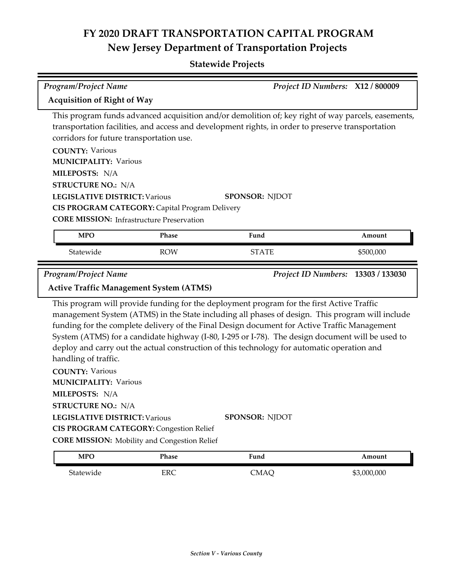### **Statewide Projects**

| <b>Program/Project Name</b>                         |            |                                                                                                                                                                                                                                                                                                                                                                                                                                                                                                 | Project ID Numbers: X12 / 800009   |
|-----------------------------------------------------|------------|-------------------------------------------------------------------------------------------------------------------------------------------------------------------------------------------------------------------------------------------------------------------------------------------------------------------------------------------------------------------------------------------------------------------------------------------------------------------------------------------------|------------------------------------|
| <b>Acquisition of Right of Way</b>                  |            |                                                                                                                                                                                                                                                                                                                                                                                                                                                                                                 |                                    |
| corridors for future transportation use.            |            | This program funds advanced acquisition and/or demolition of; key right of way parcels, easements,<br>transportation facilities, and access and development rights, in order to preserve transportation                                                                                                                                                                                                                                                                                         |                                    |
| <b>COUNTY: Various</b>                              |            |                                                                                                                                                                                                                                                                                                                                                                                                                                                                                                 |                                    |
| <b>MUNICIPALITY: Various</b>                        |            |                                                                                                                                                                                                                                                                                                                                                                                                                                                                                                 |                                    |
| MILEPOSTS: N/A                                      |            |                                                                                                                                                                                                                                                                                                                                                                                                                                                                                                 |                                    |
| <b>STRUCTURE NO.: N/A</b>                           |            |                                                                                                                                                                                                                                                                                                                                                                                                                                                                                                 |                                    |
| <b>LEGISLATIVE DISTRICT: Various</b>                |            | <b>SPONSOR: NJDOT</b>                                                                                                                                                                                                                                                                                                                                                                                                                                                                           |                                    |
| CIS PROGRAM CATEGORY: Capital Program Delivery      |            |                                                                                                                                                                                                                                                                                                                                                                                                                                                                                                 |                                    |
| <b>CORE MISSION:</b> Infrastructure Preservation    |            |                                                                                                                                                                                                                                                                                                                                                                                                                                                                                                 |                                    |
| <b>MPO</b>                                          | Phase      | Fund                                                                                                                                                                                                                                                                                                                                                                                                                                                                                            | Amount                             |
| Statewide                                           | <b>ROW</b> | <b>STATE</b>                                                                                                                                                                                                                                                                                                                                                                                                                                                                                    | \$500,000                          |
| <b>Program/Project Name</b>                         |            |                                                                                                                                                                                                                                                                                                                                                                                                                                                                                                 | Project ID Numbers: 13303 / 133030 |
| <b>Active Traffic Management System (ATMS)</b>      |            |                                                                                                                                                                                                                                                                                                                                                                                                                                                                                                 |                                    |
| handling of traffic.                                |            | This program will provide funding for the deployment program for the first Active Traffic<br>management System (ATMS) in the State including all phases of design. This program will include<br>funding for the complete delivery of the Final Design document for Active Traffic Management<br>System (ATMS) for a candidate highway (I-80, I-295 or I-78). The design document will be used to<br>deploy and carry out the actual construction of this technology for automatic operation and |                                    |
| <b>COUNTY: Various</b>                              |            |                                                                                                                                                                                                                                                                                                                                                                                                                                                                                                 |                                    |
| <b>MUNICIPALITY: Various</b>                        |            |                                                                                                                                                                                                                                                                                                                                                                                                                                                                                                 |                                    |
| MILEPOSTS: N/A                                      |            |                                                                                                                                                                                                                                                                                                                                                                                                                                                                                                 |                                    |
| <b>STRUCTURE NO.: N/A</b>                           |            |                                                                                                                                                                                                                                                                                                                                                                                                                                                                                                 |                                    |
| <b>LEGISLATIVE DISTRICT: Various</b>                |            | <b>SPONSOR: NJDOT</b>                                                                                                                                                                                                                                                                                                                                                                                                                                                                           |                                    |
| <b>CIS PROGRAM CATEGORY: Congestion Relief</b>      |            |                                                                                                                                                                                                                                                                                                                                                                                                                                                                                                 |                                    |
| <b>CORE MISSION:</b> Mobility and Congestion Relief |            |                                                                                                                                                                                                                                                                                                                                                                                                                                                                                                 |                                    |
| <b>MPO</b>                                          | Phase      | Fund                                                                                                                                                                                                                                                                                                                                                                                                                                                                                            | Amount                             |

Statewide ERC CMAQ \$3,000,000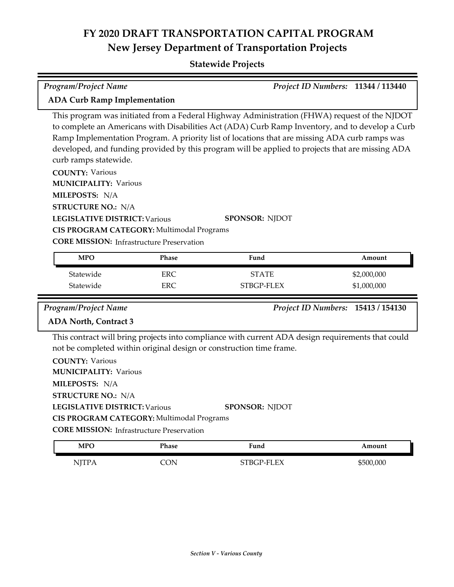### **Statewide Projects**

| <b>Program/Project Name</b>                                                                    | Project ID Numbers: 11344 / 113440 |  |
|------------------------------------------------------------------------------------------------|------------------------------------|--|
| <b>ADA Curb Ramp Implementation</b>                                                            |                                    |  |
| This program was initiated from a Federal Highway Administration (FHWA) request of the NJDOT   |                                    |  |
| to complete an Americans with Disobilities Act (ADA) Curb Ramp Inventory and to develop a Curb |                                    |  |

to complete an Americans with Disabilities Act (ADA) Curb Ramp Inventory, and to develop a Curb Ramp Implementation Program. A priority list of locations that are missing ADA curb ramps was developed, and funding provided by this program will be applied to projects that are missing ADA curb ramps statewide.

**COUNTY:** Various **LEGISLATIVE DISTRICT:** Various **MILEPOSTS:** N/A **STRUCTURE NO.:** N/A **MUNICIPALITY: Various CORE MISSION: Infrastructure Preservation SPONSOR:** NJDOT **CIS PROGRAM CATEGORY:** Multimodal Programs

| <b>MPO</b> | Phase | Fund         | Amount      |
|------------|-------|--------------|-------------|
| Statewide  | ERC   | <b>STATE</b> | \$2,000,000 |
| Statewide  | ERC   | STBGP-FLEX   | \$1,000,000 |

*Program/Project Name Project ID Numbers:* **15413 / 154130**

### **ADA North, Contract 3**

This contract will bring projects into compliance with current ADA design requirements that could not be completed within original design or construction time frame.

| <b>COUNTY: Various</b>                           |                       |
|--------------------------------------------------|-----------------------|
| <b>MUNICIPALITY: Various</b>                     |                       |
| <b>MILEPOSTS: N/A</b>                            |                       |
| <b>STRUCTURE NO.: N/A</b>                        |                       |
| <b>LEGISLATIVE DISTRICT: Various</b>             | <b>SPONSOR: NIDOT</b> |
| CIS PROGRAM CATEGORY: Multimodal Programs        |                       |
| <b>CORE MISSION:</b> Infrastructure Preservation |                       |

| <b>MPO</b>   | Phase | Fund       | Amount    |
|--------------|-------|------------|-----------|
| <b>NJTPA</b> | CON   | STBGP-FLEX | \$500,000 |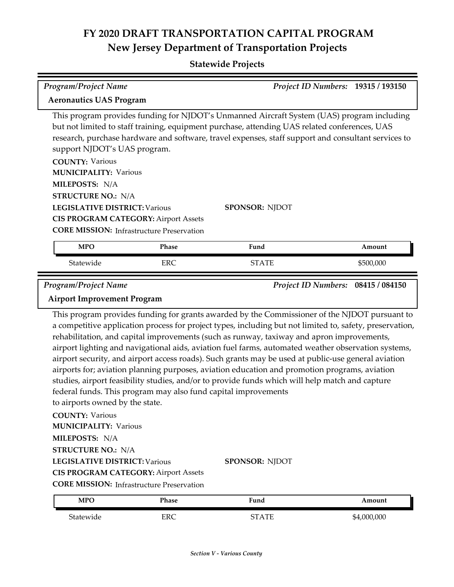| <b>Program/Project Name</b>                                                                                                                                                                                                                      |                                                                | Project ID Numbers: 19315 / 193150                                                                                                                                                                                                                                                                                                                                                                                                                                                                                                                                                                                      |                                    |
|--------------------------------------------------------------------------------------------------------------------------------------------------------------------------------------------------------------------------------------------------|----------------------------------------------------------------|-------------------------------------------------------------------------------------------------------------------------------------------------------------------------------------------------------------------------------------------------------------------------------------------------------------------------------------------------------------------------------------------------------------------------------------------------------------------------------------------------------------------------------------------------------------------------------------------------------------------------|------------------------------------|
| <b>Aeronautics UAS Program</b>                                                                                                                                                                                                                   |                                                                |                                                                                                                                                                                                                                                                                                                                                                                                                                                                                                                                                                                                                         |                                    |
| support NJDOT's UAS program.                                                                                                                                                                                                                     |                                                                | This program provides funding for NJDOT's Unmanned Aircraft System (UAS) program including<br>but not limited to staff training, equipment purchase, attending UAS related conferences, UAS<br>research, purchase hardware and software, travel expenses, staff support and consultant services to                                                                                                                                                                                                                                                                                                                      |                                    |
| <b>COUNTY: Various</b><br><b>MUNICIPALITY: Various</b>                                                                                                                                                                                           |                                                                |                                                                                                                                                                                                                                                                                                                                                                                                                                                                                                                                                                                                                         |                                    |
| MILEPOSTS: N/A                                                                                                                                                                                                                                   |                                                                |                                                                                                                                                                                                                                                                                                                                                                                                                                                                                                                                                                                                                         |                                    |
| <b>STRUCTURE NO.: N/A</b>                                                                                                                                                                                                                        |                                                                |                                                                                                                                                                                                                                                                                                                                                                                                                                                                                                                                                                                                                         |                                    |
| <b>LEGISLATIVE DISTRICT: Various</b><br><b>CIS PROGRAM CATEGORY: Airport Assets</b><br><b>CORE MISSION: Infrastructure Preservation</b>                                                                                                          |                                                                | <b>SPONSOR: NJDOT</b>                                                                                                                                                                                                                                                                                                                                                                                                                                                                                                                                                                                                   |                                    |
| <b>MPO</b>                                                                                                                                                                                                                                       | Phase                                                          | Fund                                                                                                                                                                                                                                                                                                                                                                                                                                                                                                                                                                                                                    | Amount                             |
| Statewide                                                                                                                                                                                                                                        | <b>ERC</b>                                                     | <b>STATE</b>                                                                                                                                                                                                                                                                                                                                                                                                                                                                                                                                                                                                            | \$500,000                          |
|                                                                                                                                                                                                                                                  |                                                                |                                                                                                                                                                                                                                                                                                                                                                                                                                                                                                                                                                                                                         |                                    |
|                                                                                                                                                                                                                                                  |                                                                |                                                                                                                                                                                                                                                                                                                                                                                                                                                                                                                                                                                                                         | Project ID Numbers: 08415 / 084150 |
| Program/Project Name<br><b>Airport Improvement Program</b>                                                                                                                                                                                       |                                                                | This program provides funding for grants awarded by the Commissioner of the NJDOT pursuant to                                                                                                                                                                                                                                                                                                                                                                                                                                                                                                                           |                                    |
| to airports owned by the state.                                                                                                                                                                                                                  | federal funds. This program may also fund capital improvements | a competitive application process for project types, including but not limited to, safety, preservation,<br>rehabilitation, and capital improvements (such as runway, taxiway and apron improvements,<br>airport lighting and navigational aids, aviation fuel farms, automated weather observation systems,<br>airport security, and airport access roads). Such grants may be used at public-use general aviation<br>airports for; aviation planning purposes, aviation education and promotion programs, aviation<br>studies, airport feasibility studies, and/or to provide funds which will help match and capture |                                    |
| <b>COUNTY: Various</b><br><b>MUNICIPALITY: Various</b><br>MILEPOSTS: N/A<br><b>STRUCTURE NO.: N/A</b><br><b>LEGISLATIVE DISTRICT: Various</b><br><b>CIS PROGRAM CATEGORY: Airport Assets</b><br><b>CORE MISSION:</b> Infrastructure Preservation |                                                                | <b>SPONSOR: NJDOT</b>                                                                                                                                                                                                                                                                                                                                                                                                                                                                                                                                                                                                   |                                    |
| <b>MPO</b>                                                                                                                                                                                                                                       | Phase                                                          | Fund                                                                                                                                                                                                                                                                                                                                                                                                                                                                                                                                                                                                                    | Amount                             |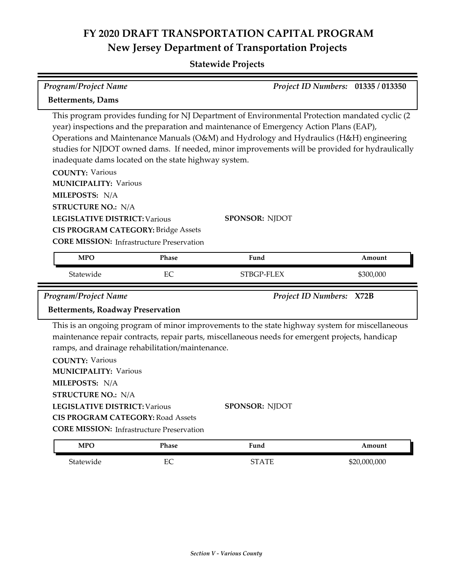| <b>Program/Project Name</b>                                                                                                                                                                                                                                                                             |       |                                                                                                                                                                                                                                                                                                                                                                                                                | Project ID Numbers: 01335 / 013350 |
|---------------------------------------------------------------------------------------------------------------------------------------------------------------------------------------------------------------------------------------------------------------------------------------------------------|-------|----------------------------------------------------------------------------------------------------------------------------------------------------------------------------------------------------------------------------------------------------------------------------------------------------------------------------------------------------------------------------------------------------------------|------------------------------------|
| <b>Betterments, Dams</b>                                                                                                                                                                                                                                                                                |       |                                                                                                                                                                                                                                                                                                                                                                                                                |                                    |
| inadequate dams located on the state highway system.<br><b>COUNTY: Various</b><br><b>MUNICIPALITY: Various</b><br>MILEPOSTS: N/A<br><b>STRUCTURE NO.: N/A</b><br><b>LEGISLATIVE DISTRICT: Various</b><br><b>CIS PROGRAM CATEGORY: Bridge Assets</b><br><b>CORE MISSION:</b> Infrastructure Preservation |       | This program provides funding for NJ Department of Environmental Protection mandated cyclic (2<br>year) inspections and the preparation and maintenance of Emergency Action Plans (EAP),<br>Operations and Maintenance Manuals (O&M) and Hydrology and Hydraulics (H&H) engineering<br>studies for NJDOT owned dams. If needed, minor improvements will be provided for hydraulically<br><b>SPONSOR: NJDOT</b> |                                    |
| <b>MPO</b>                                                                                                                                                                                                                                                                                              | Phase | Fund                                                                                                                                                                                                                                                                                                                                                                                                           | Amount                             |
| Statewide                                                                                                                                                                                                                                                                                               | EC    | STBGP-FLEX                                                                                                                                                                                                                                                                                                                                                                                                     | \$300,000                          |
| <b>Program/Project Name</b>                                                                                                                                                                                                                                                                             |       |                                                                                                                                                                                                                                                                                                                                                                                                                | Project ID Numbers: X72B           |
| <b>Betterments, Roadway Preservation</b>                                                                                                                                                                                                                                                                |       |                                                                                                                                                                                                                                                                                                                                                                                                                |                                    |
| ramps, and drainage rehabilitation/maintenance.<br><b>COUNTY: Various</b><br><b>MUNICIPALITY: Various</b><br>MILEPOSTS: N/A<br><b>STRUCTURE NO.: N/A</b><br><b>LEGISLATIVE DISTRICT: Various</b>                                                                                                        |       | This is an ongoing program of minor improvements to the state highway system for miscellaneous<br>maintenance repair contracts, repair parts, miscellaneous needs for emergent projects, handicap<br>SPONSOR: NJDOT                                                                                                                                                                                            |                                    |
|                                                                                                                                                                                                                                                                                                         |       |                                                                                                                                                                                                                                                                                                                                                                                                                |                                    |
| <b>CIS PROGRAM CATEGORY: Road Assets</b>                                                                                                                                                                                                                                                                |       |                                                                                                                                                                                                                                                                                                                                                                                                                |                                    |
| <b>CORE MISSION:</b> Infrastructure Preservation<br><b>MPO</b>                                                                                                                                                                                                                                          | Phase | Fund                                                                                                                                                                                                                                                                                                                                                                                                           | Amount                             |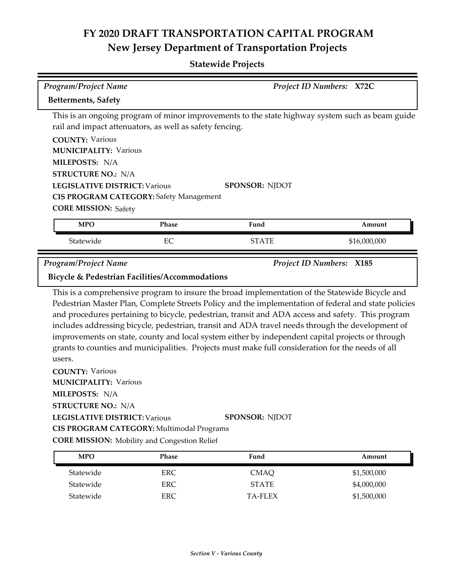| <b>Betterments, Safety</b>                                                                                                                                                                                                                                  |       |                                                                                                                                                                                                                                                                                                                                                                                                                                         | Project ID Numbers: X72C        |
|-------------------------------------------------------------------------------------------------------------------------------------------------------------------------------------------------------------------------------------------------------------|-------|-----------------------------------------------------------------------------------------------------------------------------------------------------------------------------------------------------------------------------------------------------------------------------------------------------------------------------------------------------------------------------------------------------------------------------------------|---------------------------------|
|                                                                                                                                                                                                                                                             |       | This is an ongoing program of minor improvements to the state highway system such as beam guide                                                                                                                                                                                                                                                                                                                                         |                                 |
| rail and impact attenuators, as well as safety fencing.                                                                                                                                                                                                     |       |                                                                                                                                                                                                                                                                                                                                                                                                                                         |                                 |
| <b>COUNTY: Various</b>                                                                                                                                                                                                                                      |       |                                                                                                                                                                                                                                                                                                                                                                                                                                         |                                 |
| <b>MUNICIPALITY: Various</b>                                                                                                                                                                                                                                |       |                                                                                                                                                                                                                                                                                                                                                                                                                                         |                                 |
| MILEPOSTS: N/A                                                                                                                                                                                                                                              |       |                                                                                                                                                                                                                                                                                                                                                                                                                                         |                                 |
| <b>STRUCTURE NO.: N/A</b>                                                                                                                                                                                                                                   |       |                                                                                                                                                                                                                                                                                                                                                                                                                                         |                                 |
| <b>LEGISLATIVE DISTRICT: Various</b>                                                                                                                                                                                                                        |       | <b>SPONSOR: NJDOT</b>                                                                                                                                                                                                                                                                                                                                                                                                                   |                                 |
| <b>CIS PROGRAM CATEGORY: Safety Management</b>                                                                                                                                                                                                              |       |                                                                                                                                                                                                                                                                                                                                                                                                                                         |                                 |
| <b>CORE MISSION: Safety</b>                                                                                                                                                                                                                                 |       |                                                                                                                                                                                                                                                                                                                                                                                                                                         |                                 |
| <b>MPO</b>                                                                                                                                                                                                                                                  | Phase | Fund                                                                                                                                                                                                                                                                                                                                                                                                                                    | Amount                          |
| Statewide                                                                                                                                                                                                                                                   | EC    | <b>STATE</b>                                                                                                                                                                                                                                                                                                                                                                                                                            | \$16,000,000                    |
| <b>Program/Project Name</b>                                                                                                                                                                                                                                 |       |                                                                                                                                                                                                                                                                                                                                                                                                                                         | <b>Project ID Numbers: X185</b> |
| <b>Bicycle &amp; Pedestrian Facilities/Accommodations</b>                                                                                                                                                                                                   |       |                                                                                                                                                                                                                                                                                                                                                                                                                                         |                                 |
|                                                                                                                                                                                                                                                             |       | This is a comprehensive program to insure the broad implementation of the Statewide Bicycle and<br>Pedestrian Master Plan, Complete Streets Policy and the implementation of federal and state policies                                                                                                                                                                                                                                 |                                 |
| users.<br><b>COUNTY: Various</b><br><b>MUNICIPALITY: Various</b><br>MILEPOSTS: N/A<br><b>STRUCTURE NO.: N/A</b><br><b>LEGISLATIVE DISTRICT: Various</b><br>CIS PROGRAM CATEGORY: Multimodal Programs<br><b>CORE MISSION:</b> Mobility and Congestion Relief |       | and procedures pertaining to bicycle, pedestrian, transit and ADA access and safety. This program<br>includes addressing bicycle, pedestrian, transit and ADA travel needs through the development of<br>improvements on state, county and local system either by independent capital projects or through<br>grants to counties and municipalities. Projects must make full consideration for the needs of all<br><b>SPONSOR: NJDOT</b> |                                 |

| <b>MPO</b> | Phase | Fund           | Amount      |
|------------|-------|----------------|-------------|
| Statewide  | ERC   | CMAO           | \$1,500,000 |
| Statewide  | ERC   | <b>STATE</b>   | \$4,000,000 |
| Statewide  | ERC   | <b>TA-FLEX</b> | \$1,500,000 |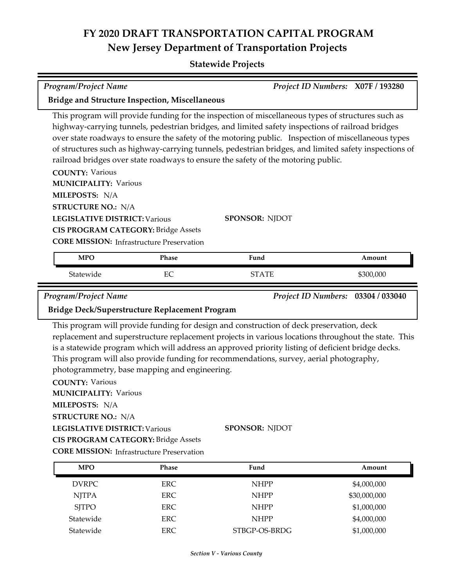| Program/Project Name                                                                                                                                                                                                                                                                                    |            |                                                                                                                                                                                                                                                                                                                                                                                                                                                                                                           | Project ID Numbers: X07F / 193280  |
|---------------------------------------------------------------------------------------------------------------------------------------------------------------------------------------------------------------------------------------------------------------------------------------------------------|------------|-----------------------------------------------------------------------------------------------------------------------------------------------------------------------------------------------------------------------------------------------------------------------------------------------------------------------------------------------------------------------------------------------------------------------------------------------------------------------------------------------------------|------------------------------------|
| <b>Bridge and Structure Inspection, Miscellaneous</b>                                                                                                                                                                                                                                                   |            |                                                                                                                                                                                                                                                                                                                                                                                                                                                                                                           |                                    |
| <b>COUNTY: Various</b><br><b>MUNICIPALITY: Various</b>                                                                                                                                                                                                                                                  |            | This program will provide funding for the inspection of miscellaneous types of structures such as<br>highway-carrying tunnels, pedestrian bridges, and limited safety inspections of railroad bridges<br>over state roadways to ensure the safety of the motoring public. Inspection of miscellaneous types<br>of structures such as highway-carrying tunnels, pedestrian bridges, and limited safety inspections of<br>railroad bridges over state roadways to ensure the safety of the motoring public. |                                    |
| MILEPOSTS: N/A                                                                                                                                                                                                                                                                                          |            |                                                                                                                                                                                                                                                                                                                                                                                                                                                                                                           |                                    |
| <b>STRUCTURE NO.: N/A</b>                                                                                                                                                                                                                                                                               |            |                                                                                                                                                                                                                                                                                                                                                                                                                                                                                                           |                                    |
| <b>LEGISLATIVE DISTRICT: Various</b>                                                                                                                                                                                                                                                                    |            | <b>SPONSOR: NJDOT</b>                                                                                                                                                                                                                                                                                                                                                                                                                                                                                     |                                    |
| <b>CIS PROGRAM CATEGORY: Bridge Assets</b>                                                                                                                                                                                                                                                              |            |                                                                                                                                                                                                                                                                                                                                                                                                                                                                                                           |                                    |
| <b>CORE MISSION: Infrastructure Preservation</b>                                                                                                                                                                                                                                                        |            |                                                                                                                                                                                                                                                                                                                                                                                                                                                                                                           |                                    |
| <b>MPO</b>                                                                                                                                                                                                                                                                                              | Phase      | Fund                                                                                                                                                                                                                                                                                                                                                                                                                                                                                                      | Amount                             |
| Statewide                                                                                                                                                                                                                                                                                               | EC         | <b>STATE</b>                                                                                                                                                                                                                                                                                                                                                                                                                                                                                              | \$300,000                          |
| Program/Project Name                                                                                                                                                                                                                                                                                    |            |                                                                                                                                                                                                                                                                                                                                                                                                                                                                                                           | Project ID Numbers: 03304 / 033040 |
| Bridge Deck/Superstructure Replacement Program                                                                                                                                                                                                                                                          |            |                                                                                                                                                                                                                                                                                                                                                                                                                                                                                                           |                                    |
| photogrammetry, base mapping and engineering.<br><b>COUNTY: Various</b><br><b>MUNICIPALITY: Various</b><br><b>MILEPOSTS: N/A</b><br><b>STRUCTURE NO.: N/A</b><br><b>LEGISLATIVE DISTRICT: Various</b><br><b>CIS PROGRAM CATEGORY: Bridge Assets</b><br><b>CORE MISSION: Infrastructure Preservation</b> |            | This program will provide funding for design and construction of deck preservation, deck<br>replacement and superstructure replacement projects in various locations throughout the state. This<br>is a statewide program which will address an approved priority listing of deficient bridge decks.<br>This program will also provide funding for recommendations, survey, aerial photography,<br>SPONSOR: NJDOT                                                                                         |                                    |
| <b>MPO</b>                                                                                                                                                                                                                                                                                              | Phase      | Fund                                                                                                                                                                                                                                                                                                                                                                                                                                                                                                      | Amount                             |
| <b>DVRPC</b>                                                                                                                                                                                                                                                                                            | <b>ERC</b> | <b>NHPP</b>                                                                                                                                                                                                                                                                                                                                                                                                                                                                                               | \$4,000,000                        |
| <b>NJTPA</b>                                                                                                                                                                                                                                                                                            | <b>ERC</b> | <b>NHPP</b>                                                                                                                                                                                                                                                                                                                                                                                                                                                                                               | \$30,000,000                       |
| <b>SJTPO</b>                                                                                                                                                                                                                                                                                            | <b>ERC</b> | <b>NHPP</b>                                                                                                                                                                                                                                                                                                                                                                                                                                                                                               | \$1,000,000                        |
| Statewide                                                                                                                                                                                                                                                                                               | <b>ERC</b> | <b>NHPP</b>                                                                                                                                                                                                                                                                                                                                                                                                                                                                                               | \$4,000,000                        |
| Statewide                                                                                                                                                                                                                                                                                               | <b>ERC</b> | STBGP-OS-BRDG                                                                                                                                                                                                                                                                                                                                                                                                                                                                                             | \$1,000,000                        |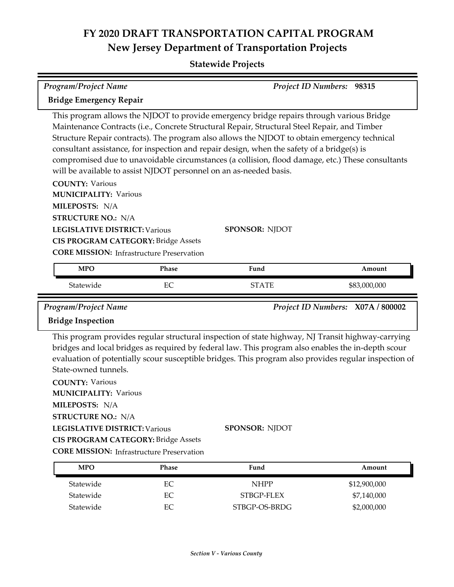| <b>Program/Project Name</b>                                              |              |                                                                                                                                                                                                                                                                                                                                                                                                                                                                                                                                                                  | Project ID Numbers: 98315         |
|--------------------------------------------------------------------------|--------------|------------------------------------------------------------------------------------------------------------------------------------------------------------------------------------------------------------------------------------------------------------------------------------------------------------------------------------------------------------------------------------------------------------------------------------------------------------------------------------------------------------------------------------------------------------------|-----------------------------------|
|                                                                          |              |                                                                                                                                                                                                                                                                                                                                                                                                                                                                                                                                                                  |                                   |
| <b>Bridge Emergency Repair</b>                                           |              |                                                                                                                                                                                                                                                                                                                                                                                                                                                                                                                                                                  |                                   |
| <b>COUNTY: Various</b><br><b>MUNICIPALITY: Various</b><br>MILEPOSTS: N/A |              | This program allows the NJDOT to provide emergency bridge repairs through various Bridge<br>Maintenance Contracts (i.e., Concrete Structural Repair, Structural Steel Repair, and Timber<br>Structure Repair contracts). The program also allows the NJDOT to obtain emergency technical<br>consultant assistance, for inspection and repair design, when the safety of a bridge(s) is<br>compromised due to unavoidable circumstances (a collision, flood damage, etc.) These consultants<br>will be available to assist NJDOT personnel on an as-needed basis. |                                   |
| <b>STRUCTURE NO.: N/A</b>                                                |              |                                                                                                                                                                                                                                                                                                                                                                                                                                                                                                                                                                  |                                   |
| <b>LEGISLATIVE DISTRICT: Various</b>                                     |              | <b>SPONSOR: NJDOT</b>                                                                                                                                                                                                                                                                                                                                                                                                                                                                                                                                            |                                   |
| <b>CIS PROGRAM CATEGORY: Bridge Assets</b>                               |              |                                                                                                                                                                                                                                                                                                                                                                                                                                                                                                                                                                  |                                   |
| <b>CORE MISSION: Infrastructure Preservation</b>                         |              |                                                                                                                                                                                                                                                                                                                                                                                                                                                                                                                                                                  |                                   |
| <b>MPO</b>                                                               | <b>Phase</b> | Fund                                                                                                                                                                                                                                                                                                                                                                                                                                                                                                                                                             | Amount                            |
|                                                                          |              |                                                                                                                                                                                                                                                                                                                                                                                                                                                                                                                                                                  |                                   |
|                                                                          |              |                                                                                                                                                                                                                                                                                                                                                                                                                                                                                                                                                                  |                                   |
| Statewide                                                                | EC           | <b>STATE</b>                                                                                                                                                                                                                                                                                                                                                                                                                                                                                                                                                     | \$83,000,000                      |
| Program/Project Name                                                     |              |                                                                                                                                                                                                                                                                                                                                                                                                                                                                                                                                                                  | Project ID Numbers: X07A / 800002 |
| <b>Bridge Inspection</b>                                                 |              |                                                                                                                                                                                                                                                                                                                                                                                                                                                                                                                                                                  |                                   |
| State-owned tunnels.                                                     |              | This program provides regular structural inspection of state highway, NJ Transit highway-carrying<br>bridges and local bridges as required by federal law. This program also enables the in-depth scour<br>evaluation of potentially scour susceptible bridges. This program also provides regular inspection of                                                                                                                                                                                                                                                 |                                   |
| <b>COUNTY: Various</b>                                                   |              |                                                                                                                                                                                                                                                                                                                                                                                                                                                                                                                                                                  |                                   |
| <b>MUNICIPALITY: Various</b>                                             |              |                                                                                                                                                                                                                                                                                                                                                                                                                                                                                                                                                                  |                                   |
| MILEPOSTS: N/A                                                           |              |                                                                                                                                                                                                                                                                                                                                                                                                                                                                                                                                                                  |                                   |
| <b>STRUCTURE NO.: N/A</b><br><b>LEGISLATIVE DISTRICT: Various</b>        |              | <b>SPONSOR: NJDOT</b>                                                                                                                                                                                                                                                                                                                                                                                                                                                                                                                                            |                                   |
| <b>CIS PROGRAM CATEGORY: Bridge Assets</b>                               |              |                                                                                                                                                                                                                                                                                                                                                                                                                                                                                                                                                                  |                                   |

| <b>MPO</b> | Phase | Fund          | Amount       |
|------------|-------|---------------|--------------|
| Statewide  | EС    | <b>NHPP</b>   | \$12,900,000 |
| Statewide  | EС    | STBGP-FLEX    | \$7,140,000  |
| Statewide  | EС    | STBGP-OS-BRDG | \$2,000,000  |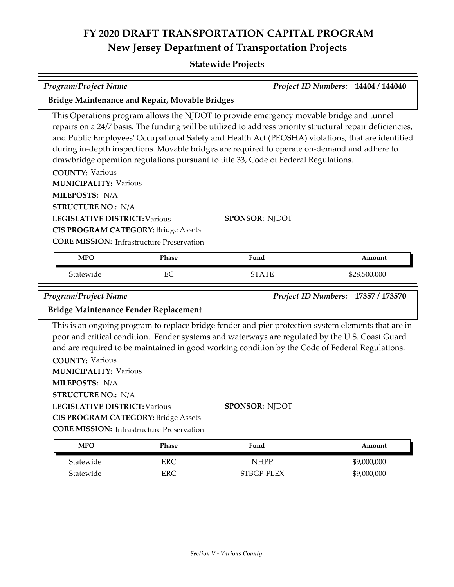| <b>Program/Project Name</b>                                                                                                                                                          |                     |                                                                                                                                                                                                                                                                                                                                                                                                                                                                                                  | Project ID Numbers: 14404 / 144040 |
|--------------------------------------------------------------------------------------------------------------------------------------------------------------------------------------|---------------------|--------------------------------------------------------------------------------------------------------------------------------------------------------------------------------------------------------------------------------------------------------------------------------------------------------------------------------------------------------------------------------------------------------------------------------------------------------------------------------------------------|------------------------------------|
| Bridge Maintenance and Repair, Movable Bridges                                                                                                                                       |                     |                                                                                                                                                                                                                                                                                                                                                                                                                                                                                                  |                                    |
| <b>COUNTY: Various</b><br><b>MUNICIPALITY: Various</b><br>MILEPOSTS: N/A<br><b>STRUCTURE NO.: N/A</b>                                                                                |                     | This Operations program allows the NJDOT to provide emergency movable bridge and tunnel<br>repairs on a 24/7 basis. The funding will be utilized to address priority structural repair deficiencies,<br>and Public Employees' Occupational Safety and Health Act (PEOSHA) violations, that are identified<br>during in-depth inspections. Movable bridges are required to operate on-demand and adhere to<br>drawbridge operation regulations pursuant to title 33, Code of Federal Regulations. |                                    |
| <b>LEGISLATIVE DISTRICT: Various</b><br><b>CIS PROGRAM CATEGORY: Bridge Assets</b>                                                                                                   |                     | <b>SPONSOR: NJDOT</b>                                                                                                                                                                                                                                                                                                                                                                                                                                                                            |                                    |
| <b>CORE MISSION:</b> Infrastructure Preservation                                                                                                                                     |                     |                                                                                                                                                                                                                                                                                                                                                                                                                                                                                                  |                                    |
| <b>MPO</b>                                                                                                                                                                           | Phase               | Fund                                                                                                                                                                                                                                                                                                                                                                                                                                                                                             | Amount                             |
| Statewide                                                                                                                                                                            | EC                  | <b>STATE</b>                                                                                                                                                                                                                                                                                                                                                                                                                                                                                     | \$28,500,000                       |
|                                                                                                                                                                                      |                     |                                                                                                                                                                                                                                                                                                                                                                                                                                                                                                  |                                    |
| <b>Program/Project Name</b><br>Bridge Maintenance Fender Replacement                                                                                                                 |                     |                                                                                                                                                                                                                                                                                                                                                                                                                                                                                                  | Project ID Numbers: 17357 / 173570 |
| <b>COUNTY: Various</b><br><b>MUNICIPALITY: Various</b><br>MILEPOSTS: N/A<br><b>STRUCTURE NO.: N/A</b><br>LEGISLATIVE DISTRICT: Various<br><b>CIS PROGRAM CATEGORY: Bridge Assets</b> |                     | This is an ongoing program to replace bridge fender and pier protection system elements that are in<br>poor and critical condition. Fender systems and waterways are regulated by the U.S. Coast Guard<br>and are required to be maintained in good working condition by the Code of Federal Regulations.<br>SPONSOR: NJDOT                                                                                                                                                                      |                                    |
| <b>CORE MISSION:</b> Infrastructure Preservation                                                                                                                                     |                     |                                                                                                                                                                                                                                                                                                                                                                                                                                                                                                  |                                    |
| <b>MPO</b><br>Statewide                                                                                                                                                              | Phase<br><b>ERC</b> | Fund<br><b>NHPP</b>                                                                                                                                                                                                                                                                                                                                                                                                                                                                              | Amount<br>\$9,000,000              |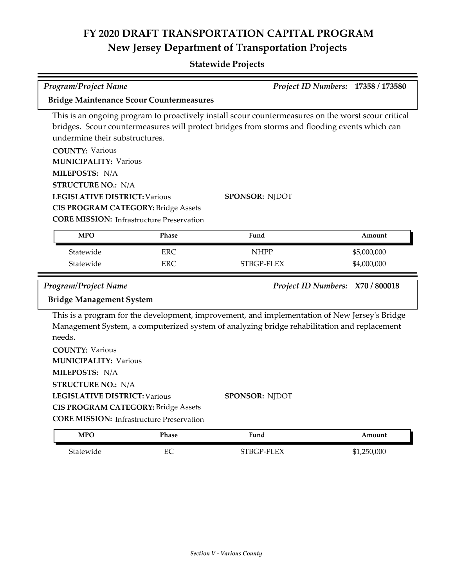| Program/Project Name                                                                                                                                                                                                                                                              |              |                                                                                                                                                                                                                               | Project ID Numbers: 17358 / 173580 |
|-----------------------------------------------------------------------------------------------------------------------------------------------------------------------------------------------------------------------------------------------------------------------------------|--------------|-------------------------------------------------------------------------------------------------------------------------------------------------------------------------------------------------------------------------------|------------------------------------|
| <b>Bridge Maintenance Scour Countermeasures</b>                                                                                                                                                                                                                                   |              |                                                                                                                                                                                                                               |                                    |
| undermine their substructures.<br><b>COUNTY: Various</b><br><b>MUNICIPALITY: Various</b><br>MILEPOSTS: N/A<br><b>STRUCTURE NO.: N/A</b><br><b>LEGISLATIVE DISTRICT: Various</b><br><b>CIS PROGRAM CATEGORY: Bridge Assets</b><br><b>CORE MISSION:</b> Infrastructure Preservation |              | This is an ongoing program to proactively install scour countermeasures on the worst scour critical<br>bridges. Scour countermeasures will protect bridges from storms and flooding events which can<br><b>SPONSOR: NJDOT</b> |                                    |
| <b>MPO</b>                                                                                                                                                                                                                                                                        | Phase        | Fund                                                                                                                                                                                                                          | Amount                             |
| Statewide                                                                                                                                                                                                                                                                         | <b>ERC</b>   | <b>NHPP</b>                                                                                                                                                                                                                   | \$5,000,000                        |
| Statewide                                                                                                                                                                                                                                                                         | ERC          | STBGP-FLEX                                                                                                                                                                                                                    | \$4,000,000                        |
|                                                                                                                                                                                                                                                                                   |              |                                                                                                                                                                                                                               |                                    |
| <b>Program/Project Name</b><br><b>Bridge Management System</b>                                                                                                                                                                                                                    |              |                                                                                                                                                                                                                               | Project ID Numbers: X70 / 800018   |
| needs.<br><b>COUNTY: Various</b><br><b>MUNICIPALITY: Various</b><br>MILEPOSTS: N/A<br><b>STRUCTURE NO.: N/A</b><br><b>LEGISLATIVE DISTRICT: Various</b><br><b>CIS PROGRAM CATEGORY: Bridge Assets</b><br><b>CORE MISSION:</b> Infrastructure Preservation                         |              | This is a program for the development, improvement, and implementation of New Jersey's Bridge<br>Management System, a computerized system of analyzing bridge rehabilitation and replacement<br><b>SPONSOR: NJDOT</b>         |                                    |
| <b>MPO</b>                                                                                                                                                                                                                                                                        | <b>Phase</b> | Fund                                                                                                                                                                                                                          | Amount                             |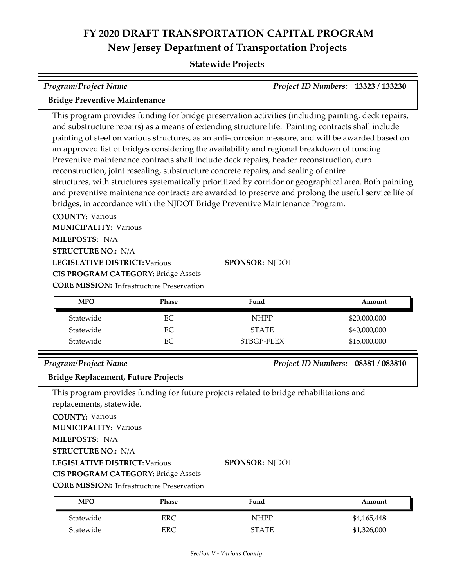### **Statewide Projects**

| <b>Program/Project Name</b>          | Project ID Numbers: 13323 / 133230 |  |
|--------------------------------------|------------------------------------|--|
| <b>Bridge Preventive Maintenance</b> |                                    |  |

This program provides funding for bridge preservation activities (including painting, deck repairs, and substructure repairs) as a means of extending structure life. Painting contracts shall include painting of steel on various structures, as an anti‐corrosion measure, and will be awarded based on an approved list of bridges considering the availability and regional breakdown of funding. Preventive maintenance contracts shall include deck repairs, header reconstruction, curb reconstruction, joint resealing, substructure concrete repairs, and sealing of entire structures, with structures systematically prioritized by corridor or geographical area. Both painting and preventive maintenance contracts are awarded to preserve and prolong the useful service life of bridges, in accordance with the NJDOT Bridge Preventive Maintenance Program.

**COUNTY:** Various **LEGISLATIVE DISTRICT:** Various **MILEPOSTS:** N/A **STRUCTURE NO.:** N/A **MUNICIPALITY: Various CORE MISSION: Infrastructure Preservation CIS PROGRAM CATEGORY:** Bridge Assets

**SPONSOR:** NJDOT

| <b>MPO</b> | Phase | Fund         | Amount       |
|------------|-------|--------------|--------------|
| Statewide  | EС    | <b>NHPP</b>  | \$20,000,000 |
| Statewide  | EС    | <b>STATE</b> | \$40,000,000 |
| Statewide  | EС    | STBGP-FLEX   | \$15,000,000 |

#### *Program/Project Name Project ID Numbers:* **08381 / 083810**

**Bridge Replacement, Future Projects**

This program provides funding for future projects related to bridge rehabilitations and replacements, statewide.

**COUNTY:** Various **LEGISLATIVE DISTRICT:** Various **MILEPOSTS:** N/A **STRUCTURE NO.:** N/A **MUNICIPALITY: Various CIS PROGRAM CATEGORY:** Bridge Assets COR<sup>:</sup>

#### **SPONSOR:** NJDOT

|  | <b>E MISSION:</b> Infrastructure Preservation |
|--|-----------------------------------------------|
|--|-----------------------------------------------|

| <b>MPO</b> | Phase | Fund  | Amount      |
|------------|-------|-------|-------------|
| Statewide  | ERC   | NHPP  | \$4,165,448 |
| Statewide  | ERC   | STATE | \$1,326,000 |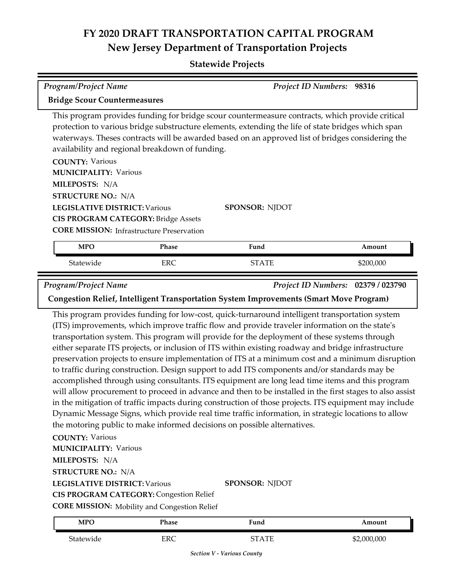| <b>Program/Project Name</b>                                                                                                                                                                                                                            |            | <b>Project ID Numbers:</b>                                                                                                                                                                                                                                                                                                                                                                                                                                                                                                                                                                                                                                                                                                                                                                                                                                                                                                                                                                                                                                                                                                                      | 98316                              |
|--------------------------------------------------------------------------------------------------------------------------------------------------------------------------------------------------------------------------------------------------------|------------|-------------------------------------------------------------------------------------------------------------------------------------------------------------------------------------------------------------------------------------------------------------------------------------------------------------------------------------------------------------------------------------------------------------------------------------------------------------------------------------------------------------------------------------------------------------------------------------------------------------------------------------------------------------------------------------------------------------------------------------------------------------------------------------------------------------------------------------------------------------------------------------------------------------------------------------------------------------------------------------------------------------------------------------------------------------------------------------------------------------------------------------------------|------------------------------------|
| <b>Bridge Scour Countermeasures</b>                                                                                                                                                                                                                    |            |                                                                                                                                                                                                                                                                                                                                                                                                                                                                                                                                                                                                                                                                                                                                                                                                                                                                                                                                                                                                                                                                                                                                                 |                                    |
| availability and regional breakdown of funding.                                                                                                                                                                                                        |            | This program provides funding for bridge scour countermeasure contracts, which provide critical<br>protection to various bridge substructure elements, extending the life of state bridges which span<br>waterways. Theses contracts will be awarded based on an approved list of bridges considering the                                                                                                                                                                                                                                                                                                                                                                                                                                                                                                                                                                                                                                                                                                                                                                                                                                       |                                    |
| <b>COUNTY: Various</b><br><b>MUNICIPALITY: Various</b><br>MILEPOSTS: N/A                                                                                                                                                                               |            |                                                                                                                                                                                                                                                                                                                                                                                                                                                                                                                                                                                                                                                                                                                                                                                                                                                                                                                                                                                                                                                                                                                                                 |                                    |
| <b>STRUCTURE NO.: N/A</b>                                                                                                                                                                                                                              |            |                                                                                                                                                                                                                                                                                                                                                                                                                                                                                                                                                                                                                                                                                                                                                                                                                                                                                                                                                                                                                                                                                                                                                 |                                    |
| <b>LEGISLATIVE DISTRICT: Various</b><br><b>CIS PROGRAM CATEGORY: Bridge Assets</b><br><b>CORE MISSION:</b> Infrastructure Preservation                                                                                                                 |            | <b>SPONSOR: NJDOT</b>                                                                                                                                                                                                                                                                                                                                                                                                                                                                                                                                                                                                                                                                                                                                                                                                                                                                                                                                                                                                                                                                                                                           |                                    |
| <b>MPO</b>                                                                                                                                                                                                                                             | Phase      | Fund                                                                                                                                                                                                                                                                                                                                                                                                                                                                                                                                                                                                                                                                                                                                                                                                                                                                                                                                                                                                                                                                                                                                            | Amount                             |
| Statewide                                                                                                                                                                                                                                              | <b>ERC</b> | <b>STATE</b>                                                                                                                                                                                                                                                                                                                                                                                                                                                                                                                                                                                                                                                                                                                                                                                                                                                                                                                                                                                                                                                                                                                                    | \$200,000                          |
| Program/Project Name                                                                                                                                                                                                                                   |            | Congestion Relief, Intelligent Transportation System Improvements (Smart Move Program)                                                                                                                                                                                                                                                                                                                                                                                                                                                                                                                                                                                                                                                                                                                                                                                                                                                                                                                                                                                                                                                          | Project ID Numbers: 02379 / 023790 |
| <b>COUNTY: Various</b><br><b>MUNICIPALITY: Various</b><br>MILEPOSTS: N/A<br><b>STRUCTURE NO.: N/A</b><br><b>LEGISLATIVE DISTRICT: Various</b><br><b>CIS PROGRAM CATEGORY: Congestion Relief</b><br><b>CORE MISSION:</b> Mobility and Congestion Relief |            | This program provides funding for low-cost, quick-turnaround intelligent transportation system<br>(ITS) improvements, which improve traffic flow and provide traveler information on the state's<br>transportation system. This program will provide for the deployment of these systems through<br>either separate ITS projects, or inclusion of ITS within existing roadway and bridge infrastructure<br>preservation projects to ensure implementation of ITS at a minimum cost and a minimum disruption<br>to traffic during construction. Design support to add ITS components and/or standards may be<br>accomplished through using consultants. ITS equipment are long lead time items and this program<br>will allow procurement to proceed in advance and then to be installed in the first stages to also assist<br>in the mitigation of traffic impacts during construction of those projects. ITS equipment may include<br>Dynamic Message Signs, which provide real time traffic information, in strategic locations to allow<br>the motoring public to make informed decisions on possible alternatives.<br><b>SPONSOR: NJDOT</b> |                                    |
| <b>MPO</b>                                                                                                                                                                                                                                             | Phase      | Fund                                                                                                                                                                                                                                                                                                                                                                                                                                                                                                                                                                                                                                                                                                                                                                                                                                                                                                                                                                                                                                                                                                                                            | Amount                             |

| <b>MPO</b> | Phase | $\sim$<br>Fund | Amount      |
|------------|-------|----------------|-------------|
| Statewide  | ERC   | STATE          | \$2,000,000 |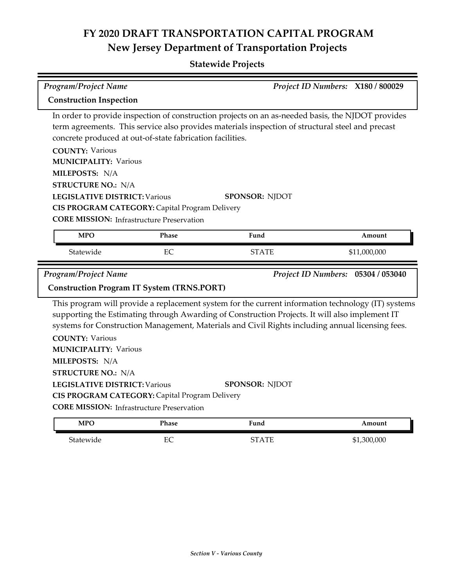### **Statewide Projects**

| Program/Project Name                                                                                                                                                                                                                                                                                             |              |                                                                                                                                                                                                                                                                                                          | Project ID Numbers: X180 / 800029  |
|------------------------------------------------------------------------------------------------------------------------------------------------------------------------------------------------------------------------------------------------------------------------------------------------------------------|--------------|----------------------------------------------------------------------------------------------------------------------------------------------------------------------------------------------------------------------------------------------------------------------------------------------------------|------------------------------------|
| <b>Construction Inspection</b>                                                                                                                                                                                                                                                                                   |              |                                                                                                                                                                                                                                                                                                          |                                    |
| concrete produced at out-of-state fabrication facilities.<br><b>COUNTY: Various</b><br><b>MUNICIPALITY: Various</b><br>MILEPOSTS: N/A<br><b>STRUCTURE NO.: N/A</b><br><b>LEGISLATIVE DISTRICT: Various</b><br>CIS PROGRAM CATEGORY: Capital Program Delivery<br><b>CORE MISSION:</b> Infrastructure Preservation |              | In order to provide inspection of construction projects on an as-needed basis, the NJDOT provides<br>term agreements. This service also provides materials inspection of structural steel and precast<br><b>SPONSOR: NJDOT</b>                                                                           |                                    |
| <b>MPO</b>                                                                                                                                                                                                                                                                                                       | Phase        | Fund                                                                                                                                                                                                                                                                                                     | Amount                             |
| Statewide                                                                                                                                                                                                                                                                                                        | EC           | <b>STATE</b>                                                                                                                                                                                                                                                                                             | \$11,000,000                       |
| <b>Program/Project Name</b>                                                                                                                                                                                                                                                                                      |              |                                                                                                                                                                                                                                                                                                          | Project ID Numbers: 05304 / 053040 |
| <b>Construction Program IT System (TRNS.PORT)</b>                                                                                                                                                                                                                                                                |              |                                                                                                                                                                                                                                                                                                          |                                    |
| <b>COUNTY: Various</b><br><b>MUNICIPALITY: Various</b>                                                                                                                                                                                                                                                           |              | This program will provide a replacement system for the current information technology (IT) systems<br>supporting the Estimating through Awarding of Construction Projects. It will also implement IT<br>systems for Construction Management, Materials and Civil Rights including annual licensing fees. |                                    |
| MILEPOSTS: N/A                                                                                                                                                                                                                                                                                                   |              |                                                                                                                                                                                                                                                                                                          |                                    |
| <b>STRUCTURE NO.: N/A</b>                                                                                                                                                                                                                                                                                        |              |                                                                                                                                                                                                                                                                                                          |                                    |
| <b>LEGISLATIVE DISTRICT: Various</b>                                                                                                                                                                                                                                                                             |              | <b>SPONSOR: NJDOT</b>                                                                                                                                                                                                                                                                                    |                                    |
| CIS PROGRAM CATEGORY: Capital Program Delivery<br><b>CORE MISSION:</b> Infrastructure Preservation                                                                                                                                                                                                               |              |                                                                                                                                                                                                                                                                                                          |                                    |
| <b>MPO</b>                                                                                                                                                                                                                                                                                                       | <b>Phase</b> | Fund                                                                                                                                                                                                                                                                                                     | Amount                             |

Statewide EC EC STATE \$1,300,000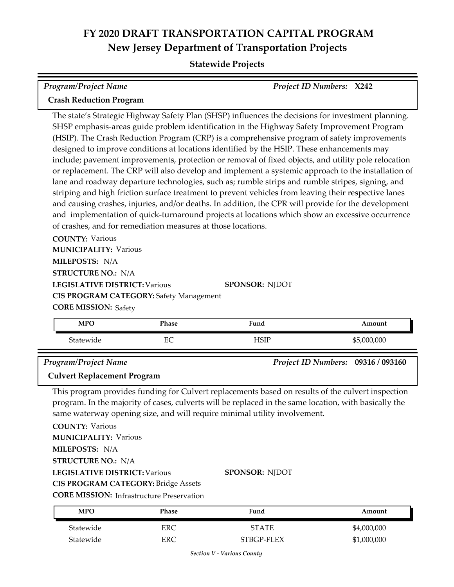### **Statewide Projects**

| <b>Program/Project Name</b>                                                                                           | Project ID Numbers: X242                                                                                                                                                                                                                                                                                                                                                                                                                                                                                                                                                                                                                                                                                                                                                                                                        |
|-----------------------------------------------------------------------------------------------------------------------|---------------------------------------------------------------------------------------------------------------------------------------------------------------------------------------------------------------------------------------------------------------------------------------------------------------------------------------------------------------------------------------------------------------------------------------------------------------------------------------------------------------------------------------------------------------------------------------------------------------------------------------------------------------------------------------------------------------------------------------------------------------------------------------------------------------------------------|
| <b>Crash Reduction Program</b>                                                                                        |                                                                                                                                                                                                                                                                                                                                                                                                                                                                                                                                                                                                                                                                                                                                                                                                                                 |
| designed to improve conditions at locations identified by the HSIP. These enhancements may                            | The state's Strategic Highway Safety Plan (SHSP) influences the decisions for investment planning.<br>SHSP emphasis-areas guide problem identification in the Highway Safety Improvement Program<br>(HSIP). The Crash Reduction Program (CRP) is a comprehensive program of safety improvements<br>include; pavement improvements, protection or removal of fixed objects, and utility pole relocation<br>or replacement. The CRP will also develop and implement a systemic approach to the installation of<br>lane and roadway departure technologies, such as; rumble strips and rumble stripes, signing, and<br>striping and high friction surface treatment to prevent vehicles from leaving their respective lanes<br>and causing crashes, injuries, and/or deaths. In addition, the CPR will provide for the development |
| of crashes, and for remediation measures at those locations.                                                          | and implementation of quick-turnaround projects at locations which show an excessive occurrence                                                                                                                                                                                                                                                                                                                                                                                                                                                                                                                                                                                                                                                                                                                                 |
| <b>COUNTY: Various</b><br><b>MUNICIPALITY: Various</b>                                                                |                                                                                                                                                                                                                                                                                                                                                                                                                                                                                                                                                                                                                                                                                                                                                                                                                                 |
| MILEPOSTS: N/A<br><b>STRUCTURE NO.: N/A</b>                                                                           |                                                                                                                                                                                                                                                                                                                                                                                                                                                                                                                                                                                                                                                                                                                                                                                                                                 |
| <b>LEGISLATIVE DISTRICT: Various</b><br><b>CIS PROGRAM CATEGORY: Safety Management</b><br><b>CORE MISSION: Safety</b> | SPONSOR: NJDOT                                                                                                                                                                                                                                                                                                                                                                                                                                                                                                                                                                                                                                                                                                                                                                                                                  |

| <b>MPO</b> | Phase         | Fund        | Amount      |
|------------|---------------|-------------|-------------|
| Statewide  | ∽<br>┳.<br>ĿC | <b>TSIF</b> | \$5,000,000 |
|            |               |             |             |

*Program/Project Name Project ID Numbers:* **09316 / 093160**

#### **Culvert Replacement Program**

This program provides funding for Culvert replacements based on results of the culvert inspection program. In the majority of cases, culverts will be replaced in the same location, with basically the same waterway opening size, and will require minimal utility involvement.

**COUNTY:** Various **LEGISLATIVE DISTRICT:** Various **MILEPOSTS:** N/A **STRUCTURE NO.:** N/A **MUNICIPALITY: Various CIS PROGRAM CATEGORY:** Bridge Assets

**SPONSOR:** NJDOT

**CORE MISSION: Infrastructure Preservation** 

| <b>MPO</b> | Phase | Fund         | Amount      |
|------------|-------|--------------|-------------|
| Statewide  | ERC   | <b>STATE</b> | \$4,000,000 |
| Statewide  | ERC   | STBGP-FLEX   | \$1,000,000 |

*Section V - Various County*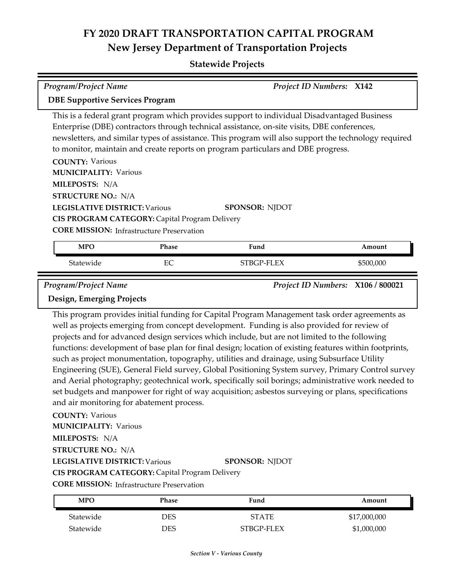#### **Statewide Projects**

| <b>Program/Project Name</b>                                                                                                                   | <b>Project ID Numbers: X142</b>                                                                           |                                                                                                                                                                                                                                                                                                                                                                                                                 |                                   |  |  |
|-----------------------------------------------------------------------------------------------------------------------------------------------|-----------------------------------------------------------------------------------------------------------|-----------------------------------------------------------------------------------------------------------------------------------------------------------------------------------------------------------------------------------------------------------------------------------------------------------------------------------------------------------------------------------------------------------------|-----------------------------------|--|--|
|                                                                                                                                               | <b>DBE Supportive Services Program</b>                                                                    |                                                                                                                                                                                                                                                                                                                                                                                                                 |                                   |  |  |
| <b>COUNTY: Various</b><br><b>MUNICIPALITY: Various</b><br>MILEPOSTS: N/A<br><b>STRUCTURE NO.: N/A</b><br><b>LEGISLATIVE DISTRICT: Various</b> | <b>CIS PROGRAM CATEGORY: Capital Program Delivery</b><br><b>CORE MISSION:</b> Infrastructure Preservation | This is a federal grant program which provides support to individual Disadvantaged Business<br>Enterprise (DBE) contractors through technical assistance, on-site visits, DBE conferences,<br>newsletters, and similar types of assistance. This program will also support the technology required<br>to monitor, maintain and create reports on program particulars and DBE progress.<br><b>SPONSOR: NJDOT</b> |                                   |  |  |
| <b>MPO</b>                                                                                                                                    | Phase                                                                                                     | Fund                                                                                                                                                                                                                                                                                                                                                                                                            | Amount                            |  |  |
| Statewide                                                                                                                                     | EC                                                                                                        | STBGP-FLEX                                                                                                                                                                                                                                                                                                                                                                                                      | \$500,000                         |  |  |
| <b>Program/Project Name</b><br>$\mathbf{D}$ . $\mathbf{F}$ . $\mathbf{D}$                                                                     |                                                                                                           |                                                                                                                                                                                                                                                                                                                                                                                                                 | Project ID Numbers: X106 / 800021 |  |  |

**Design, Emerging Projects**

This program provides initial funding for Capital Program Management task order agreements as well as projects emerging from concept development. Funding is also provided for review of projects and for advanced design services which include, but are not limited to the following functions: development of base plan for final design; location of existing features within footprints, such as project monumentation, topography, utilities and drainage, using Subsurface Utility Engineering (SUE), General Field survey, Global Positioning System survey, Primary Control survey and Aerial photography; geotechnical work, specifically soil borings; administrative work needed to set budgets and manpower for right of way acquisition; asbestos surveying or plans, specifications and air monitoring for abatement process.

**COUNTY:** Various

**MUNICIPALITY: Various** 

**MILEPOSTS:** N/A

**STRUCTURE NO.:** N/A

**LEGISLATIVE DISTRICT:** Various

#### **SPONSOR:** NJDOT

**CIS PROGRAM CATEGORY:** Capital Program Delivery

**CORE MISSION:** Infrastructure Preservation

| MPO       | Phase | Fund         | Amount       |
|-----------|-------|--------------|--------------|
| Statewide | DES   | <b>STATE</b> | \$17,000,000 |
| Statewide | DES   | STBGP-FLEX   | \$1,000,000  |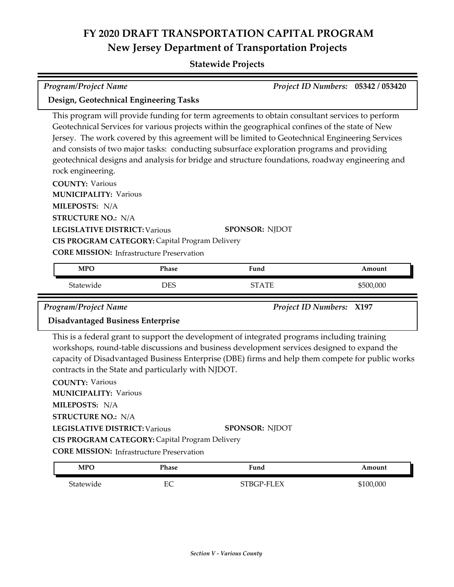### **Statewide Projects**

| <b>Program/Project Name</b>                                                                                         |            |                                                                                                                                                                                                                                                                                                                                                                                                                                                                                                      | Project ID Numbers: 05342 / 053420 |
|---------------------------------------------------------------------------------------------------------------------|------------|------------------------------------------------------------------------------------------------------------------------------------------------------------------------------------------------------------------------------------------------------------------------------------------------------------------------------------------------------------------------------------------------------------------------------------------------------------------------------------------------------|------------------------------------|
| Design, Geotechnical Engineering Tasks                                                                              |            |                                                                                                                                                                                                                                                                                                                                                                                                                                                                                                      |                                    |
| rock engineering.<br><b>COUNTY: Various</b><br><b>MUNICIPALITY: Various</b>                                         |            | This program will provide funding for term agreements to obtain consultant services to perform<br>Geotechnical Services for various projects within the geographical confines of the state of New<br>Jersey. The work covered by this agreement will be limited to Geotechnical Engineering Services<br>and consists of two major tasks: conducting subsurface exploration programs and providing<br>geotechnical designs and analysis for bridge and structure foundations, roadway engineering and |                                    |
| MILEPOSTS: N/A                                                                                                      |            |                                                                                                                                                                                                                                                                                                                                                                                                                                                                                                      |                                    |
| <b>STRUCTURE NO.: N/A</b><br><b>LEGISLATIVE DISTRICT: Various</b><br>CIS PROGRAM CATEGORY: Capital Program Delivery |            | <b>SPONSOR: NJDOT</b>                                                                                                                                                                                                                                                                                                                                                                                                                                                                                |                                    |
| <b>CORE MISSION:</b> Infrastructure Preservation                                                                    |            |                                                                                                                                                                                                                                                                                                                                                                                                                                                                                                      |                                    |
| <b>MPO</b>                                                                                                          | Phase      | Fund                                                                                                                                                                                                                                                                                                                                                                                                                                                                                                 | Amount                             |
| Statewide                                                                                                           | <b>DES</b> | <b>STATE</b>                                                                                                                                                                                                                                                                                                                                                                                                                                                                                         | \$500,000                          |

*Program/Project Name Project ID Numbers:* **X197**

#### **Disadvantaged Business Enterprise**

This is a federal grant to support the development of integrated programs including training workshops, round-table discussions and business development services designed to expand the capacity of Disadvantaged Business Enterprise (DBE) firms and help them compete for public works contracts in the State and particularly with NJDOT.

**COUNTY:** Various **LEGISLATIVE DISTRICT:** Various **MILEPOSTS:** N/A **STRUCTURE NO.:** N/A **MUNICIPALITY: Various CORE MISSION:** Infrastructure Preservation **SPONSOR:** NJDOT **CIS PROGRAM CATEGORY:** Capital Program Delivery

| MPO       | Phase            | Fund       | Amount  |
|-----------|------------------|------------|---------|
| Statewide | $_{\rm EC}$<br>◡ | STBGP-FLEX | 100,000 |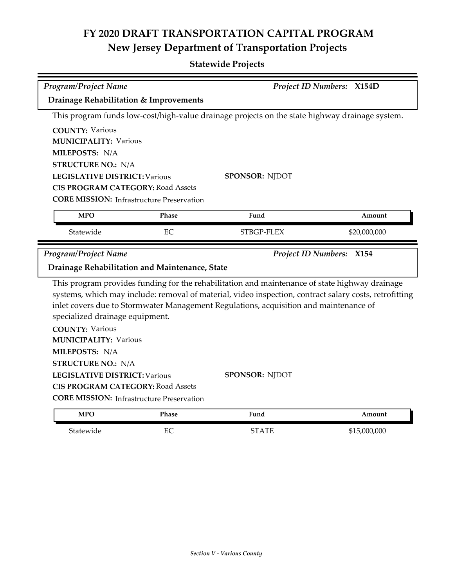| <b>Program/Project Name</b>                               |       |                                                                                                | Project ID Numbers: X154D                                                                              |
|-----------------------------------------------------------|-------|------------------------------------------------------------------------------------------------|--------------------------------------------------------------------------------------------------------|
| Drainage Rehabilitation & Improvements                    |       |                                                                                                |                                                                                                        |
|                                                           |       | This program funds low-cost/high-value drainage projects on the state highway drainage system. |                                                                                                        |
| <b>COUNTY: Various</b>                                    |       |                                                                                                |                                                                                                        |
| <b>MUNICIPALITY: Various</b>                              |       |                                                                                                |                                                                                                        |
| MILEPOSTS: N/A                                            |       |                                                                                                |                                                                                                        |
| <b>STRUCTURE NO.: N/A</b>                                 |       |                                                                                                |                                                                                                        |
| <b>LEGISLATIVE DISTRICT: Various</b>                      |       | <b>SPONSOR: NJDOT</b>                                                                          |                                                                                                        |
| <b>CIS PROGRAM CATEGORY: Road Assets</b>                  |       |                                                                                                |                                                                                                        |
| <b>CORE MISSION:</b> Infrastructure Preservation          |       |                                                                                                |                                                                                                        |
| <b>MPO</b>                                                | Phase | Fund                                                                                           | Amount                                                                                                 |
| Statewide                                                 | EC    | STBGP-FLEX                                                                                     | \$20,000,000                                                                                           |
|                                                           |       |                                                                                                |                                                                                                        |
| <b>Program/Project Name</b>                               |       |                                                                                                | <b>Project ID Numbers: X154</b>                                                                        |
| Drainage Rehabilitation and Maintenance, State            |       |                                                                                                |                                                                                                        |
|                                                           |       | This program provides funding for the rehabilitation and maintenance of state highway drainage |                                                                                                        |
| specialized drainage equipment.<br><b>COUNTY: Various</b> |       | inlet covers due to Stormwater Management Regulations, acquisition and maintenance of          | systems, which may include: removal of material, video inspection, contract salary costs, retrofitting |
| <b>MUNICIPALITY: Various</b>                              |       |                                                                                                |                                                                                                        |
| MILEPOSTS: N/A                                            |       |                                                                                                |                                                                                                        |
| <b>STRUCTURE NO.: N/A</b>                                 |       |                                                                                                |                                                                                                        |
| <b>LEGISLATIVE DISTRICT: Various</b>                      |       | SPONSOR: NJDOT                                                                                 |                                                                                                        |
| <b>CIS PROGRAM CATEGORY: Road Assets</b>                  |       |                                                                                                |                                                                                                        |
| <b>CORE MISSION:</b> Infrastructure Preservation          |       |                                                                                                |                                                                                                        |

| $\mathcal{L}$ $\mathcal{L}$ $\mathcal{L}$ $\mathcal{L}$ $\mathcal{L}$ $\mathcal{L}$ $\mathcal{L}$ $\mathcal{L}$ $\mathcal{L}$ $\mathcal{L}$ $\mathcal{L}$<br>__ | ⊏⊂<br>-<br>∽<br>$\sim$ | mm<br>∸ | ,000<br>റററ<br>-615. |
|-----------------------------------------------------------------------------------------------------------------------------------------------------------------|------------------------|---------|----------------------|
|                                                                                                                                                                 |                        |         |                      |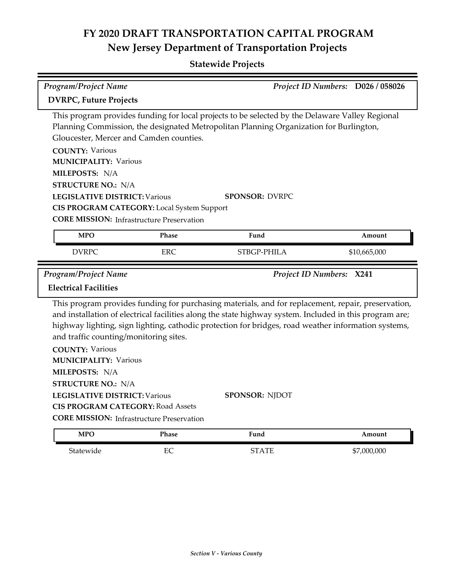| Program/Project Name                                                                                                                                                                                                                                                                       |              |                                                                                                                                                                                                                                                                                                                      | Project ID Numbers: D026 / 058026 |
|--------------------------------------------------------------------------------------------------------------------------------------------------------------------------------------------------------------------------------------------------------------------------------------------|--------------|----------------------------------------------------------------------------------------------------------------------------------------------------------------------------------------------------------------------------------------------------------------------------------------------------------------------|-----------------------------------|
| <b>DVRPC, Future Projects</b>                                                                                                                                                                                                                                                              |              |                                                                                                                                                                                                                                                                                                                      |                                   |
| Gloucester, Mercer and Camden counties.<br><b>COUNTY: Various</b><br><b>MUNICIPALITY: Various</b><br>MILEPOSTS: N/A<br><b>STRUCTURE NO.: N/A</b><br><b>LEGISLATIVE DISTRICT: Various</b><br>CIS PROGRAM CATEGORY: Local System Support<br><b>CORE MISSION: Infrastructure Preservation</b> |              | This program provides funding for local projects to be selected by the Delaware Valley Regional<br>Planning Commission, the designated Metropolitan Planning Organization for Burlington,<br><b>SPONSOR: DVRPC</b>                                                                                                   |                                   |
| <b>MPO</b>                                                                                                                                                                                                                                                                                 | <b>Phase</b> | Fund                                                                                                                                                                                                                                                                                                                 | Amount                            |
| <b>DVRPC</b>                                                                                                                                                                                                                                                                               | <b>ERC</b>   | STBGP-PHILA                                                                                                                                                                                                                                                                                                          | \$10,665,000                      |
| <b>Program/Project Name</b><br><b>Electrical Facilities</b>                                                                                                                                                                                                                                |              | Project ID Numbers: X241                                                                                                                                                                                                                                                                                             |                                   |
| and traffic counting/monitoring sites.                                                                                                                                                                                                                                                     |              | This program provides funding for purchasing materials, and for replacement, repair, preservation,<br>and installation of electrical facilities along the state highway system. Included in this program are;<br>highway lighting, sign lighting, cathodic protection for bridges, road weather information systems, |                                   |
| <b>COUNTY: Various</b><br><b>MUNICIPALITY: Various</b><br>MILEPOSTS: N/A                                                                                                                                                                                                                   |              |                                                                                                                                                                                                                                                                                                                      |                                   |
| <b>STRUCTURE NO.: N/A</b><br><b>LEGISLATIVE DISTRICT: Various</b><br><b>CIS PROGRAM CATEGORY: Road Assets</b><br><b>CORE MISSION:</b> Infrastructure Preservation                                                                                                                          |              | <b>SPONSOR: NJDOT</b>                                                                                                                                                                                                                                                                                                |                                   |
| <b>MPO</b>                                                                                                                                                                                                                                                                                 | Phase        | Fund                                                                                                                                                                                                                                                                                                                 | Amount                            |
| Statewide                                                                                                                                                                                                                                                                                  | EC           | <b>STATE</b>                                                                                                                                                                                                                                                                                                         | \$7,000,000                       |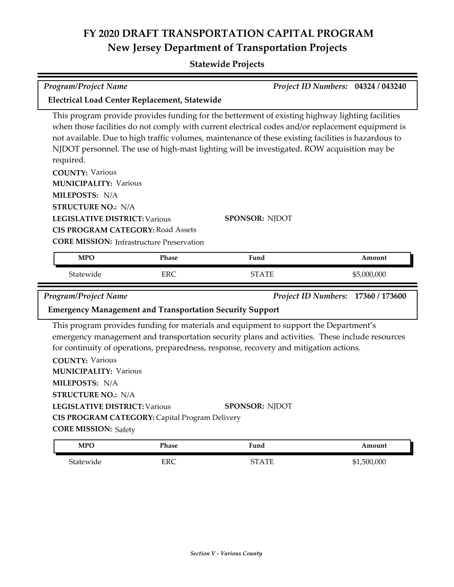| <b>Program/Project Name</b><br>Project ID Numbers: 04324 / 043240                                                                                                                                                                                                                                                                                                                                                         |                                                                 |                                                                                                                                                                                                                                                                                                            |                                    |  |  |  |
|---------------------------------------------------------------------------------------------------------------------------------------------------------------------------------------------------------------------------------------------------------------------------------------------------------------------------------------------------------------------------------------------------------------------------|-----------------------------------------------------------------|------------------------------------------------------------------------------------------------------------------------------------------------------------------------------------------------------------------------------------------------------------------------------------------------------------|------------------------------------|--|--|--|
|                                                                                                                                                                                                                                                                                                                                                                                                                           | Electrical Load Center Replacement, Statewide                   |                                                                                                                                                                                                                                                                                                            |                                    |  |  |  |
| This program provide provides funding for the betterment of existing highway lighting facilities<br>when those facilities do not comply with current electrical codes and/or replacement equipment is<br>not available. Due to high traffic volumes, maintenance of these existing facilities is hazardous to<br>NJDOT personnel. The use of high-mast lighting will be investigated. ROW acquisition may be<br>required. |                                                                 |                                                                                                                                                                                                                                                                                                            |                                    |  |  |  |
| <b>COUNTY: Various</b>                                                                                                                                                                                                                                                                                                                                                                                                    |                                                                 |                                                                                                                                                                                                                                                                                                            |                                    |  |  |  |
| <b>MUNICIPALITY: Various</b>                                                                                                                                                                                                                                                                                                                                                                                              |                                                                 |                                                                                                                                                                                                                                                                                                            |                                    |  |  |  |
| MILEPOSTS: N/A<br><b>STRUCTURE NO.: N/A</b>                                                                                                                                                                                                                                                                                                                                                                               |                                                                 |                                                                                                                                                                                                                                                                                                            |                                    |  |  |  |
| <b>LEGISLATIVE DISTRICT: Various</b>                                                                                                                                                                                                                                                                                                                                                                                      |                                                                 | <b>SPONSOR: NJDOT</b>                                                                                                                                                                                                                                                                                      |                                    |  |  |  |
| <b>CIS PROGRAM CATEGORY: Road Assets</b>                                                                                                                                                                                                                                                                                                                                                                                  |                                                                 |                                                                                                                                                                                                                                                                                                            |                                    |  |  |  |
|                                                                                                                                                                                                                                                                                                                                                                                                                           | <b>CORE MISSION:</b> Infrastructure Preservation                |                                                                                                                                                                                                                                                                                                            |                                    |  |  |  |
| <b>MPO</b>                                                                                                                                                                                                                                                                                                                                                                                                                | Phase                                                           | Fund                                                                                                                                                                                                                                                                                                       | Amount                             |  |  |  |
|                                                                                                                                                                                                                                                                                                                                                                                                                           |                                                                 |                                                                                                                                                                                                                                                                                                            |                                    |  |  |  |
| Statewide                                                                                                                                                                                                                                                                                                                                                                                                                 | <b>ERC</b>                                                      | <b>STATE</b>                                                                                                                                                                                                                                                                                               | \$5,000,000                        |  |  |  |
| <b>Program/Project Name</b>                                                                                                                                                                                                                                                                                                                                                                                               |                                                                 |                                                                                                                                                                                                                                                                                                            | Project ID Numbers: 17360 / 173600 |  |  |  |
|                                                                                                                                                                                                                                                                                                                                                                                                                           | <b>Emergency Management and Transportation Security Support</b> |                                                                                                                                                                                                                                                                                                            |                                    |  |  |  |
| <b>COUNTY: Various</b><br><b>MUNICIPALITY: Various</b><br>MILEPOSTS: N/A<br><b>STRUCTURE NO.: N/A</b><br><b>LEGISLATIVE DISTRICT: Various</b><br><b>CORE MISSION: Safety</b>                                                                                                                                                                                                                                              | CIS PROGRAM CATEGORY: Capital Program Delivery                  | This program provides funding for materials and equipment to support the Department's<br>emergency management and transportation security plans and activities. These include resources<br>for continuity of operations, preparedness, response, recovery and mitigation actions.<br><b>SPONSOR: NJDOT</b> |                                    |  |  |  |
| <b>MPO</b>                                                                                                                                                                                                                                                                                                                                                                                                                | Phase                                                           | Fund                                                                                                                                                                                                                                                                                                       | Amount                             |  |  |  |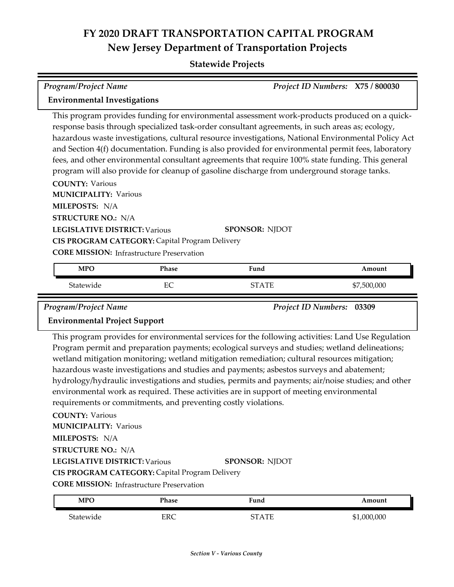### **Statewide Projects**

| Program/Project Name                        |                                                  |                                                                                                                                                                                                                                                                                                                                                                                                                                                                                                                                                                                                                   | Project ID Numbers: X75 / 800030 |
|---------------------------------------------|--------------------------------------------------|-------------------------------------------------------------------------------------------------------------------------------------------------------------------------------------------------------------------------------------------------------------------------------------------------------------------------------------------------------------------------------------------------------------------------------------------------------------------------------------------------------------------------------------------------------------------------------------------------------------------|----------------------------------|
| <b>Environmental Investigations</b>         |                                                  |                                                                                                                                                                                                                                                                                                                                                                                                                                                                                                                                                                                                                   |                                  |
| <b>COUNTY: Various</b>                      |                                                  | This program provides funding for environmental assessment work-products produced on a quick-<br>response basis through specialized task-order consultant agreements, in such areas as; ecology,<br>hazardous waste investigations, cultural resource investigations, National Environmental Policy Act<br>and Section 4(f) documentation. Funding is also provided for environmental permit fees, laboratory<br>fees, and other environmental consultant agreements that require 100% state funding. This general<br>program will also provide for cleanup of gasoline discharge from underground storage tanks. |                                  |
| <b>MUNICIPALITY: Various</b>                |                                                  |                                                                                                                                                                                                                                                                                                                                                                                                                                                                                                                                                                                                                   |                                  |
| MILEPOSTS: N/A<br><b>STRUCTURE NO.: N/A</b> |                                                  |                                                                                                                                                                                                                                                                                                                                                                                                                                                                                                                                                                                                                   |                                  |
| <b>LEGISLATIVE DISTRICT: Various</b>        | CIS PROGRAM CATEGORY: Capital Program Delivery   | <b>SPONSOR: NJDOT</b>                                                                                                                                                                                                                                                                                                                                                                                                                                                                                                                                                                                             |                                  |
|                                             | <b>CORE MISSION:</b> Infrastructure Preservation |                                                                                                                                                                                                                                                                                                                                                                                                                                                                                                                                                                                                                   |                                  |
| <b>MPO</b>                                  | Phase                                            | Fund                                                                                                                                                                                                                                                                                                                                                                                                                                                                                                                                                                                                              | Amount                           |
| Statewide                                   | EC                                               | <b>STATE</b>                                                                                                                                                                                                                                                                                                                                                                                                                                                                                                                                                                                                      | \$7,500,000                      |

*Program/Project Name Project ID Numbers:* **03309**

#### **Environmental Project Support**

This program provides for environmental services for the following activities: Land Use Regulation Program permit and preparation payments; ecological surveys and studies; wetland delineations; wetland mitigation monitoring; wetland mitigation remediation; cultural resources mitigation; hazardous waste investigations and studies and payments; asbestos surveys and abatement; hydrology/hydraulic investigations and studies, permits and payments; air/noise studies; and other environmental work as required. These activities are in support of meeting environmental requirements or commitments, and preventing costly violations.

**COUNTY:** Various

**MUNICIPALITY: Various** 

**MILEPOSTS:** N/A

**STRUCTURE NO.:** N/A

**LEGISLATIVE DISTRICT:** Various

**SPONSOR:** NJDOT

**CIS PROGRAM CATEGORY:** Capital Program Delivery

**CORE MISSION:** Infrastructure Preservation

| <b>MPO</b> | Phase | Fund  | Amount      |
|------------|-------|-------|-------------|
| Statewide  | ERC   | STATF | \$1,000,000 |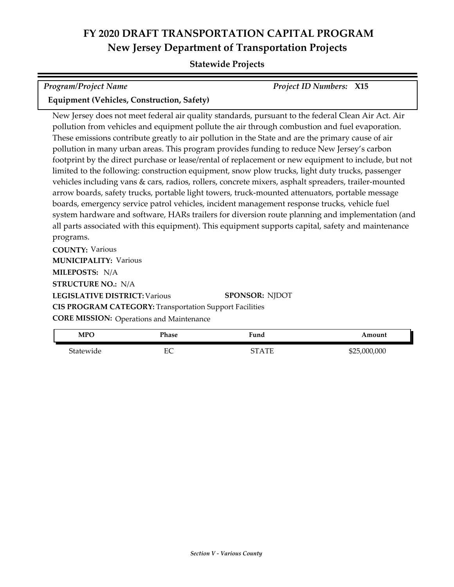#### **Statewide Projects**

| <b>Program/Project Name</b>                       | <b>Project ID Numbers: X15</b> |  |
|---------------------------------------------------|--------------------------------|--|
| <b>Equipment (Vehicles, Construction, Safety)</b> |                                |  |

New Jersey does not meet federal air quality standards, pursuant to the federal Clean Air Act. Air pollution from vehicles and equipment pollute the air through combustion and fuel evaporation. These emissions contribute greatly to air pollution in the State and are the primary cause of air pollution in many urban areas. This program provides funding to reduce New Jersey's carbon footprint by the direct purchase or lease/rental of replacement or new equipment to include, but not limited to the following: construction equipment, snow plow trucks, light duty trucks, passenger vehicles including vans & cars, radios, rollers, concrete mixers, asphalt spreaders, trailer-mounted arrow boards, safety trucks, portable light towers, truck-mounted attenuators, portable message boards, emergency service patrol vehicles, incident management response trucks, vehicle fuel system hardware and software, HARs trailers for diversion route planning and implementation (and all parts associated with this equipment). This equipment supports capital, safety and maintenance programs.

**COUNTY:** Various **LEGISLATIVE DISTRICT:** Various **MILEPOSTS:** N/A **STRUCTURE NO.:** N/A **MUNICIPALITY: Various CORE MISSION: Operations and Maintenance SPONSOR:** NJDOT **CIS PROGRAM CATEGORY:** Transportation Support Facilities

|              |              | .            |           |
|--------------|--------------|--------------|-----------|
| Amount       | Fund         | <b>Phase</b> | MPO       |
| \$25,000,000 | <b>STATE</b> | гr<br>ĿC     | Statewide |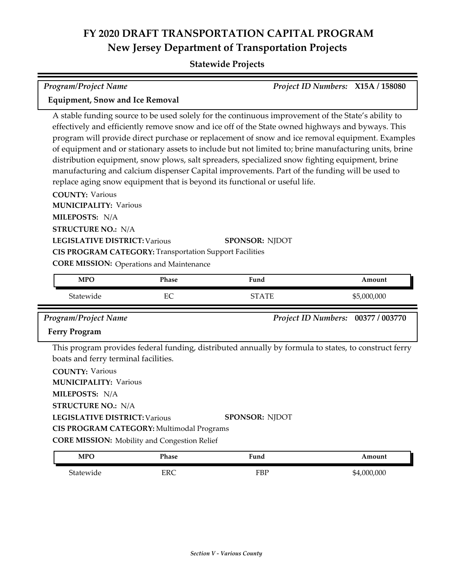### **Statewide Projects**

*Program/Project Name Project ID Numbers:* **X15A / 158080**

| <b>Equipment, Snow and Ice Removal</b>                                                                                                                                                                                                                                                                                                                                                                                                                                                                                                                                                                                                                                                                                                                                          |                                                                |                                                                                                                        |                                    |  |
|---------------------------------------------------------------------------------------------------------------------------------------------------------------------------------------------------------------------------------------------------------------------------------------------------------------------------------------------------------------------------------------------------------------------------------------------------------------------------------------------------------------------------------------------------------------------------------------------------------------------------------------------------------------------------------------------------------------------------------------------------------------------------------|----------------------------------------------------------------|------------------------------------------------------------------------------------------------------------------------|------------------------------------|--|
| A stable funding source to be used solely for the continuous improvement of the State's ability to<br>effectively and efficiently remove snow and ice off of the State owned highways and byways. This<br>program will provide direct purchase or replacement of snow and ice removal equipment. Examples<br>of equipment and or stationary assets to include but not limited to; brine manufacturing units, brine<br>distribution equipment, snow plows, salt spreaders, specialized snow fighting equipment, brine<br>manufacturing and calcium dispenser Capital improvements. Part of the funding will be used to<br>replace aging snow equipment that is beyond its functional or useful life.<br><b>COUNTY: Various</b><br><b>MUNICIPALITY: Various</b><br>MILEPOSTS: N/A |                                                                |                                                                                                                        |                                    |  |
| <b>STRUCTURE NO.: N/A</b>                                                                                                                                                                                                                                                                                                                                                                                                                                                                                                                                                                                                                                                                                                                                                       |                                                                |                                                                                                                        |                                    |  |
| <b>LEGISLATIVE DISTRICT: Various</b>                                                                                                                                                                                                                                                                                                                                                                                                                                                                                                                                                                                                                                                                                                                                            |                                                                | <b>SPONSOR: NJDOT</b>                                                                                                  |                                    |  |
|                                                                                                                                                                                                                                                                                                                                                                                                                                                                                                                                                                                                                                                                                                                                                                                 | <b>CIS PROGRAM CATEGORY: Transportation Support Facilities</b> |                                                                                                                        |                                    |  |
|                                                                                                                                                                                                                                                                                                                                                                                                                                                                                                                                                                                                                                                                                                                                                                                 | <b>CORE MISSION:</b> Operations and Maintenance                |                                                                                                                        |                                    |  |
| <b>MPO</b>                                                                                                                                                                                                                                                                                                                                                                                                                                                                                                                                                                                                                                                                                                                                                                      | Phase                                                          | Fund                                                                                                                   | Amount                             |  |
|                                                                                                                                                                                                                                                                                                                                                                                                                                                                                                                                                                                                                                                                                                                                                                                 |                                                                |                                                                                                                        |                                    |  |
|                                                                                                                                                                                                                                                                                                                                                                                                                                                                                                                                                                                                                                                                                                                                                                                 |                                                                |                                                                                                                        |                                    |  |
| Statewide                                                                                                                                                                                                                                                                                                                                                                                                                                                                                                                                                                                                                                                                                                                                                                       | EC                                                             | <b>STATE</b>                                                                                                           | \$5,000,000                        |  |
| <b>Program/Project Name</b>                                                                                                                                                                                                                                                                                                                                                                                                                                                                                                                                                                                                                                                                                                                                                     |                                                                |                                                                                                                        | Project ID Numbers: 00377 / 003770 |  |
| <b>Ferry Program</b>                                                                                                                                                                                                                                                                                                                                                                                                                                                                                                                                                                                                                                                                                                                                                            |                                                                |                                                                                                                        |                                    |  |
| boats and ferry terminal facilities.<br><b>COUNTY: Various</b><br><b>MUNICIPALITY: Various</b><br>MILEPOSTS: N/A<br><b>STRUCTURE NO.: N/A</b><br><b>LEGISLATIVE DISTRICT: Various</b>                                                                                                                                                                                                                                                                                                                                                                                                                                                                                                                                                                                           |                                                                | This program provides federal funding, distributed annually by formula to states, to construct ferry<br>SPONSOR: NJDOT |                                    |  |
|                                                                                                                                                                                                                                                                                                                                                                                                                                                                                                                                                                                                                                                                                                                                                                                 | CIS PROGRAM CATEGORY: Multimodal Programs                      |                                                                                                                        |                                    |  |
| <b>MPO</b>                                                                                                                                                                                                                                                                                                                                                                                                                                                                                                                                                                                                                                                                                                                                                                      | <b>CORE MISSION:</b> Mobility and Congestion Relief<br>Phase   | Fund                                                                                                                   | Amount                             |  |
| Statewide                                                                                                                                                                                                                                                                                                                                                                                                                                                                                                                                                                                                                                                                                                                                                                       | <b>ERC</b>                                                     | FBP                                                                                                                    | \$4,000,000                        |  |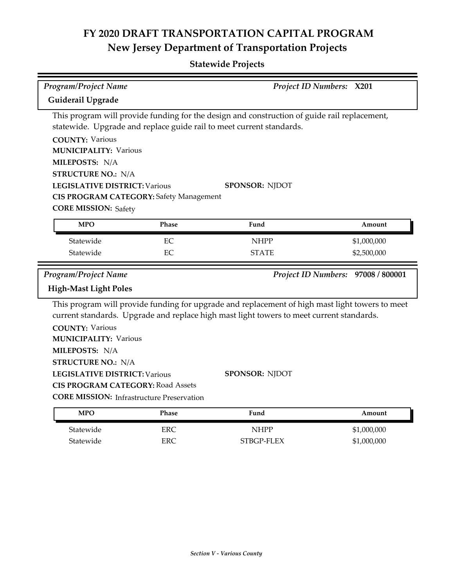**Statewide Projects**

| <b>Program/Project Name</b>                                                                  |                                                  |                                                                                                                                                                                             | Project ID Numbers: X201           |  |  |  |
|----------------------------------------------------------------------------------------------|--------------------------------------------------|---------------------------------------------------------------------------------------------------------------------------------------------------------------------------------------------|------------------------------------|--|--|--|
| Guiderail Upgrade                                                                            |                                                  |                                                                                                                                                                                             |                                    |  |  |  |
| This program will provide funding for the design and construction of guide rail replacement, |                                                  |                                                                                                                                                                                             |                                    |  |  |  |
|                                                                                              |                                                  | statewide. Upgrade and replace guide rail to meet current standards.                                                                                                                        |                                    |  |  |  |
| <b>COUNTY: Various</b>                                                                       |                                                  |                                                                                                                                                                                             |                                    |  |  |  |
| <b>MUNICIPALITY: Various</b>                                                                 |                                                  |                                                                                                                                                                                             |                                    |  |  |  |
| MILEPOSTS: N/A                                                                               |                                                  |                                                                                                                                                                                             |                                    |  |  |  |
| <b>STRUCTURE NO.: N/A</b>                                                                    |                                                  |                                                                                                                                                                                             |                                    |  |  |  |
| <b>LEGISLATIVE DISTRICT: Various</b>                                                         |                                                  | SPONSOR: NJDOT                                                                                                                                                                              |                                    |  |  |  |
|                                                                                              | <b>CIS PROGRAM CATEGORY: Safety Management</b>   |                                                                                                                                                                                             |                                    |  |  |  |
| <b>CORE MISSION: Safety</b>                                                                  |                                                  |                                                                                                                                                                                             |                                    |  |  |  |
| <b>MPO</b>                                                                                   | Phase                                            | Fund                                                                                                                                                                                        | Amount                             |  |  |  |
| Statewide                                                                                    | EC                                               | <b>NHPP</b>                                                                                                                                                                                 | \$1,000,000                        |  |  |  |
| Statewide                                                                                    | EC                                               | <b>STATE</b>                                                                                                                                                                                | \$2,500,000                        |  |  |  |
| Program/Project Name                                                                         |                                                  |                                                                                                                                                                                             | Project ID Numbers: 97008 / 800001 |  |  |  |
| <b>High-Mast Light Poles</b>                                                                 |                                                  |                                                                                                                                                                                             |                                    |  |  |  |
|                                                                                              |                                                  | This program will provide funding for upgrade and replacement of high mast light towers to meet<br>current standards. Upgrade and replace high mast light towers to meet current standards. |                                    |  |  |  |
| <b>COUNTY: Various</b>                                                                       |                                                  |                                                                                                                                                                                             |                                    |  |  |  |
| <b>MUNICIPALITY: Various</b>                                                                 |                                                  |                                                                                                                                                                                             |                                    |  |  |  |
| MILEPOSTS: N/A                                                                               |                                                  |                                                                                                                                                                                             |                                    |  |  |  |
| <b>STRUCTURE NO.: N/A</b>                                                                    |                                                  |                                                                                                                                                                                             |                                    |  |  |  |
| <b>LEGISLATIVE DISTRICT: Various</b>                                                         |                                                  | <b>SPONSOR: NJDOT</b>                                                                                                                                                                       |                                    |  |  |  |
|                                                                                              | <b>CIS PROGRAM CATEGORY: Road Assets</b>         |                                                                                                                                                                                             |                                    |  |  |  |
|                                                                                              | <b>CORE MISSION:</b> Infrastructure Preservation |                                                                                                                                                                                             |                                    |  |  |  |
| <b>MPO</b>                                                                                   | Phase                                            | Fund                                                                                                                                                                                        | Amount                             |  |  |  |
| Statewide                                                                                    | <b>ERC</b>                                       | <b>NHPP</b>                                                                                                                                                                                 | \$1,000,000                        |  |  |  |

Statewide ERC ERC STBGP-FLEX \$1,000,000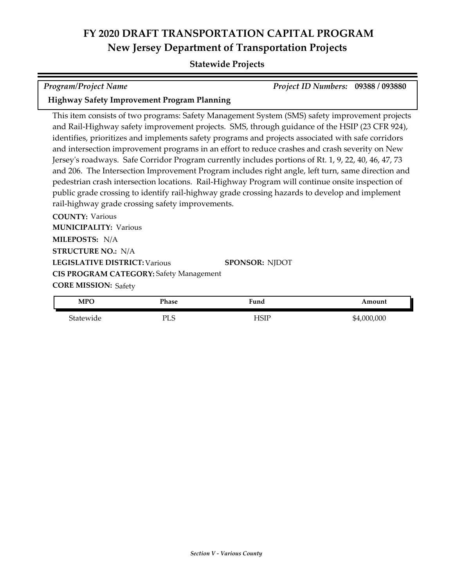#### **Statewide Projects**

| <b>Program/Project Name</b> |  | Project ID Numbers: 09388 / 093880 |  |
|-----------------------------|--|------------------------------------|--|
| . <b>.</b>                  |  |                                    |  |

#### **Highway Safety Improvement Program Planning**

This item consists of two programs: Safety Management System (SMS) safety improvement projects and Rail-Highway safety improvement projects. SMS, through guidance of the HSIP (23 CFR 924), identifies, prioritizes and implements safety programs and projects associated with safe corridors and intersection improvement programs in an effort to reduce crashes and crash severity on New Jersey's roadways. Safe Corridor Program currently includes portions of Rt. 1, 9, 22, 40, 46, 47, 73 and 206. The Intersection Improvement Program includes right angle, left turn, same direction and pedestrian crash intersection locations. Rail-Highway Program will continue onsite inspection of public grade crossing to identify rail-highway grade crossing hazards to develop and implement rail-highway grade crossing safety improvements.

**COUNTY:** Various **LEGISLATIVE DISTRICT:** Various **MILEPOSTS:** N/A **STRUCTURE NO.:** N/A **MUNICIPALITY: Various CORE MISSION: Safety SPONSOR:** NJDOT **CIS PROGRAM CATEGORY:** Safety Management

| <b>MPO</b> | <sup>p</sup> hase      | Fund | mount    |
|------------|------------------------|------|----------|
| Statewide  | DТ<br>$\epsilon$<br>்ப | HSIF | ,000,000 |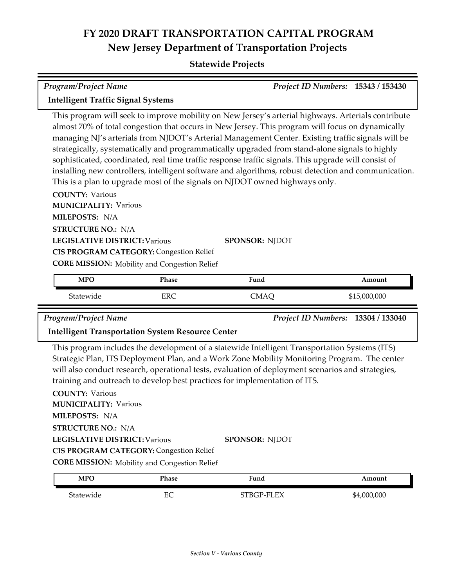### **Statewide Projects**

| <b>Program/Project Name</b>                                                                        | <b>Project ID Numbers: 15343 / 153430</b> |  |
|----------------------------------------------------------------------------------------------------|-------------------------------------------|--|
| <b>Intelligent Traffic Signal Systems</b>                                                          |                                           |  |
| This program will sook to improve mobility on New Jersen's enterial highways. Arterials contribute |                                           |  |

This program will seek to improve mobility on New Jersey's arterial highways. Arterials contribute almost 70% of total congestion that occurs in New Jersey. This program will focus on dynamically managing NJ's arterials from NJDOT's Arterial Management Center. Existing traffic signals will be strategically, systematically and programmatically upgraded from stand-alone signals to highly sophisticated, coordinated, real time traffic response traffic signals. This upgrade will consist of installing new controllers, intelligent software and algorithms, robust detection and communication. This is a plan to upgrade most of the signals on NJDOT owned highways only.

**COUNTY:** Various **LEGISLATIVE DISTRICT:** Various **MILEPOSTS:** N/A **STRUCTURE NO.:** N/A **MUNICIPALITY: Various CORE MISSION:** Mobility and Congestion Relief **SPONSOR:** NJDOT **CIS PROGRAM CATEGORY:** Congestion Relief

| <b>MPO</b> | Phase | $\mathbf{r}$<br>Fund | Amount       |
|------------|-------|----------------------|--------------|
| Statewide  | ERC   | `MAQ                 | \$15,000,000 |

*Program/Project Name Project ID Numbers:* **13304 / 133040**

#### **Intelligent Transportation System Resource Center**

This program includes the development of a statewide Intelligent Transportation Systems (ITS) Strategic Plan, ITS Deployment Plan, and a Work Zone Mobility Monitoring Program. The center will also conduct research, operational tests, evaluation of deployment scenarios and strategies, training and outreach to develop best practices for implementation of ITS.

**COUNTY:** Various **LEGISLATIVE DISTRICT:** Various **MILEPOSTS:** N/A **STRUCTURE NO.:** N/A **MUNICIPALITY: Various CORE MISSION:** Mobility and Congestion Relief **SPONSOR:** NJDOT **CIS PROGRAM CATEGORY:** Congestion Relief

| MPO       | Phase     | Fund       | Amount      |
|-----------|-----------|------------|-------------|
| Statewide | гΩ<br>CV. | STBGP-FLEX | \$4,000,000 |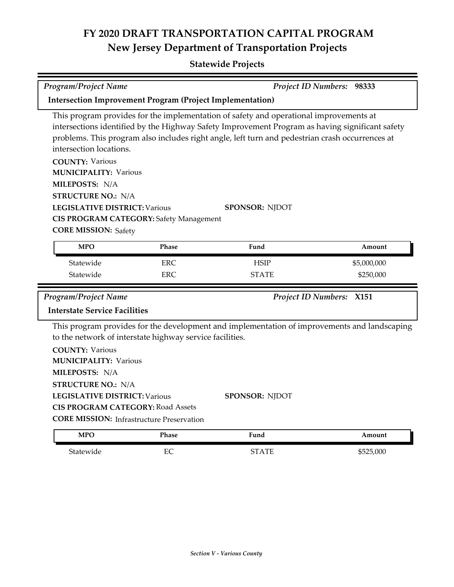| Program/Project Name                                                                                                                                                                                                                                                                                                    |                                                                  |                                                                                                                | Project ID Numbers: 98333 |  |  |  |
|-------------------------------------------------------------------------------------------------------------------------------------------------------------------------------------------------------------------------------------------------------------------------------------------------------------------------|------------------------------------------------------------------|----------------------------------------------------------------------------------------------------------------|---------------------------|--|--|--|
|                                                                                                                                                                                                                                                                                                                         | <b>Intersection Improvement Program (Project Implementation)</b> |                                                                                                                |                           |  |  |  |
| This program provides for the implementation of safety and operational improvements at<br>intersections identified by the Highway Safety Improvement Program as having significant safety<br>problems. This program also includes right angle, left turn and pedestrian crash occurrences at<br>intersection locations. |                                                                  |                                                                                                                |                           |  |  |  |
| <b>COUNTY: Various</b><br><b>MUNICIPALITY: Various</b><br>MILEPOSTS: N/A                                                                                                                                                                                                                                                |                                                                  |                                                                                                                |                           |  |  |  |
| <b>STRUCTURE NO.: N/A</b><br><b>LEGISLATIVE DISTRICT: Various</b><br><b>CIS PROGRAM CATEGORY: Safety Management</b><br><b>CORE MISSION: Safety</b>                                                                                                                                                                      |                                                                  | <b>SPONSOR: NJDOT</b>                                                                                          |                           |  |  |  |
| <b>MPO</b>                                                                                                                                                                                                                                                                                                              | Phase                                                            | Fund                                                                                                           | Amount                    |  |  |  |
| Statewide                                                                                                                                                                                                                                                                                                               | <b>ERC</b>                                                       | <b>HSIP</b>                                                                                                    | \$5,000,000               |  |  |  |
| Statewide                                                                                                                                                                                                                                                                                                               | <b>ERC</b>                                                       | <b>STATE</b>                                                                                                   | \$250,000                 |  |  |  |
| Program/Project Name                                                                                                                                                                                                                                                                                                    |                                                                  |                                                                                                                | Project ID Numbers: X151  |  |  |  |
| <b>Interstate Service Facilities</b>                                                                                                                                                                                                                                                                                    |                                                                  |                                                                                                                |                           |  |  |  |
| to the network of interstate highway service facilities.<br><b>COUNTY: Various</b><br><b>MUNICIPALITY: Various</b><br>MILEPOSTS: N/A<br><b>STRUCTURE NO.: N/A</b><br><b>LEGISLATIVE DISTRICT: Various</b>                                                                                                               |                                                                  | This program provides for the development and implementation of improvements and landscaping<br>SPONSOR: NJDOT |                           |  |  |  |
| <b>CIS PROGRAM CATEGORY: Road Assets</b><br><b>CORE MISSION: Infrastructure Preservation</b>                                                                                                                                                                                                                            |                                                                  |                                                                                                                |                           |  |  |  |
| <b>MPO</b>                                                                                                                                                                                                                                                                                                              | Phase                                                            | Fund                                                                                                           | Amount                    |  |  |  |
| Statewide                                                                                                                                                                                                                                                                                                               | EC                                                               | STATE                                                                                                          | \$525,000                 |  |  |  |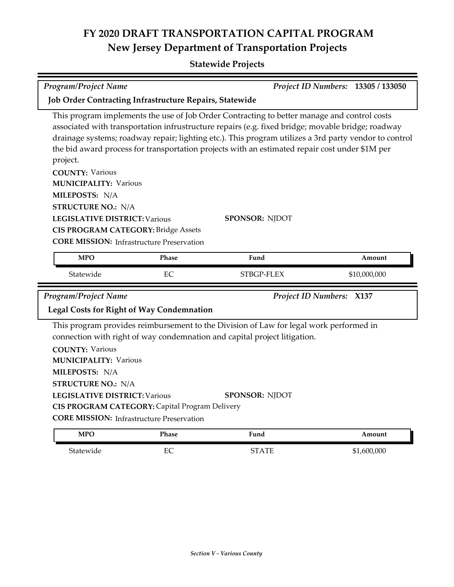### **Statewide Projects**

| <b>Program/Project Name</b>                                                                                                                                                                                                                                                                                                                                                                     |       |                                                                                                                                                                                                                                                                                                                                                                                                                                      | Project ID Numbers: 13305 / 133050 |  |  |  |
|-------------------------------------------------------------------------------------------------------------------------------------------------------------------------------------------------------------------------------------------------------------------------------------------------------------------------------------------------------------------------------------------------|-------|--------------------------------------------------------------------------------------------------------------------------------------------------------------------------------------------------------------------------------------------------------------------------------------------------------------------------------------------------------------------------------------------------------------------------------------|------------------------------------|--|--|--|
| <b>Job Order Contracting Infrastructure Repairs, Statewide</b>                                                                                                                                                                                                                                                                                                                                  |       |                                                                                                                                                                                                                                                                                                                                                                                                                                      |                                    |  |  |  |
| project.<br><b>COUNTY: Various</b><br><b>MUNICIPALITY: Various</b><br>MILEPOSTS: N/A<br><b>STRUCTURE NO.: N/A</b><br><b>LEGISLATIVE DISTRICT: Various</b><br><b>CIS PROGRAM CATEGORY: Bridge Assets</b><br><b>CORE MISSION:</b> Infrastructure Preservation                                                                                                                                     |       | This program implements the use of Job Order Contracting to better manage and control costs<br>associated with transportation infrustructure repairs (e.g. fixed bridge; movable bridge; roadway<br>drainage systems; roadway repair; lighting etc.). This program utilizes a 3rd party vendor to control<br>the bid award process for transportation projects with an estimated repair cost under \$1M per<br><b>SPONSOR: NJDOT</b> |                                    |  |  |  |
| <b>MPO</b>                                                                                                                                                                                                                                                                                                                                                                                      | Phase | Fund                                                                                                                                                                                                                                                                                                                                                                                                                                 | Amount                             |  |  |  |
| Statewide                                                                                                                                                                                                                                                                                                                                                                                       | EC    | STBGP-FLEX                                                                                                                                                                                                                                                                                                                                                                                                                           | \$10,000,000                       |  |  |  |
| Program/Project Name                                                                                                                                                                                                                                                                                                                                                                            |       |                                                                                                                                                                                                                                                                                                                                                                                                                                      | Project ID Numbers: X137           |  |  |  |
| <b>Legal Costs for Right of Way Condemnation</b>                                                                                                                                                                                                                                                                                                                                                |       |                                                                                                                                                                                                                                                                                                                                                                                                                                      |                                    |  |  |  |
| This program provides reimbursement to the Division of Law for legal work performed in<br>connection with right of way condemnation and capital project litigation.<br><b>COUNTY: Various</b><br><b>MUNICIPALITY: Various</b><br>MILEPOSTS: N/A<br><b>STRUCTURE NO.: N/A</b><br><b>LEGISLATIVE DISTRICT: Various</b><br><b>SPONSOR: NJDOT</b><br>CIS PROGRAM CATEGORY: Capital Program Delivery |       |                                                                                                                                                                                                                                                                                                                                                                                                                                      |                                    |  |  |  |
| <b>CORE MISSION:</b> Infrastructure Preservation                                                                                                                                                                                                                                                                                                                                                |       |                                                                                                                                                                                                                                                                                                                                                                                                                                      |                                    |  |  |  |
| <b>MPO</b>                                                                                                                                                                                                                                                                                                                                                                                      | Phase | Fund                                                                                                                                                                                                                                                                                                                                                                                                                                 | Amount                             |  |  |  |

Statewide EC EC STATE \$1,600,000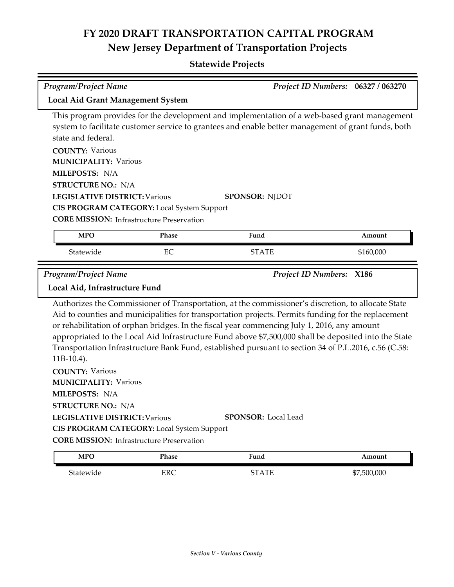| <b>Program/Project Name</b>                                                                                                                                                                                                                                                                                                       |            |                                                                                                                                                                                                                                                                                                                                                                                                                                                                                                                                                                                       | Project ID Numbers: 06327 / 063270 |  |  |
|-----------------------------------------------------------------------------------------------------------------------------------------------------------------------------------------------------------------------------------------------------------------------------------------------------------------------------------|------------|---------------------------------------------------------------------------------------------------------------------------------------------------------------------------------------------------------------------------------------------------------------------------------------------------------------------------------------------------------------------------------------------------------------------------------------------------------------------------------------------------------------------------------------------------------------------------------------|------------------------------------|--|--|
| <b>Local Aid Grant Management System</b>                                                                                                                                                                                                                                                                                          |            |                                                                                                                                                                                                                                                                                                                                                                                                                                                                                                                                                                                       |                                    |  |  |
| state and federal.<br><b>COUNTY: Various</b><br><b>MUNICIPALITY: Various</b><br>MILEPOSTS: N/A<br><b>STRUCTURE NO.: N/A</b><br><b>LEGISLATIVE DISTRICT: Various</b><br>CIS PROGRAM CATEGORY: Local System Support<br><b>CORE MISSION:</b> Infrastructure Preservation                                                             |            | This program provides for the development and implementation of a web-based grant management<br>system to facilitate customer service to grantees and enable better management of grant funds, both<br><b>SPONSOR: NJDOT</b>                                                                                                                                                                                                                                                                                                                                                          |                                    |  |  |
| <b>MPO</b>                                                                                                                                                                                                                                                                                                                        | Phase      | Fund                                                                                                                                                                                                                                                                                                                                                                                                                                                                                                                                                                                  | Amount                             |  |  |
| Statewide                                                                                                                                                                                                                                                                                                                         | EC         | <b>STATE</b>                                                                                                                                                                                                                                                                                                                                                                                                                                                                                                                                                                          | \$160,000                          |  |  |
| <b>Program/Project Name</b><br>Local Aid, Infrastructure Fund<br>$11B-10.4$ ).<br><b>COUNTY: Various</b><br><b>MUNICIPALITY: Various</b><br>MILEPOSTS: N/A<br><b>STRUCTURE NO.: N/A</b><br><b>LEGISLATIVE DISTRICT: Various</b><br>CIS PROGRAM CATEGORY: Local System Support<br><b>CORE MISSION:</b> Infrastructure Preservation |            | <b>Project ID Numbers:</b><br>Authorizes the Commissioner of Transportation, at the commissioner's discretion, to allocate State<br>Aid to counties and municipalities for transportation projects. Permits funding for the replacement<br>or rehabilitation of orphan bridges. In the fiscal year commencing July 1, 2016, any amount<br>appropriated to the Local Aid Infrastructure Fund above \$7,500,000 shall be deposited into the State<br>Transportation Infrastructure Bank Fund, established pursuant to section 34 of P.L.2016, c.56 (C.58:<br><b>SPONSOR:</b> Local Lead | <b>X186</b>                        |  |  |
| <b>MPO</b>                                                                                                                                                                                                                                                                                                                        | Phase      | Fund                                                                                                                                                                                                                                                                                                                                                                                                                                                                                                                                                                                  | Amount                             |  |  |
| Statewide                                                                                                                                                                                                                                                                                                                         | <b>ERC</b> | <b>STATE</b>                                                                                                                                                                                                                                                                                                                                                                                                                                                                                                                                                                          | \$7,500,000                        |  |  |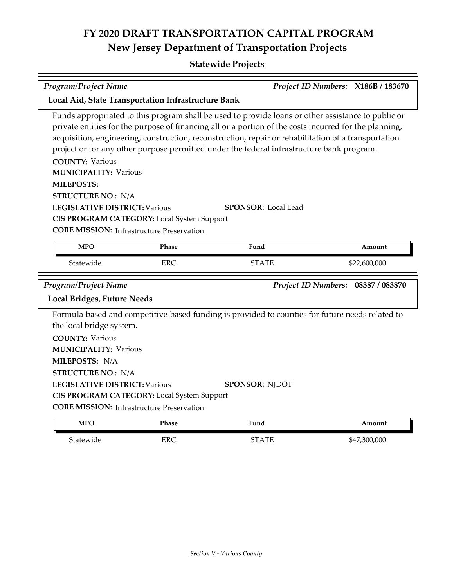### **Statewide Projects**

| Program/Project Name                                                                                                                                                                                                                               |                                                     |                                                                                                                                                                                                                                                                                                                                                                                                                                                 | Project ID Numbers: X186B / 183670 |  |  |  |  |
|----------------------------------------------------------------------------------------------------------------------------------------------------------------------------------------------------------------------------------------------------|-----------------------------------------------------|-------------------------------------------------------------------------------------------------------------------------------------------------------------------------------------------------------------------------------------------------------------------------------------------------------------------------------------------------------------------------------------------------------------------------------------------------|------------------------------------|--|--|--|--|
|                                                                                                                                                                                                                                                    | Local Aid, State Transportation Infrastructure Bank |                                                                                                                                                                                                                                                                                                                                                                                                                                                 |                                    |  |  |  |  |
| <b>COUNTY: Various</b><br><b>MUNICIPALITY: Various</b><br><b>MILEPOSTS:</b><br><b>STRUCTURE NO.: N/A</b><br><b>LEGISLATIVE DISTRICT: Various</b><br>CIS PROGRAM CATEGORY: Local System Support<br><b>CORE MISSION:</b> Infrastructure Preservation |                                                     | Funds appropriated to this program shall be used to provide loans or other assistance to public or<br>private entities for the purpose of financing all or a portion of the costs incurred for the planning,<br>acquisition, engineering, construction, reconstruction, repair or rehabilitation of a transportation<br>project or for any other purpose permitted under the federal infrastructure bank program.<br><b>SPONSOR: Local Lead</b> |                                    |  |  |  |  |
| <b>MPO</b>                                                                                                                                                                                                                                         | Phase                                               | Fund                                                                                                                                                                                                                                                                                                                                                                                                                                            | Amount                             |  |  |  |  |
| Statewide                                                                                                                                                                                                                                          | <b>ERC</b>                                          | <b>STATE</b>                                                                                                                                                                                                                                                                                                                                                                                                                                    | \$22,600,000                       |  |  |  |  |
| Program/Project Name                                                                                                                                                                                                                               |                                                     |                                                                                                                                                                                                                                                                                                                                                                                                                                                 | Project ID Numbers: 08387 / 083870 |  |  |  |  |
| <b>Local Bridges, Future Needs</b>                                                                                                                                                                                                                 |                                                     |                                                                                                                                                                                                                                                                                                                                                                                                                                                 |                                    |  |  |  |  |
| the local bridge system.<br><b>COUNTY: Various</b><br><b>MUNICIPALITY: Various</b><br>MILEPOSTS: N/A<br><b>STRUCTURE NO.: N/A</b><br><b>LEGISLATIVE DISTRICT: Various</b><br>CIS PROGRAM CATEGORY: Local System Support                            |                                                     | Formula-based and competitive-based funding is provided to counties for future needs related to<br><b>SPONSOR: NJDOT</b>                                                                                                                                                                                                                                                                                                                        |                                    |  |  |  |  |
| <b>CORE MISSION:</b> Infrastructure Preservation                                                                                                                                                                                                   |                                                     |                                                                                                                                                                                                                                                                                                                                                                                                                                                 |                                    |  |  |  |  |

Statewide ERC ERC STATE \$47,300,000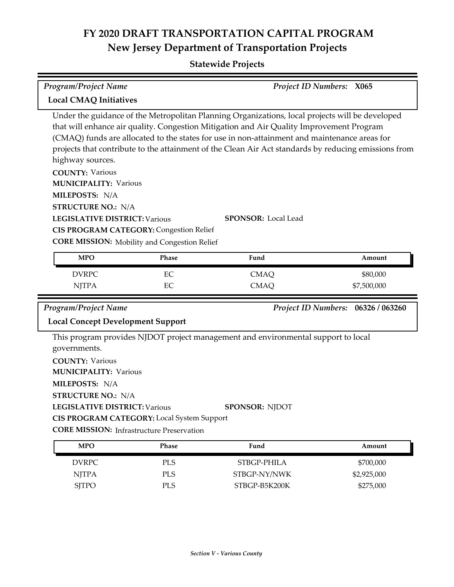| Program/Project Name                                                                                                                                                                                                                                                                                                                                                                                                                              |            | <b>Project ID Numbers: X065</b> |                |  |  |
|---------------------------------------------------------------------------------------------------------------------------------------------------------------------------------------------------------------------------------------------------------------------------------------------------------------------------------------------------------------------------------------------------------------------------------------------------|------------|---------------------------------|----------------|--|--|
|                                                                                                                                                                                                                                                                                                                                                                                                                                                   |            |                                 |                |  |  |
| <b>Local CMAQ Initiatives</b>                                                                                                                                                                                                                                                                                                                                                                                                                     |            |                                 |                |  |  |
| Under the guidance of the Metropolitan Planning Organizations, local projects will be developed<br>that will enhance air quality. Congestion Mitigation and Air Quality Improvement Program<br>(CMAQ) funds are allocated to the states for use in non-attainment and maintenance areas for<br>projects that contribute to the attainment of the Clean Air Act standards by reducing emissions from<br>highway sources.<br><b>COUNTY: Various</b> |            |                                 |                |  |  |
| <b>MUNICIPALITY: Various</b>                                                                                                                                                                                                                                                                                                                                                                                                                      |            |                                 |                |  |  |
| MILEPOSTS: N/A                                                                                                                                                                                                                                                                                                                                                                                                                                    |            |                                 |                |  |  |
| <b>STRUCTURE NO.: N/A</b><br><b>LEGISLATIVE DISTRICT: Various</b><br><b>SPONSOR:</b> Local Lead<br><b>CIS PROGRAM CATEGORY: Congestion Relief</b><br><b>CORE MISSION:</b> Mobility and Congestion Relief                                                                                                                                                                                                                                          |            |                                 |                |  |  |
| <b>MPO</b>                                                                                                                                                                                                                                                                                                                                                                                                                                        | Phase      | Fund                            | Amount         |  |  |
| <b>DVRPC</b>                                                                                                                                                                                                                                                                                                                                                                                                                                      | EC         | <b>CMAQ</b>                     | \$80,000       |  |  |
| <b>NJTPA</b>                                                                                                                                                                                                                                                                                                                                                                                                                                      | EC         | <b>CMAQ</b>                     | \$7,500,000    |  |  |
| <b>Program/Project Name</b>                                                                                                                                                                                                                                                                                                                                                                                                                       |            | <b>Project ID Numbers:</b>      | 06326 / 063260 |  |  |
| <b>Local Concept Development Support</b>                                                                                                                                                                                                                                                                                                                                                                                                          |            |                                 |                |  |  |
| This program provides NJDOT project management and environmental support to local<br>governments.<br><b>COUNTY: Various</b><br><b>MUNICIPALITY: Various</b><br>MILEPOSTS: N/A<br><b>STRUCTURE NO.: N/A</b><br>SPONSOR: NJDOT<br><b>LEGISLATIVE DISTRICT: Various</b><br><b>CIS PROGRAM CATEGORY:</b> Local System Support                                                                                                                         |            |                                 |                |  |  |
| <b>CORE MISSION:</b> Infrastructure Preservation<br><b>MPO</b>                                                                                                                                                                                                                                                                                                                                                                                    | Phase      | Fund                            | Amount         |  |  |
|                                                                                                                                                                                                                                                                                                                                                                                                                                                   |            |                                 |                |  |  |
| <b>DVRPC</b>                                                                                                                                                                                                                                                                                                                                                                                                                                      | <b>PLS</b> | STBGP-PHILA                     | \$700,000      |  |  |
| <b>NJTPA</b>                                                                                                                                                                                                                                                                                                                                                                                                                                      | <b>PLS</b> | STBGP-NY/NWK                    | \$2,925,000    |  |  |
| <b>SJTPO</b>                                                                                                                                                                                                                                                                                                                                                                                                                                      | <b>PLS</b> | STBGP-B5K200K                   | \$275,000      |  |  |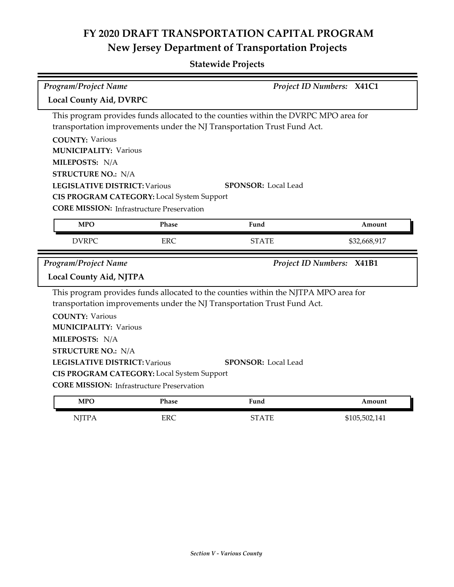| Program/Project Name                             | Project ID Numbers: X41C1                         |                                                                                                                                                                |              |  |  |
|--------------------------------------------------|---------------------------------------------------|----------------------------------------------------------------------------------------------------------------------------------------------------------------|--------------|--|--|
| <b>Local County Aid, DVRPC</b>                   |                                                   |                                                                                                                                                                |              |  |  |
|                                                  |                                                   | This program provides funds allocated to the counties within the DVRPC MPO area for<br>transportation improvements under the NJ Transportation Trust Fund Act. |              |  |  |
| <b>COUNTY: Various</b>                           |                                                   |                                                                                                                                                                |              |  |  |
| <b>MUNICIPALITY: Various</b><br>MILEPOSTS: N/A   |                                                   |                                                                                                                                                                |              |  |  |
| <b>STRUCTURE NO.: N/A</b>                        |                                                   |                                                                                                                                                                |              |  |  |
| <b>LEGISLATIVE DISTRICT: Various</b>             |                                                   | <b>SPONSOR: Local Lead</b>                                                                                                                                     |              |  |  |
|                                                  | CIS PROGRAM CATEGORY: Local System Support        |                                                                                                                                                                |              |  |  |
| <b>CORE MISSION:</b> Infrastructure Preservation |                                                   |                                                                                                                                                                |              |  |  |
| <b>MPO</b>                                       | Phase                                             | Fund                                                                                                                                                           | Amount       |  |  |
| <b>DVRPC</b>                                     | <b>ERC</b>                                        | <b>STATE</b>                                                                                                                                                   | \$32,668,917 |  |  |
| Project ID Numbers: X41B1                        |                                                   |                                                                                                                                                                |              |  |  |
| Program/Project Name                             |                                                   |                                                                                                                                                                |              |  |  |
| <b>Local County Aid, NJTPA</b>                   |                                                   |                                                                                                                                                                |              |  |  |
|                                                  |                                                   | This program provides funds allocated to the counties within the NJTPA MPO area for<br>transportation improvements under the NJ Transportation Trust Fund Act. |              |  |  |
| <b>COUNTY: Various</b>                           |                                                   |                                                                                                                                                                |              |  |  |
| <b>MUNICIPALITY: Various</b>                     |                                                   |                                                                                                                                                                |              |  |  |
| MILEPOSTS: N/A                                   |                                                   |                                                                                                                                                                |              |  |  |
| <b>STRUCTURE NO.: N/A</b>                        |                                                   |                                                                                                                                                                |              |  |  |
| <b>LEGISLATIVE DISTRICT: Various</b>             |                                                   | <b>SPONSOR: Local Lead</b>                                                                                                                                     |              |  |  |
|                                                  | <b>CIS PROGRAM CATEGORY:</b> Local System Support |                                                                                                                                                                |              |  |  |
| <b>CORE MISSION:</b> Infrastructure Preservation |                                                   |                                                                                                                                                                |              |  |  |
| <b>MPO</b>                                       | Phase                                             | Fund                                                                                                                                                           | Amount       |  |  |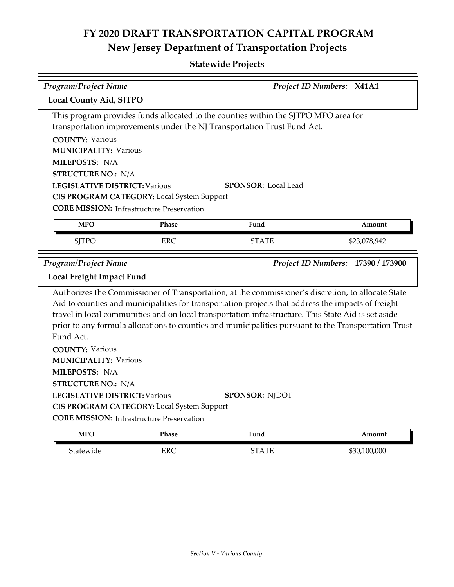| Program/Project Name                                   |                                            |                                                                                                                                                                                                                                                                                                                                                                                                                         | Project ID Numbers: X41A1          |  |  |
|--------------------------------------------------------|--------------------------------------------|-------------------------------------------------------------------------------------------------------------------------------------------------------------------------------------------------------------------------------------------------------------------------------------------------------------------------------------------------------------------------------------------------------------------------|------------------------------------|--|--|
| <b>Local County Aid, SJTPO</b>                         |                                            |                                                                                                                                                                                                                                                                                                                                                                                                                         |                                    |  |  |
| <b>COUNTY: Various</b>                                 |                                            | This program provides funds allocated to the counties within the SJTPO MPO area for<br>transportation improvements under the NJ Transportation Trust Fund Act.                                                                                                                                                                                                                                                          |                                    |  |  |
| <b>MUNICIPALITY: Various</b>                           |                                            |                                                                                                                                                                                                                                                                                                                                                                                                                         |                                    |  |  |
| MILEPOSTS: N/A                                         |                                            |                                                                                                                                                                                                                                                                                                                                                                                                                         |                                    |  |  |
| <b>STRUCTURE NO.: N/A</b>                              |                                            |                                                                                                                                                                                                                                                                                                                                                                                                                         |                                    |  |  |
| <b>LEGISLATIVE DISTRICT: Various</b>                   |                                            | <b>SPONSOR: Local Lead</b>                                                                                                                                                                                                                                                                                                                                                                                              |                                    |  |  |
|                                                        | CIS PROGRAM CATEGORY: Local System Support |                                                                                                                                                                                                                                                                                                                                                                                                                         |                                    |  |  |
| <b>CORE MISSION:</b> Infrastructure Preservation       |                                            |                                                                                                                                                                                                                                                                                                                                                                                                                         |                                    |  |  |
| <b>MPO</b>                                             | <b>Phase</b>                               | Fund                                                                                                                                                                                                                                                                                                                                                                                                                    | Amount                             |  |  |
| <b>SJTPO</b>                                           | <b>ERC</b>                                 | <b>STATE</b>                                                                                                                                                                                                                                                                                                                                                                                                            | \$23,078,942                       |  |  |
| Program/Project Name<br>Local Freight Impact Fund      |                                            |                                                                                                                                                                                                                                                                                                                                                                                                                         | Project ID Numbers: 17390 / 173900 |  |  |
|                                                        |                                            |                                                                                                                                                                                                                                                                                                                                                                                                                         |                                    |  |  |
| Fund Act.                                              |                                            | Authorizes the Commissioner of Transportation, at the commissioner's discretion, to allocate State<br>Aid to counties and municipalities for transportation projects that address the impacts of freight<br>travel in local communities and on local transportation infrastructure. This State Aid is set aside<br>prior to any formula allocations to counties and municipalities pursuant to the Transportation Trust |                                    |  |  |
| <b>COUNTY: Various</b><br><b>MUNICIPALITY: Various</b> |                                            |                                                                                                                                                                                                                                                                                                                                                                                                                         |                                    |  |  |
| MILEPOSTS: N/A                                         |                                            |                                                                                                                                                                                                                                                                                                                                                                                                                         |                                    |  |  |
| <b>STRUCTURE NO.: N/A</b>                              |                                            |                                                                                                                                                                                                                                                                                                                                                                                                                         |                                    |  |  |
| <b>LEGISLATIVE DISTRICT: Various</b>                   |                                            | <b>SPONSOR: NJDOT</b>                                                                                                                                                                                                                                                                                                                                                                                                   |                                    |  |  |
| <b>CORE MISSION: Infrastructure Preservation</b>       | CIS PROGRAM CATEGORY: Local System Support |                                                                                                                                                                                                                                                                                                                                                                                                                         |                                    |  |  |
| <b>MPO</b>                                             | <b>Phase</b>                               | Fund                                                                                                                                                                                                                                                                                                                                                                                                                    | Amount                             |  |  |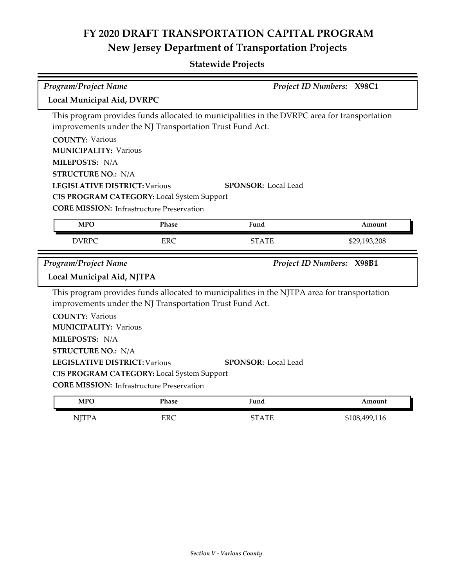| <b>Program/Project Name</b><br>Project ID Numbers: X98C1 |                                                          |                                                                                              |              |  |  |
|----------------------------------------------------------|----------------------------------------------------------|----------------------------------------------------------------------------------------------|--------------|--|--|
| Local Municipal Aid, DVRPC                               |                                                          |                                                                                              |              |  |  |
|                                                          |                                                          | This program provides funds allocated to municipalities in the DVRPC area for transportation |              |  |  |
|                                                          | improvements under the NJ Transportation Trust Fund Act. |                                                                                              |              |  |  |
| <b>COUNTY: Various</b>                                   |                                                          |                                                                                              |              |  |  |
| <b>MUNICIPALITY: Various</b>                             |                                                          |                                                                                              |              |  |  |
| MILEPOSTS: N/A                                           |                                                          |                                                                                              |              |  |  |
| <b>STRUCTURE NO.: N/A</b>                                |                                                          |                                                                                              |              |  |  |
| <b>LEGISLATIVE DISTRICT: Various</b>                     |                                                          | <b>SPONSOR: Local Lead</b>                                                                   |              |  |  |
|                                                          | CIS PROGRAM CATEGORY: Local System Support               |                                                                                              |              |  |  |
| <b>CORE MISSION:</b> Infrastructure Preservation         |                                                          |                                                                                              |              |  |  |
| <b>MPO</b>                                               | Phase                                                    | Fund                                                                                         | Amount       |  |  |
| <b>DVRPC</b>                                             | <b>ERC</b>                                               | <b>STATE</b>                                                                                 | \$29,193,208 |  |  |
| Project ID Numbers: X98B1                                |                                                          |                                                                                              |              |  |  |
| <b>Program/Project Name</b>                              |                                                          |                                                                                              |              |  |  |
| Local Municipal Aid, NJTPA                               |                                                          |                                                                                              |              |  |  |
|                                                          |                                                          | This program provides funds allocated to municipalities in the NJTPA area for transportation |              |  |  |
|                                                          | improvements under the NJ Transportation Trust Fund Act. |                                                                                              |              |  |  |
| <b>COUNTY: Various</b>                                   |                                                          |                                                                                              |              |  |  |
| <b>MUNICIPALITY: Various</b>                             |                                                          |                                                                                              |              |  |  |
| MILEPOSTS: N/A                                           |                                                          |                                                                                              |              |  |  |
| <b>STRUCTURE NO.: N/A</b>                                |                                                          |                                                                                              |              |  |  |
| <b>LEGISLATIVE DISTRICT: Various</b>                     |                                                          | <b>SPONSOR: Local Lead</b>                                                                   |              |  |  |
|                                                          |                                                          |                                                                                              |              |  |  |
| <b>CORE MISSION:</b> Infrastructure Preservation         | CIS PROGRAM CATEGORY: Local System Support               |                                                                                              |              |  |  |
| <b>MPO</b>                                               | Phase                                                    | Fund                                                                                         | Amount       |  |  |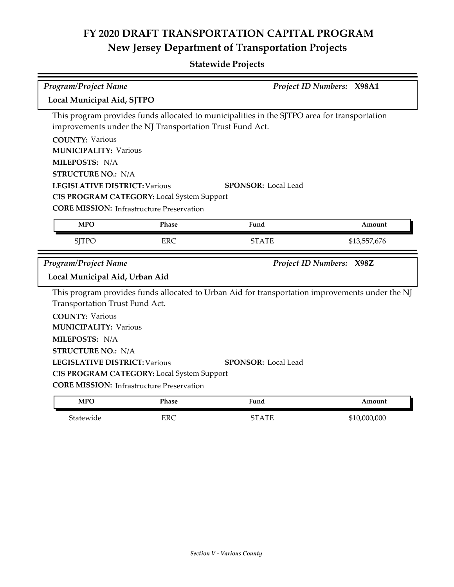| <b>Program/Project Name</b>                              |            |                                                                                                 | Project ID Numbers: X98A1 |  |  |
|----------------------------------------------------------|------------|-------------------------------------------------------------------------------------------------|---------------------------|--|--|
| Local Municipal Aid, SJTPO                               |            |                                                                                                 |                           |  |  |
| improvements under the NJ Transportation Trust Fund Act. |            | This program provides funds allocated to municipalities in the SJTPO area for transportation    |                           |  |  |
| <b>COUNTY: Various</b>                                   |            |                                                                                                 |                           |  |  |
| <b>MUNICIPALITY: Various</b>                             |            |                                                                                                 |                           |  |  |
| MILEPOSTS: N/A                                           |            |                                                                                                 |                           |  |  |
| <b>STRUCTURE NO.: N/A</b>                                |            |                                                                                                 |                           |  |  |
| <b>LEGISLATIVE DISTRICT: Various</b>                     |            | <b>SPONSOR: Local Lead</b>                                                                      |                           |  |  |
| CIS PROGRAM CATEGORY: Local System Support               |            |                                                                                                 |                           |  |  |
| <b>CORE MISSION:</b> Infrastructure Preservation         |            |                                                                                                 |                           |  |  |
| <b>MPO</b>                                               | Phase      | Fund                                                                                            | Amount                    |  |  |
| <b>SJTPO</b>                                             | <b>ERC</b> | <b>STATE</b>                                                                                    | \$13,557,676              |  |  |
| Project ID Numbers: X98Z                                 |            |                                                                                                 |                           |  |  |
| <b>Program/Project Name</b>                              |            |                                                                                                 |                           |  |  |
| Local Municipal Aid, Urban Aid                           |            |                                                                                                 |                           |  |  |
|                                                          |            | This program provides funds allocated to Urban Aid for transportation improvements under the NJ |                           |  |  |
| Transportation Trust Fund Act.                           |            |                                                                                                 |                           |  |  |
| <b>COUNTY: Various</b>                                   |            |                                                                                                 |                           |  |  |
| <b>MUNICIPALITY: Various</b>                             |            |                                                                                                 |                           |  |  |
| MILEPOSTS: N/A                                           |            |                                                                                                 |                           |  |  |
| <b>STRUCTURE NO.: N/A</b>                                |            |                                                                                                 |                           |  |  |
| <b>LEGISLATIVE DISTRICT: Various</b>                     |            | <b>SPONSOR: Local Lead</b>                                                                      |                           |  |  |
| CIS PROGRAM CATEGORY: Local System Support               |            |                                                                                                 |                           |  |  |
| <b>CORE MISSION:</b> Infrastructure Preservation         |            |                                                                                                 |                           |  |  |
| <b>MPO</b>                                               | Phase      | Fund                                                                                            | Amount                    |  |  |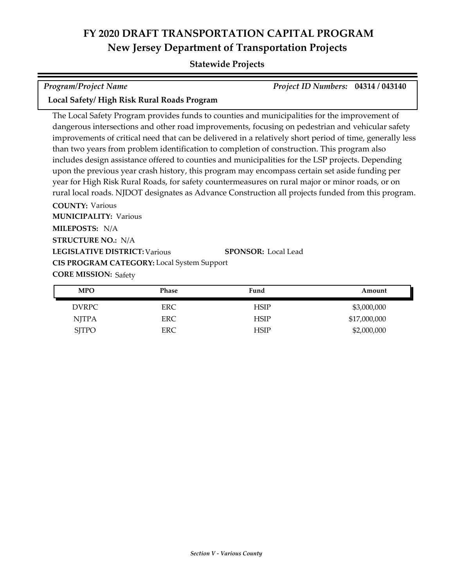### **Statewide Projects**

| <b>Program/Project Name</b>                | Project ID Numbers: 04314 / 043140 |  |
|--------------------------------------------|------------------------------------|--|
| Local Safety/High Risk Rural Roads Program |                                    |  |

**COUNTY:** Various **MILEPOSTS:** N/A **MUNICIPALITY: Various** The Local Safety Program provides funds to counties and municipalities for the improvement of dangerous intersections and other road improvements, focusing on pedestrian and vehicular safety improvements of critical need that can be delivered in a relatively short period of time, generally less than two years from problem identification to completion of construction. This program also includes design assistance offered to counties and municipalities for the LSP projects. Depending upon the previous year crash history, this program may encompass certain set aside funding per year for High Risk Rural Roads, for safety countermeasures on rural major or minor roads, or on rural local roads. NJDOT designates as Advance Construction all projects funded from this program.

**LEGISLATIVE DISTRICT:** Various **STRUCTURE NO.:** N/A **CORE MISSION: Safety SPONSOR:** Local Lead **CIS PROGRAM CATEGORY:** Local System Support

| <b>MPO</b>   | Phase      | Fund | Amount       |
|--------------|------------|------|--------------|
| <b>DVRPC</b> | <b>ERC</b> | HSIP | \$3,000,000  |
| NJTPA        | <b>ERC</b> | HSIP | \$17,000,000 |
| <b>SJTPO</b> | <b>ERC</b> | HSIP | \$2,000,000  |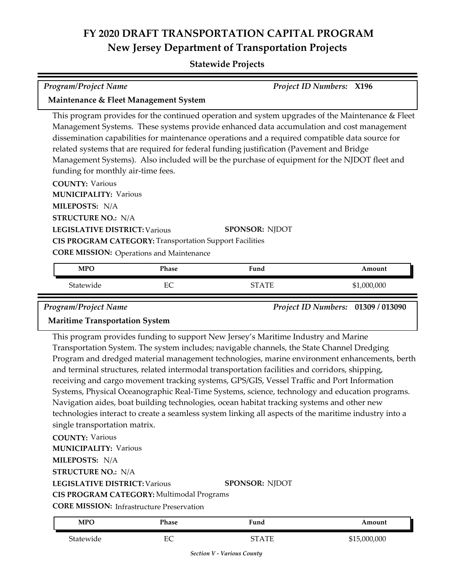#### **Statewide Projects**

| <b>Program/Project Name</b>                                                                                                    | <b>Project ID Numbers: X196</b>                                                                                                                                                                                                                                                                                                                                                                 |
|--------------------------------------------------------------------------------------------------------------------------------|-------------------------------------------------------------------------------------------------------------------------------------------------------------------------------------------------------------------------------------------------------------------------------------------------------------------------------------------------------------------------------------------------|
| Maintenance & Fleet Management System                                                                                          |                                                                                                                                                                                                                                                                                                                                                                                                 |
| related systems that are required for federal funding justification (Pavement and Bridge<br>funding for monthly air-time fees. | This program provides for the continued operation and system upgrades of the Maintenance & Fleet<br>Management Systems. These systems provide enhanced data accumulation and cost management<br>dissemination capabilities for maintenance operations and a required compatible data source for<br>Management Systems). Also included will be the purchase of equipment for the NJDOT fleet and |
| <b>COUNTY: Various</b><br><b>MUNICIPALITY: Various</b><br>MILEPOSTS: N/A<br><b>STRUCTURE NO.: N/A</b>                          |                                                                                                                                                                                                                                                                                                                                                                                                 |
| <b>LEGISLATIVE DISTRICT: Various</b>                                                                                           | <b>SPONSOR: NJDOT</b>                                                                                                                                                                                                                                                                                                                                                                           |
| <b>CIS PROGRAM CATEGORY: Transportation Support Facilities</b>                                                                 |                                                                                                                                                                                                                                                                                                                                                                                                 |

**CORE MISSION:** Operations and Maintenance

| <b>MPO</b> | Phase                      | Fund | Amount      |
|------------|----------------------------|------|-------------|
| Statewide  | $_{\rm EC}$<br>◡<br>$\sim$ | ATF  | \$1,000,000 |

*Program/Project Name Project ID Numbers:* **01309 / 013090**

#### **Maritime Transportation System**

This program provides funding to support New Jersey's Maritime Industry and Marine Transportation System. The system includes; navigable channels, the State Channel Dredging Program and dredged material management technologies, marine environment enhancements, berth and terminal structures, related intermodal transportation facilities and corridors, shipping, receiving and cargo movement tracking systems, GPS/GIS, Vessel Traffic and Port Information Systems, Physical Oceanographic Real-Time Systems, science, technology and education programs. Navigation aides, boat building technologies, ocean habitat tracking systems and other new technologies interact to create a seamless system linking all aspects of the maritime industry into a single transportation matrix.

**COUNTY:** Various **LEGISLATIVE DISTRICT:** Various **MILEPOSTS:** N/A **STRUCTURE NO.:** N/A **MUNICIPALITY: Various CORE MISSION:** Infrastructure Preservation **SPONSOR:** NJDOT **CIS PROGRAM CATEGORY:** Multimodal Programs

| <b>MPO</b> | Phase     | Fund         | Amount       |
|------------|-----------|--------------|--------------|
| Statewide  | гΩ<br>EV. | <b>STATE</b> | \$15,000,000 |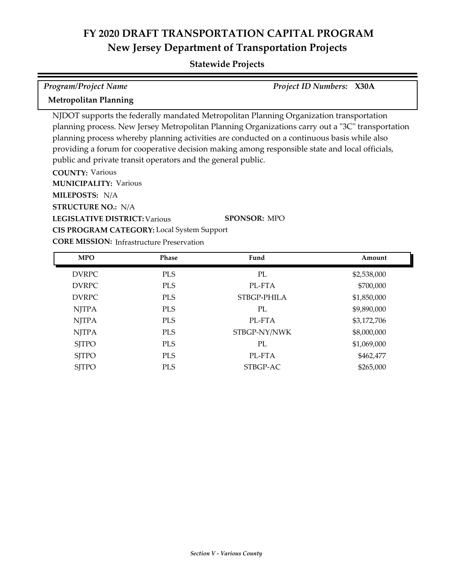| <b>Program/Project Name</b>                                                     |                                                              |                                                                                                                                                                                                                                                                                                                                                                                              | <b>Project ID Numbers: X30A</b> |  |  |
|---------------------------------------------------------------------------------|--------------------------------------------------------------|----------------------------------------------------------------------------------------------------------------------------------------------------------------------------------------------------------------------------------------------------------------------------------------------------------------------------------------------------------------------------------------------|---------------------------------|--|--|
| <b>Metropolitan Planning</b>                                                    |                                                              |                                                                                                                                                                                                                                                                                                                                                                                              |                                 |  |  |
| <b>COUNTY: Various</b><br><b>MUNICIPALITY: Various</b><br><b>MILEPOSTS: N/A</b> | public and private transit operators and the general public. | NJDOT supports the federally mandated Metropolitan Planning Organization transportation<br>planning process. New Jersey Metropolitan Planning Organizations carry out a "3C" transportation<br>planning process whereby planning activities are conducted on a continuous basis while also<br>providing a forum for cooperative decision making among responsible state and local officials, |                                 |  |  |
| <b>STRUCTURE NO.: N/A</b>                                                       |                                                              |                                                                                                                                                                                                                                                                                                                                                                                              |                                 |  |  |
|                                                                                 | <b>SPONSOR: MPO</b><br><b>LEGISLATIVE DISTRICT: Various</b>  |                                                                                                                                                                                                                                                                                                                                                                                              |                                 |  |  |
|                                                                                 | <b>CIS PROGRAM CATEGORY:</b> Local System Support            |                                                                                                                                                                                                                                                                                                                                                                                              |                                 |  |  |
|                                                                                 | <b>CORE MISSION:</b> Infrastructure Preservation             |                                                                                                                                                                                                                                                                                                                                                                                              |                                 |  |  |
| <b>MPO</b>                                                                      | <b>Phase</b>                                                 | Fund                                                                                                                                                                                                                                                                                                                                                                                         | Amount                          |  |  |
|                                                                                 |                                                              |                                                                                                                                                                                                                                                                                                                                                                                              |                                 |  |  |

|              |            | - - - - -    | .           |
|--------------|------------|--------------|-------------|
| <b>DVRPC</b> | <b>PLS</b> | PL           | \$2,538,000 |
| <b>DVRPC</b> | <b>PLS</b> | PL-FTA       | \$700,000   |
| <b>DVRPC</b> | <b>PLS</b> | STBGP-PHILA  | \$1,850,000 |
| <b>NJTPA</b> | <b>PLS</b> | PL           | \$9,890,000 |
| <b>NJTPA</b> | <b>PLS</b> | PL-FTA       | \$3,172,706 |
| <b>NJTPA</b> | <b>PLS</b> | STBGP-NY/NWK | \$8,000,000 |
| <b>SJTPO</b> | <b>PLS</b> | PL           | \$1,069,000 |
| <b>SJTPO</b> | <b>PLS</b> | PL-FTA       | \$462,477   |
| <b>SJTPO</b> | <b>PLS</b> | STBGP-AC     | \$265,000   |
|              |            |              |             |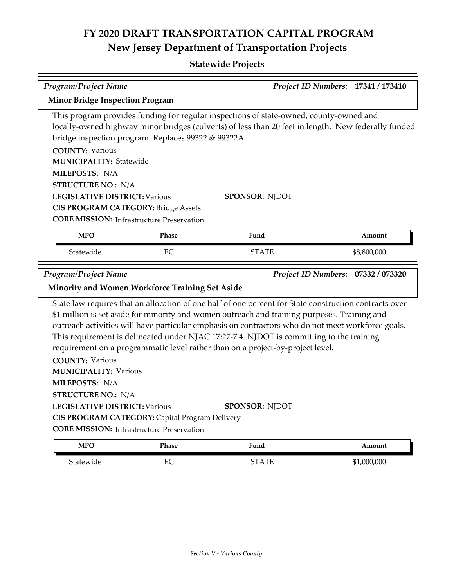### **Statewide Projects**

| <b>Program/Project Name</b>                                                                                                                     |                                                                                                                                                      |                                                                                                                                                                                                                                                                                                                                                                                                                                                                                                                    | Project ID Numbers: 17341 / 173410 |
|-------------------------------------------------------------------------------------------------------------------------------------------------|------------------------------------------------------------------------------------------------------------------------------------------------------|--------------------------------------------------------------------------------------------------------------------------------------------------------------------------------------------------------------------------------------------------------------------------------------------------------------------------------------------------------------------------------------------------------------------------------------------------------------------------------------------------------------------|------------------------------------|
| <b>Minor Bridge Inspection Program</b>                                                                                                          |                                                                                                                                                      |                                                                                                                                                                                                                                                                                                                                                                                                                                                                                                                    |                                    |
| <b>COUNTY: Various</b><br><b>MUNICIPALITY: Statewide</b><br>MILEPOSTS: N/A<br><b>STRUCTURE NO.: N/A</b><br><b>LEGISLATIVE DISTRICT: Various</b> | bridge inspection program. Replaces 99322 & 99322A<br><b>CIS PROGRAM CATEGORY: Bridge Assets</b><br><b>CORE MISSION:</b> Infrastructure Preservation | This program provides funding for regular inspections of state-owned, county-owned and<br>locally-owned highway minor bridges (culverts) of less than 20 feet in length. New federally funded<br><b>SPONSOR: NJDOT</b>                                                                                                                                                                                                                                                                                             |                                    |
| <b>MPO</b>                                                                                                                                      | Phase                                                                                                                                                | Fund                                                                                                                                                                                                                                                                                                                                                                                                                                                                                                               | Amount                             |
| Statewide                                                                                                                                       | EС                                                                                                                                                   | STATE                                                                                                                                                                                                                                                                                                                                                                                                                                                                                                              | \$8,800,000                        |
|                                                                                                                                                 |                                                                                                                                                      |                                                                                                                                                                                                                                                                                                                                                                                                                                                                                                                    |                                    |
| <b>Program/Project Name</b>                                                                                                                     | Minority and Women Workforce Training Set Aside                                                                                                      |                                                                                                                                                                                                                                                                                                                                                                                                                                                                                                                    | Project ID Numbers: 07332 / 073320 |
| <b>COUNTY: Various</b><br><b>MUNICIPALITY: Various</b><br>MILEPOSTS: N/A<br><b>STRUCTURE NO.: N/A</b><br><b>LEGISLATIVE DISTRICT: Various</b>   | CIS PROGRAM CATEGORY: Capital Program Delivery<br><b>CORE MISSION: Infrastructure Preservation</b>                                                   | State law requires that an allocation of one half of one percent for State construction contracts over<br>\$1 million is set aside for minority and women outreach and training purposes. Training and<br>outreach activities will have particular emphasis on contractors who do not meet workforce goals.<br>This requirement is delineated under NJAC 17:27-7.4. NJDOT is committing to the training<br>requirement on a programmatic level rather than on a project-by-project level.<br><b>SPONSOR: NJDOT</b> |                                    |

Statewide EC EC STATE \$1,000,000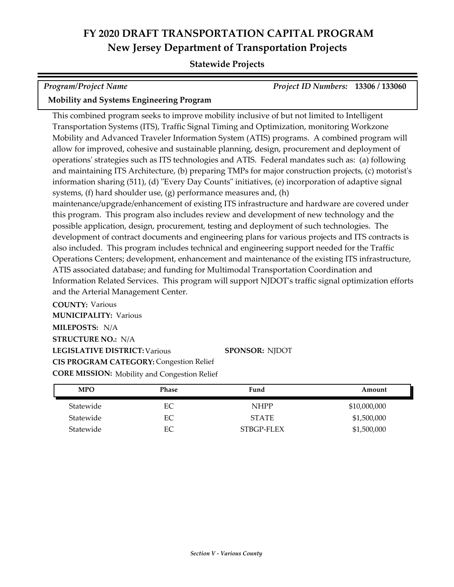#### **Statewide Projects**

| <b>Program/Project Name</b>                     | <b>Project ID Numbers: 13306 / 133060</b> |  |
|-------------------------------------------------|-------------------------------------------|--|
| <b>Mobility and Systems Engineering Program</b> |                                           |  |

This combined program seeks to improve mobility inclusive of but not limited to Intelligent Transportation Systems (ITS), Traffic Signal Timing and Optimization, monitoring Workzone Mobility and Advanced Traveler Information System (ATIS) programs. A combined program will allow for improved, cohesive and sustainable planning, design, procurement and deployment of operations' strategies such as ITS technologies and ATIS. Federal mandates such as: (a) following and maintaining ITS Architecture, (b) preparing TMPs for major construction projects, (c) motorist's information sharing (511), (d) "Every Day Counts" initiatives, (e) incorporation of adaptive signal systems, (f) hard shoulder use, (g) performance measures and, (h) maintenance/upgrade/enhancement of existing ITS infrastructure and hardware are covered under this program. This program also includes review and development of new technology and the possible application, design, procurement, testing and deployment of such technologies. The development of contract documents and engineering plans for various projects and ITS contracts is also included. This program includes technical and engineering support needed for the Traffic Operations Centers; development, enhancement and maintenance of the existing ITS infrastructure, ATIS associated database; and funding for Multimodal Transportation Coordination and Information Related Services. This program will support NJDOT's traffic signal optimization efforts and the Arterial Management Center.

**COUNTY:** Various **LEGISLATIVE DISTRICT:** Various **MILEPOSTS:** N/A **STRUCTURE NO.:** N/A **MUNICIPALITY: Various CORE MISSION:** Mobility and Congestion Relief **SPONSOR:** NJDOT **CIS PROGRAM CATEGORY:** Congestion Relief

| <b>MPO</b> | Phase | Fund         | Amount       |
|------------|-------|--------------|--------------|
| Statewide  | EС    | <b>NHPP</b>  | \$10,000,000 |
| Statewide  | EС    | <b>STATE</b> | \$1,500,000  |
| Statewide  | ЕC    | STBGP-FLEX   | \$1,500,000  |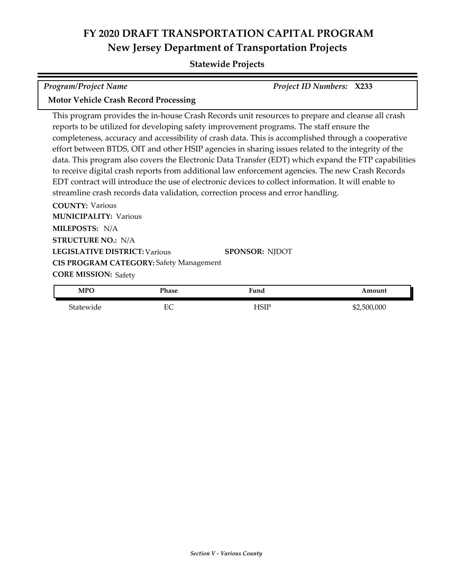#### **Statewide Projects**

| Program/Project Name                         | <b>Project ID Numbers: X233</b> |  |
|----------------------------------------------|---------------------------------|--|
| <b>Motor Vehicle Crash Record Processing</b> |                                 |  |

This program provides the in-house Crash Records unit resources to prepare and cleanse all crash reports to be utilized for developing safety improvement programs. The staff ensure the completeness, accuracy and accessibility of crash data. This is accomplished through a cooperative effort between BTDS, OIT and other HSIP agencies in sharing issues related to the integrity of the data. This program also covers the Electronic Data Transfer (EDT) which expand the FTP capabilities to receive digital crash reports from additional law enforcement agencies. The new Crash Records EDT contract will introduce the use of electronic devices to collect information. It will enable to streamline crash records data validation, correction process and error handling.

**COUNTY:** Various **LEGISLATIVE DISTRICT:** Various **MILEPOSTS:** N/A **STRUCTURE NO.:** N/A **MUNICIPALITY: Various CORE MISSION: Safety SPONSOR:** NJDOT **CIS PROGRAM CATEGORY:** Safety Management

| <b>MPO</b> | T.<br>'hase | $r$ una | mount       |
|------------|-------------|---------|-------------|
| Statewide  | 冖⌒<br>∽     | ISIF    | \$2,500,000 |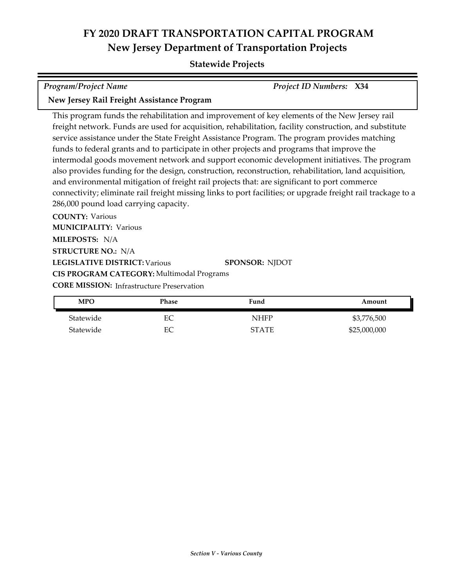#### **Statewide Projects**

| <b>Program/Project Name</b>                | <b>Project ID Numbers: X34</b> |
|--------------------------------------------|--------------------------------|
| New Jersey Rail Freight Assistance Program |                                |

This program funds the rehabilitation and improvement of key elements of the New Jersey rail freight network. Funds are used for acquisition, rehabilitation, facility construction, and substitute service assistance under the State Freight Assistance Program. The program provides matching funds to federal grants and to participate in other projects and programs that improve the intermodal goods movement network and support economic development initiatives. The program also provides funding for the design, construction, reconstruction, rehabilitation, land acquisition, and environmental mitigation of freight rail projects that: are significant to port commerce connectivity; eliminate rail freight missing links to port facilities; or upgrade freight rail trackage to a 286,000 pound load carrying capacity.

**COUNTY:** Various **LEGISLATIVE DISTRICT:** Various **MILEPOSTS:** N/A **STRUCTURE NO.:** N/A **MUNICIPALITY: Various CORE MISSION: Infrastructure Preservation SPONSOR:** NJDOT **CIS PROGRAM CATEGORY:** Multimodal Programs

| <b>MPO</b> | Phase | Fund         | Amount       |
|------------|-------|--------------|--------------|
| Statewide  | EС    | NHFP         | \$3,776,500  |
| Statewide  | EС    | <b>STATE</b> | \$25,000,000 |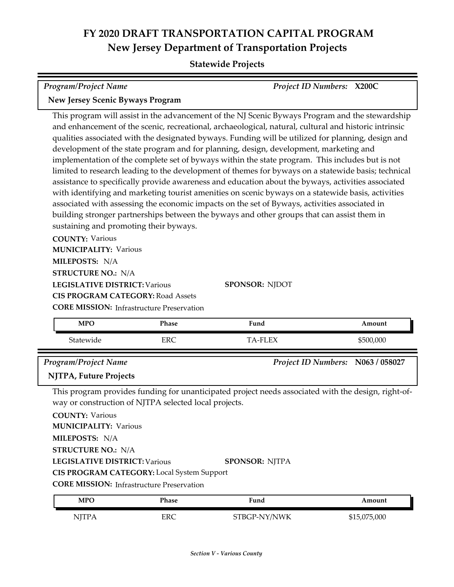| Program/Project Name                                                                                                                                                                                                                                                                                                                                                                                                                                                                                                                                                                                                                                                                                                                                                                                                                                                                                                                                                                                                                                                   | Project ID Numbers: X200C |
|------------------------------------------------------------------------------------------------------------------------------------------------------------------------------------------------------------------------------------------------------------------------------------------------------------------------------------------------------------------------------------------------------------------------------------------------------------------------------------------------------------------------------------------------------------------------------------------------------------------------------------------------------------------------------------------------------------------------------------------------------------------------------------------------------------------------------------------------------------------------------------------------------------------------------------------------------------------------------------------------------------------------------------------------------------------------|---------------------------|
| <b>New Jersey Scenic Byways Program</b>                                                                                                                                                                                                                                                                                                                                                                                                                                                                                                                                                                                                                                                                                                                                                                                                                                                                                                                                                                                                                                |                           |
| This program will assist in the advancement of the NJ Scenic Byways Program and the stewardship<br>and enhancement of the scenic, recreational, archaeological, natural, cultural and historic intrinsic<br>qualities associated with the designated byways. Funding will be utilized for planning, design and<br>development of the state program and for planning, design, development, marketing and<br>implementation of the complete set of byways within the state program. This includes but is not<br>limited to research leading to the development of themes for byways on a statewide basis; technical<br>assistance to specifically provide awareness and education about the byways, activities associated<br>with identifying and marketing tourist amenities on scenic byways on a statewide basis, activities<br>associated with assessing the economic impacts on the set of Byways, activities associated in<br>building stronger partnerships between the byways and other groups that can assist them in<br>sustaining and promoting their byways. |                           |
| <b>COUNTY: Various</b>                                                                                                                                                                                                                                                                                                                                                                                                                                                                                                                                                                                                                                                                                                                                                                                                                                                                                                                                                                                                                                                 |                           |
| <b>MUNICIPALITY: Various</b>                                                                                                                                                                                                                                                                                                                                                                                                                                                                                                                                                                                                                                                                                                                                                                                                                                                                                                                                                                                                                                           |                           |
| MILEPOSTS: N/A                                                                                                                                                                                                                                                                                                                                                                                                                                                                                                                                                                                                                                                                                                                                                                                                                                                                                                                                                                                                                                                         |                           |
| <b>STRUCTURE NO.: N/A</b>                                                                                                                                                                                                                                                                                                                                                                                                                                                                                                                                                                                                                                                                                                                                                                                                                                                                                                                                                                                                                                              |                           |
| <b>LEGISLATIVE DISTRICT: Various</b><br><b>SPONSOR: NJDOT</b>                                                                                                                                                                                                                                                                                                                                                                                                                                                                                                                                                                                                                                                                                                                                                                                                                                                                                                                                                                                                          |                           |
| <b>CIS PROGRAM CATEGORY: Road Assets</b>                                                                                                                                                                                                                                                                                                                                                                                                                                                                                                                                                                                                                                                                                                                                                                                                                                                                                                                                                                                                                               |                           |
| <b>CORE MISSION:</b> Infrastructure Preservation                                                                                                                                                                                                                                                                                                                                                                                                                                                                                                                                                                                                                                                                                                                                                                                                                                                                                                                                                                                                                       |                           |
|                                                                                                                                                                                                                                                                                                                                                                                                                                                                                                                                                                                                                                                                                                                                                                                                                                                                                                                                                                                                                                                                        |                           |

| <b>MPO</b>                                            | <b>Phase</b> | Fund                                                                                                | Amount                            |
|-------------------------------------------------------|--------------|-----------------------------------------------------------------------------------------------------|-----------------------------------|
| Statewide                                             | <b>ERC</b>   | <b>TA-FLEX</b>                                                                                      | \$500,000                         |
| <b>Program/Project Name</b>                           |              |                                                                                                     | Project ID Numbers: N063 / 058027 |
| <b>NJTPA, Future Projects</b>                         |              |                                                                                                     |                                   |
| way or construction of NJTPA selected local projects. |              | This program provides funding for unanticipated project needs associated with the design, right-of- |                                   |
| <b>COUNTY: Various</b>                                |              |                                                                                                     |                                   |
| <b>MUNICIPALITY: Various</b>                          |              |                                                                                                     |                                   |
| MILEPOSTS: N/A                                        |              |                                                                                                     |                                   |
| <b>STRUCTURE NO.: N/A</b>                             |              |                                                                                                     |                                   |
| <b>LEGISLATIVE DISTRICT: Various</b>                  |              | <b>SPONSOR: NJTPA</b>                                                                               |                                   |
| <b>CIS PROGRAM CATEGORY:</b> Local System Support     |              |                                                                                                     |                                   |
| <b>CORE MISSION:</b> Infrastructure Preservation      |              |                                                                                                     |                                   |
| <b>MPO</b>                                            | Phase        | Fund                                                                                                | Amount                            |
| <b>NJTPA</b>                                          | <b>ERC</b>   | STBGP-NY/NWK                                                                                        | \$15,075,000                      |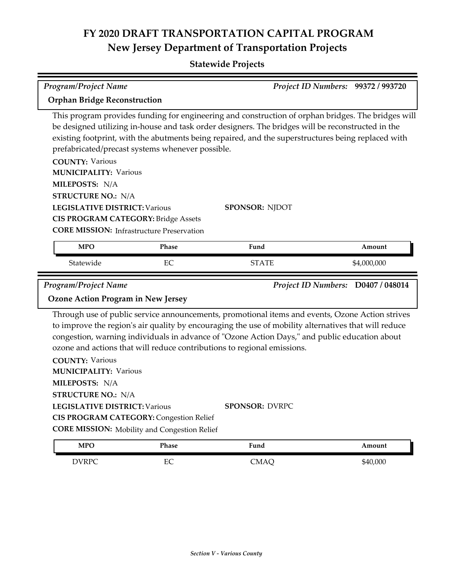| <b>Program/Project Name</b>                                                                                                                   |       |                                                                                                                                                                                                                                                                                                                                                                                     | Project ID Numbers: 99372 / 993720 |
|-----------------------------------------------------------------------------------------------------------------------------------------------|-------|-------------------------------------------------------------------------------------------------------------------------------------------------------------------------------------------------------------------------------------------------------------------------------------------------------------------------------------------------------------------------------------|------------------------------------|
| <b>Orphan Bridge Reconstruction</b>                                                                                                           |       |                                                                                                                                                                                                                                                                                                                                                                                     |                                    |
| prefabricated/precast systems whenever possible.<br><b>COUNTY: Various</b><br><b>MUNICIPALITY: Various</b>                                    |       | This program provides funding for engineering and construction of orphan bridges. The bridges will<br>be designed utilizing in-house and task order designers. The bridges will be reconstructed in the<br>existing footprint, with the abutments being repaired, and the superstructures being replaced with                                                                       |                                    |
| MILEPOSTS: N/A                                                                                                                                |       |                                                                                                                                                                                                                                                                                                                                                                                     |                                    |
| <b>STRUCTURE NO.: N/A</b>                                                                                                                     |       |                                                                                                                                                                                                                                                                                                                                                                                     |                                    |
| <b>LEGISLATIVE DISTRICT: Various</b><br><b>CIS PROGRAM CATEGORY: Bridge Assets</b><br><b>CORE MISSION:</b> Infrastructure Preservation        |       | <b>SPONSOR: NJDOT</b>                                                                                                                                                                                                                                                                                                                                                               |                                    |
| <b>MPO</b>                                                                                                                                    | Phase | Fund                                                                                                                                                                                                                                                                                                                                                                                | Amount                             |
| Statewide                                                                                                                                     | EC    | <b>STATE</b>                                                                                                                                                                                                                                                                                                                                                                        | \$4,000,000                        |
|                                                                                                                                               |       |                                                                                                                                                                                                                                                                                                                                                                                     |                                    |
| <b>Program/Project Name</b><br><b>Ozone Action Program in New Jersey</b>                                                                      |       |                                                                                                                                                                                                                                                                                                                                                                                     | Project ID Numbers: D0407 / 048014 |
|                                                                                                                                               |       | Through use of public service announcements, promotional items and events, Ozone Action strives<br>to improve the region's air quality by encouraging the use of mobility alternatives that will reduce<br>congestion, warning individuals in advance of "Ozone Action Days," and public education about<br>ozone and actions that will reduce contributions to regional emissions. |                                    |
| <b>COUNTY: Various</b><br><b>MUNICIPALITY: Various</b><br>MILEPOSTS: N/A<br><b>STRUCTURE NO.: N/A</b>                                         |       |                                                                                                                                                                                                                                                                                                                                                                                     |                                    |
| <b>LEGISLATIVE DISTRICT: Various</b><br><b>CIS PROGRAM CATEGORY: Congestion Relief</b><br><b>CORE MISSION:</b> Mobility and Congestion Relief |       | <b>SPONSOR: DVRPC</b>                                                                                                                                                                                                                                                                                                                                                               |                                    |
| <b>MPO</b>                                                                                                                                    | Phase | Fund                                                                                                                                                                                                                                                                                                                                                                                | Amount                             |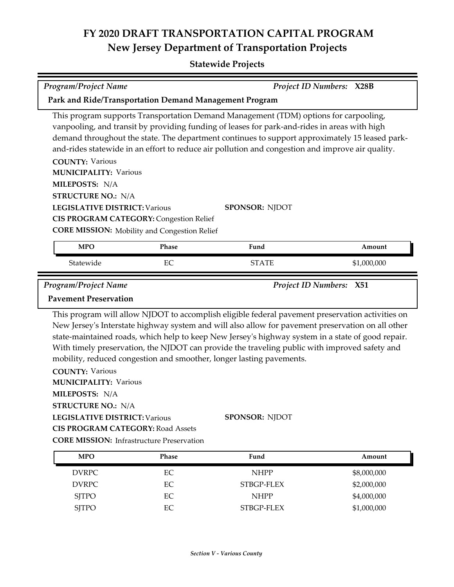| <b>Program/Project Name</b>                                                                           |          |                                                                                                                                                                                                                                                                                                                                                                                                                                                                                     | Project ID Numbers: X28B |  |
|-------------------------------------------------------------------------------------------------------|----------|-------------------------------------------------------------------------------------------------------------------------------------------------------------------------------------------------------------------------------------------------------------------------------------------------------------------------------------------------------------------------------------------------------------------------------------------------------------------------------------|--------------------------|--|
| Park and Ride/Transportation Demand Management Program                                                |          |                                                                                                                                                                                                                                                                                                                                                                                                                                                                                     |                          |  |
|                                                                                                       |          | This program supports Transportation Demand Management (TDM) options for carpooling,<br>vanpooling, and transit by providing funding of leases for park-and-rides in areas with high<br>demand throughout the state. The department continues to support approximately 15 leased park-<br>and-rides statewide in an effort to reduce air pollution and congestion and improve air quality.                                                                                          |                          |  |
| <b>COUNTY: Various</b>                                                                                |          |                                                                                                                                                                                                                                                                                                                                                                                                                                                                                     |                          |  |
| <b>MUNICIPALITY: Various</b>                                                                          |          |                                                                                                                                                                                                                                                                                                                                                                                                                                                                                     |                          |  |
| MILEPOSTS: N/A                                                                                        |          |                                                                                                                                                                                                                                                                                                                                                                                                                                                                                     |                          |  |
| <b>STRUCTURE NO.: N/A</b>                                                                             |          |                                                                                                                                                                                                                                                                                                                                                                                                                                                                                     |                          |  |
| <b>LEGISLATIVE DISTRICT: Various</b>                                                                  |          | <b>SPONSOR: NJDOT</b>                                                                                                                                                                                                                                                                                                                                                                                                                                                               |                          |  |
| <b>CIS PROGRAM CATEGORY: Congestion Relief</b>                                                        |          |                                                                                                                                                                                                                                                                                                                                                                                                                                                                                     |                          |  |
| <b>CORE MISSION:</b> Mobility and Congestion Relief                                                   |          |                                                                                                                                                                                                                                                                                                                                                                                                                                                                                     |                          |  |
| <b>MPO</b>                                                                                            | Phase    | Fund                                                                                                                                                                                                                                                                                                                                                                                                                                                                                | Amount                   |  |
| Statewide                                                                                             | EC       | <b>STATE</b>                                                                                                                                                                                                                                                                                                                                                                                                                                                                        | \$1,000,000              |  |
| Program/Project Name                                                                                  |          | Project ID Numbers: X51                                                                                                                                                                                                                                                                                                                                                                                                                                                             |                          |  |
| <b>Pavement Preservation</b>                                                                          |          |                                                                                                                                                                                                                                                                                                                                                                                                                                                                                     |                          |  |
|                                                                                                       |          |                                                                                                                                                                                                                                                                                                                                                                                                                                                                                     |                          |  |
| <b>COUNTY: Various</b><br><b>MUNICIPALITY: Various</b><br>MILEPOSTS: N/A<br><b>STRUCTURE NO.: N/A</b> |          | This program will allow NJDOT to accomplish eligible federal pavement preservation activities on<br>New Jersey's Interstate highway system and will also allow for pavement preservation on all other<br>state-maintained roads, which help to keep New Jersey's highway system in a state of good repair.<br>With timely preservation, the NJDOT can provide the traveling public with improved safety and<br>mobility, reduced congestion and smoother, longer lasting pavements. |                          |  |
| <b>LEGISLATIVE DISTRICT: Various</b>                                                                  |          | <b>SPONSOR: NJDOT</b>                                                                                                                                                                                                                                                                                                                                                                                                                                                               |                          |  |
| <b>CIS PROGRAM CATEGORY: Road Assets</b>                                                              |          |                                                                                                                                                                                                                                                                                                                                                                                                                                                                                     |                          |  |
| <b>CORE MISSION: Infrastructure Preservation</b>                                                      |          |                                                                                                                                                                                                                                                                                                                                                                                                                                                                                     |                          |  |
| <b>MPO</b>                                                                                            | Phase    | Fund                                                                                                                                                                                                                                                                                                                                                                                                                                                                                | Amount                   |  |
| <b>DVRPC</b>                                                                                          | EC       | <b>NHPP</b>                                                                                                                                                                                                                                                                                                                                                                                                                                                                         | \$8,000,000              |  |
| <b>DVRPC</b>                                                                                          | EC       | STBGP-FLEX                                                                                                                                                                                                                                                                                                                                                                                                                                                                          | \$2,000,000              |  |
| <b>SJTPO</b>                                                                                          | $\rm EC$ | <b>NHPP</b>                                                                                                                                                                                                                                                                                                                                                                                                                                                                         | \$4,000,000              |  |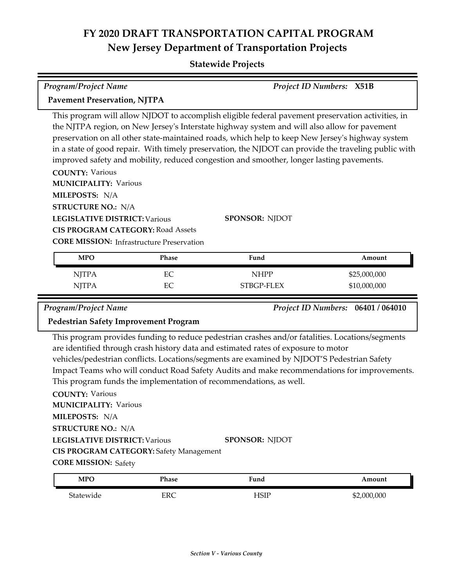#### **Statewide Projects**

| <b>Program/Project Name</b>                                                      | <b>Project ID Numbers: X51B</b>                                                                                                                                                                                                                                                                                                                                                                                                                                                                           |
|----------------------------------------------------------------------------------|-----------------------------------------------------------------------------------------------------------------------------------------------------------------------------------------------------------------------------------------------------------------------------------------------------------------------------------------------------------------------------------------------------------------------------------------------------------------------------------------------------------|
| <b>Pavement Preservation, NJTPA</b>                                              |                                                                                                                                                                                                                                                                                                                                                                                                                                                                                                           |
|                                                                                  | This program will allow NJDOT to accomplish eligible federal pavement preservation activities, in<br>the NJTPA region, on New Jersey's Interstate highway system and will also allow for pavement<br>preservation on all other state-maintained roads, which help to keep New Jersey's highway system<br>in a state of good repair. With timely preservation, the NJDOT can provide the traveling public with<br>improved safety and mobility, reduced congestion and smoother, longer lasting pavements. |
| <b>COUNTY: Various</b><br><b>MUNICIPALITY: Various</b>                           |                                                                                                                                                                                                                                                                                                                                                                                                                                                                                                           |
| <b>MILEPOSTS: N/A</b><br><b>STRUCTURE NO.: N/A</b>                               |                                                                                                                                                                                                                                                                                                                                                                                                                                                                                                           |
| <b>LEGISLATIVE DISTRICT: Various</b><br><b>CIS PROGRAM CATEGORY: Road Assets</b> | <b>SPONSOR: NJDOT</b>                                                                                                                                                                                                                                                                                                                                                                                                                                                                                     |
| <b>CORE MISSION:</b> Infrastructure Preservation<br>MPO<br>Phace                 | Find<br>$A$ mount                                                                                                                                                                                                                                                                                                                                                                                                                                                                                         |

| <b>MPO</b>   | Phase | Fund        | Amount       |
|--------------|-------|-------------|--------------|
| <b>NJTPA</b> | EС    | <b>NHPP</b> | \$25,000,000 |
| <b>NJTPA</b> | EС    | STBGP-FLEX  | \$10,000,000 |

*Program/Project Name Project ID Numbers:* **06401 / 064010**

#### **Pedestrian Safety Improvement Program**

This program provides funding to reduce pedestrian crashes and/or fatalities. Locations/segments are identified through crash history data and estimated rates of exposure to motor vehicles/pedestrian conflicts. Locations/segments are examined by NJDOT'S Pedestrian Safety Impact Teams who will conduct Road Safety Audits and make recommendations for improvements. This program funds the implementation of recommendations, as well.

**COUNTY:** Various **LEGISLATIVE DISTRICT:** Various **MILEPOSTS:** N/A **STRUCTURE NO.:** N/A **MUNICIPALITY: Various CORE MISSION: Safety SPONSOR:** NJDOT **CIS PROGRAM CATEGORY:** Safety Management

| <b>MPO</b> | Phase<br>____ | <sup>T</sup> und | ⊾mount  |
|------------|---------------|------------------|---------|
| Statewide  | ERC           | ICID<br>⊥∪⊥⊥     | 000,000 |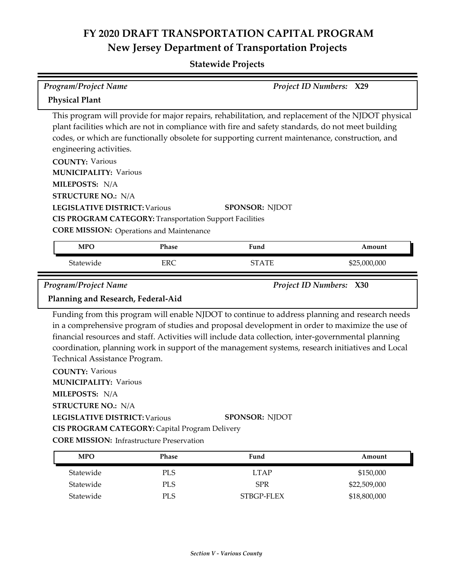| <b>Program/Project Name</b>                                                                                                                                                                                                                                                          |                         | Project ID Numbers: X29                                                                                                                                                                                                                                                                                                                                                                                                              |  |              |
|--------------------------------------------------------------------------------------------------------------------------------------------------------------------------------------------------------------------------------------------------------------------------------------|-------------------------|--------------------------------------------------------------------------------------------------------------------------------------------------------------------------------------------------------------------------------------------------------------------------------------------------------------------------------------------------------------------------------------------------------------------------------------|--|--------------|
| <b>Physical Plant</b>                                                                                                                                                                                                                                                                |                         |                                                                                                                                                                                                                                                                                                                                                                                                                                      |  |              |
| engineering activities.<br><b>COUNTY: Various</b><br><b>MUNICIPALITY: Various</b><br>MILEPOSTS: N/A<br><b>STRUCTURE NO.: N/A</b><br><b>LEGISLATIVE DISTRICT: Various</b>                                                                                                             |                         | This program will provide for major repairs, rehabilitation, and replacement of the NJDOT physical<br>plant facilities which are not in compliance with fire and safety standards, do not meet building<br>codes, or which are functionally obsolete for supporting current maintenance, construction, and<br><b>SPONSOR: NJDOT</b>                                                                                                  |  |              |
| <b>CIS PROGRAM CATEGORY: Transportation Support Facilities</b>                                                                                                                                                                                                                       |                         |                                                                                                                                                                                                                                                                                                                                                                                                                                      |  |              |
| <b>CORE MISSION:</b> Operations and Maintenance                                                                                                                                                                                                                                      |                         |                                                                                                                                                                                                                                                                                                                                                                                                                                      |  |              |
| <b>MPO</b>                                                                                                                                                                                                                                                                           | Phase                   | Fund                                                                                                                                                                                                                                                                                                                                                                                                                                 |  | Amount       |
| Statewide                                                                                                                                                                                                                                                                            | <b>ERC</b>              | <b>STATE</b>                                                                                                                                                                                                                                                                                                                                                                                                                         |  | \$25,000,000 |
| Program/Project Name                                                                                                                                                                                                                                                                 | Project ID Numbers: X30 |                                                                                                                                                                                                                                                                                                                                                                                                                                      |  |              |
| Planning and Research, Federal-Aid                                                                                                                                                                                                                                                   |                         |                                                                                                                                                                                                                                                                                                                                                                                                                                      |  |              |
| Technical Assistance Program.<br><b>COUNTY: Various</b><br><b>MUNICIPALITY: Various</b><br>MILEPOSTS: N/A<br><b>STRUCTURE NO.: N/A</b><br><b>LEGISLATIVE DISTRICT: Various</b><br>CIS PROGRAM CATEGORY: Capital Program Delivery<br><b>CORE MISSION:</b> Infrastructure Preservation |                         | Funding from this program will enable NJDOT to continue to address planning and research needs<br>in a comprehensive program of studies and proposal development in order to maximize the use of<br>financial resources and staff. Activities will include data collection, inter-governmental planning<br>coordination, planning work in support of the management systems, research initiatives and Local<br><b>SPONSOR: NJDOT</b> |  |              |
| <b>MPO</b>                                                                                                                                                                                                                                                                           | Phase                   | Fund                                                                                                                                                                                                                                                                                                                                                                                                                                 |  | Amount       |
| Statewide                                                                                                                                                                                                                                                                            | <b>PLS</b>              | <b>LTAP</b>                                                                                                                                                                                                                                                                                                                                                                                                                          |  | \$150,000    |
| Statewide                                                                                                                                                                                                                                                                            | PLS                     | <b>SPR</b>                                                                                                                                                                                                                                                                                                                                                                                                                           |  | \$22,509,000 |
| Statewide                                                                                                                                                                                                                                                                            | PLS                     | STBGP-FLEX                                                                                                                                                                                                                                                                                                                                                                                                                           |  | \$18,800,000 |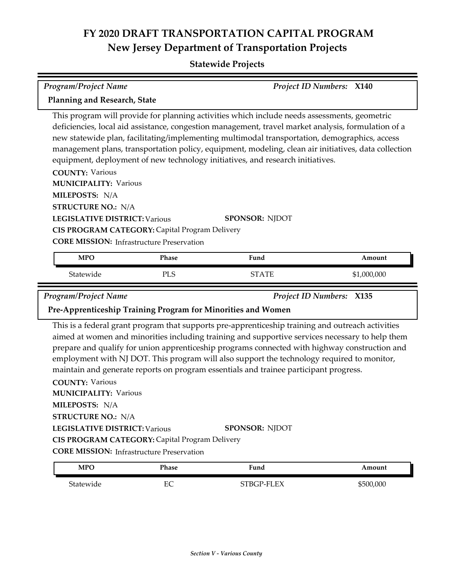| <b>Program/Project Name</b>                                                                                                                   |                                                |                                                                                                                                                                                                                                                                                                                                                                                                                                                                                                                       | <b>Project ID Numbers: X140</b> |
|-----------------------------------------------------------------------------------------------------------------------------------------------|------------------------------------------------|-----------------------------------------------------------------------------------------------------------------------------------------------------------------------------------------------------------------------------------------------------------------------------------------------------------------------------------------------------------------------------------------------------------------------------------------------------------------------------------------------------------------------|---------------------------------|
| Planning and Research, State                                                                                                                  |                                                |                                                                                                                                                                                                                                                                                                                                                                                                                                                                                                                       |                                 |
|                                                                                                                                               |                                                | This program will provide for planning activities which include needs assessments, geometric<br>deficiencies, local aid assistance, congestion management, travel market analysis, formulation of a<br>new statewide plan, facilitating/implementing multimodal transportation, demographics, access<br>management plans, transportation policy, equipment, modeling, clean air initiatives, data collection<br>equipment, deployment of new technology initiatives, and research initiatives.                        |                                 |
| <b>COUNTY: Various</b><br><b>MUNICIPALITY: Various</b>                                                                                        |                                                |                                                                                                                                                                                                                                                                                                                                                                                                                                                                                                                       |                                 |
| MILEPOSTS: N/A                                                                                                                                |                                                |                                                                                                                                                                                                                                                                                                                                                                                                                                                                                                                       |                                 |
| <b>STRUCTURE NO.: N/A</b>                                                                                                                     |                                                |                                                                                                                                                                                                                                                                                                                                                                                                                                                                                                                       |                                 |
| <b>LEGISLATIVE DISTRICT: Various</b>                                                                                                          |                                                | <b>SPONSOR: NJDOT</b>                                                                                                                                                                                                                                                                                                                                                                                                                                                                                                 |                                 |
|                                                                                                                                               | CIS PROGRAM CATEGORY: Capital Program Delivery |                                                                                                                                                                                                                                                                                                                                                                                                                                                                                                                       |                                 |
| <b>CORE MISSION:</b> Infrastructure Preservation                                                                                              |                                                |                                                                                                                                                                                                                                                                                                                                                                                                                                                                                                                       |                                 |
| <b>MPO</b>                                                                                                                                    | Phase                                          | Fund                                                                                                                                                                                                                                                                                                                                                                                                                                                                                                                  | Amount                          |
| Statewide                                                                                                                                     | PLS                                            | <b>STATE</b>                                                                                                                                                                                                                                                                                                                                                                                                                                                                                                          | \$1,000,000                     |
| Project ID Numbers: X135                                                                                                                      |                                                |                                                                                                                                                                                                                                                                                                                                                                                                                                                                                                                       |                                 |
| <b>Program/Project Name</b>                                                                                                                   |                                                |                                                                                                                                                                                                                                                                                                                                                                                                                                                                                                                       |                                 |
|                                                                                                                                               |                                                | Pre-Apprenticeship Training Program for Minorities and Women                                                                                                                                                                                                                                                                                                                                                                                                                                                          |                                 |
| <b>COUNTY: Various</b><br><b>MUNICIPALITY: Various</b><br>MILEPOSTS: N/A<br><b>STRUCTURE NO.: N/A</b><br><b>LEGISLATIVE DISTRICT: Various</b> | CIS PROGRAM CATEGORY: Capital Program Delivery | This is a federal grant program that supports pre-apprenticeship training and outreach activities<br>aimed at women and minorities including training and supportive services necessary to help them<br>prepare and qualify for union apprenticeship programs connected with highway construction and<br>employment with NJ DOT. This program will also support the technology required to monitor,<br>maintain and generate reports on program essentials and trainee participant progress.<br><b>SPONSOR: NJDOT</b> |                                 |
| <b>CORE MISSION: Infrastructure Preservation</b>                                                                                              |                                                |                                                                                                                                                                                                                                                                                                                                                                                                                                                                                                                       |                                 |
| <b>MPO</b><br>Statewide                                                                                                                       | Phase<br>EC                                    | Fund<br>STBGP-FLEX                                                                                                                                                                                                                                                                                                                                                                                                                                                                                                    | Amount<br>\$500,000             |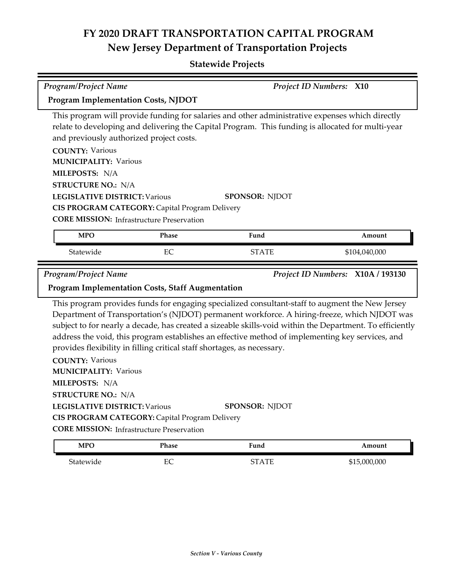| <b>Program/Project Name</b>                                                                                                                                                                                                                                                                                                                                                                                                                                                                                                                                                                                                                                                                                                                                  | <b>Project ID Numbers: X10</b>                                                                     |                                                                                                                                                                                                      |               |  |
|--------------------------------------------------------------------------------------------------------------------------------------------------------------------------------------------------------------------------------------------------------------------------------------------------------------------------------------------------------------------------------------------------------------------------------------------------------------------------------------------------------------------------------------------------------------------------------------------------------------------------------------------------------------------------------------------------------------------------------------------------------------|----------------------------------------------------------------------------------------------------|------------------------------------------------------------------------------------------------------------------------------------------------------------------------------------------------------|---------------|--|
| <b>Program Implementation Costs, NJDOT</b>                                                                                                                                                                                                                                                                                                                                                                                                                                                                                                                                                                                                                                                                                                                   |                                                                                                    |                                                                                                                                                                                                      |               |  |
| and previously authorized project costs.                                                                                                                                                                                                                                                                                                                                                                                                                                                                                                                                                                                                                                                                                                                     |                                                                                                    | This program will provide funding for salaries and other administrative expenses which directly<br>relate to developing and delivering the Capital Program. This funding is allocated for multi-year |               |  |
| <b>COUNTY: Various</b>                                                                                                                                                                                                                                                                                                                                                                                                                                                                                                                                                                                                                                                                                                                                       |                                                                                                    |                                                                                                                                                                                                      |               |  |
| <b>MUNICIPALITY: Various</b>                                                                                                                                                                                                                                                                                                                                                                                                                                                                                                                                                                                                                                                                                                                                 |                                                                                                    |                                                                                                                                                                                                      |               |  |
| MILEPOSTS: N/A                                                                                                                                                                                                                                                                                                                                                                                                                                                                                                                                                                                                                                                                                                                                               |                                                                                                    |                                                                                                                                                                                                      |               |  |
| <b>STRUCTURE NO.: N/A</b>                                                                                                                                                                                                                                                                                                                                                                                                                                                                                                                                                                                                                                                                                                                                    |                                                                                                    |                                                                                                                                                                                                      |               |  |
| <b>LEGISLATIVE DISTRICT: Various</b>                                                                                                                                                                                                                                                                                                                                                                                                                                                                                                                                                                                                                                                                                                                         |                                                                                                    | <b>SPONSOR: NJDOT</b>                                                                                                                                                                                |               |  |
|                                                                                                                                                                                                                                                                                                                                                                                                                                                                                                                                                                                                                                                                                                                                                              | CIS PROGRAM CATEGORY: Capital Program Delivery<br><b>CORE MISSION:</b> Infrastructure Preservation |                                                                                                                                                                                                      |               |  |
|                                                                                                                                                                                                                                                                                                                                                                                                                                                                                                                                                                                                                                                                                                                                                              |                                                                                                    |                                                                                                                                                                                                      |               |  |
| <b>MPO</b>                                                                                                                                                                                                                                                                                                                                                                                                                                                                                                                                                                                                                                                                                                                                                   | Phase                                                                                              | Fund                                                                                                                                                                                                 | Amount        |  |
| Statewide                                                                                                                                                                                                                                                                                                                                                                                                                                                                                                                                                                                                                                                                                                                                                    | EC                                                                                                 | <b>STATE</b>                                                                                                                                                                                         | \$104,040,000 |  |
|                                                                                                                                                                                                                                                                                                                                                                                                                                                                                                                                                                                                                                                                                                                                                              | <b>Program/Project Name</b><br>Project ID Numbers: X10A / 193130                                   |                                                                                                                                                                                                      |               |  |
|                                                                                                                                                                                                                                                                                                                                                                                                                                                                                                                                                                                                                                                                                                                                                              | <b>Program Implementation Costs, Staff Augmentation</b>                                            |                                                                                                                                                                                                      |               |  |
| This program provides funds for engaging specialized consultant-staff to augment the New Jersey<br>Department of Transportation's (NJDOT) permanent workforce. A hiring-freeze, which NJDOT was<br>subject to for nearly a decade, has created a sizeable skills-void within the Department. To efficiently<br>address the void, this program establishes an effective method of implementing key services, and<br>provides flexibility in filling critical staff shortages, as necessary.<br><b>COUNTY: Various</b><br><b>MUNICIPALITY: Various</b><br>MILEPOSTS: N/A<br><b>STRUCTURE NO.: N/A</b><br>SPONSOR: NJDOT<br>LEGISLATIVE DISTRICT: Various<br>CIS PROGRAM CATEGORY: Capital Program Delivery<br><b>CORE MISSION:</b> Infrastructure Preservation |                                                                                                    |                                                                                                                                                                                                      |               |  |
| <b>MPO</b>                                                                                                                                                                                                                                                                                                                                                                                                                                                                                                                                                                                                                                                                                                                                                   | Phase                                                                                              | Fund                                                                                                                                                                                                 | Amount        |  |
| Statewide                                                                                                                                                                                                                                                                                                                                                                                                                                                                                                                                                                                                                                                                                                                                                    | $\rm EC$                                                                                           | <b>STATE</b>                                                                                                                                                                                         | \$15,000,000  |  |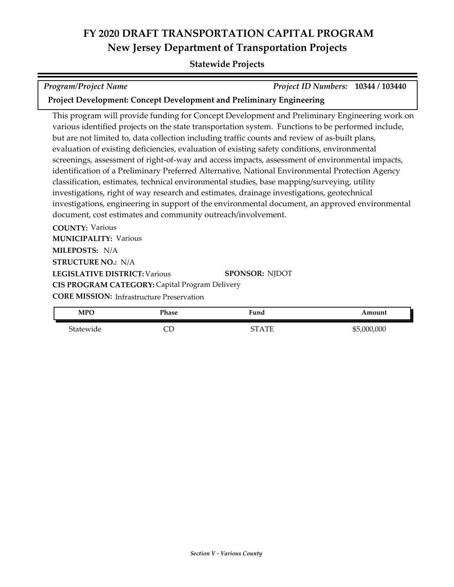| <b>Program/Project Name</b>                                          | Project ID Numbers: 10344 / 103440                                                                 |        |  |
|----------------------------------------------------------------------|----------------------------------------------------------------------------------------------------|--------|--|
| Project Development: Concept Development and Preliminary Engineering |                                                                                                    |        |  |
|                                                                      | This program will provide funding for Concept Development and Preliminary Engineering work on      |        |  |
|                                                                      | various identified projects on the state transportation system. Functions to be performed include, |        |  |
|                                                                      | but are not limited to, data collection including traffic counts and review of as-built plans,     |        |  |
|                                                                      | evaluation of existing deficiencies, evaluation of existing safety conditions, environmental       |        |  |
|                                                                      | screenings, assessment of right-of-way and access impacts, assessment of environmental impacts,    |        |  |
|                                                                      | identification of a Preliminary Preferred Alternative, National Environmental Protection Agency    |        |  |
|                                                                      | classification, estimates, technical environmental studies, base mapping/surveying, utility        |        |  |
|                                                                      | investigations, right of way research and estimates, drainage investigations, geotechnical         |        |  |
|                                                                      | investigations, engineering in support of the environmental document, an approved environmental    |        |  |
| document, cost estimates and community outreach/involvement.         |                                                                                                    |        |  |
| <b>COUNTY: Various</b>                                               |                                                                                                    |        |  |
| <b>MUNICIPALITY: Various</b>                                         |                                                                                                    |        |  |
| MILEPOSTS: N/A                                                       |                                                                                                    |        |  |
| <b>STRUCTURE NO.: N/A</b>                                            |                                                                                                    |        |  |
| <b>LEGISLATIVE DISTRICT: Various</b><br><b>SPONSOR: NJDOT</b>        |                                                                                                    |        |  |
| CIS PROGRAM CATEGORY: Capital Program Delivery                       |                                                                                                    |        |  |
| <b>CORE MISSION:</b> Infrastructure Preservation                     |                                                                                                    |        |  |
| <b>MPO</b><br>Phase                                                  | Fund                                                                                               | Amount |  |

| $1$ vit $\sim$ | т паэс | runu         | Amoun       |
|----------------|--------|--------------|-------------|
| Statewide      | ؎      | <b>STATE</b> | \$5,000,000 |
|                |        |              |             |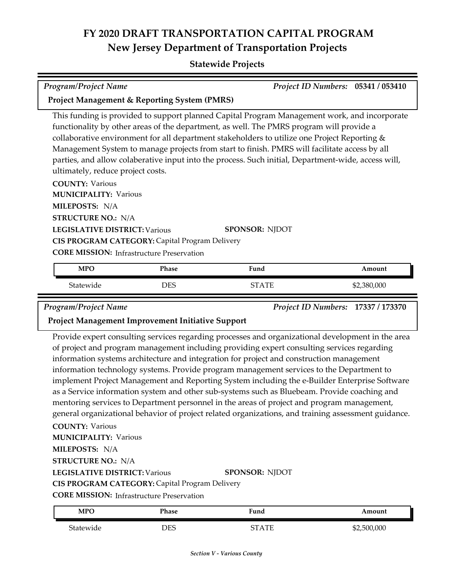#### **Statewide Projects**

| <b>Program/Project Name</b>                                                                                                                                                                                                                                                                                                                                                                                                                                                                                                              | Project ID Numbers: 05341 / 053410                      |        |  |  |  |
|------------------------------------------------------------------------------------------------------------------------------------------------------------------------------------------------------------------------------------------------------------------------------------------------------------------------------------------------------------------------------------------------------------------------------------------------------------------------------------------------------------------------------------------|---------------------------------------------------------|--------|--|--|--|
|                                                                                                                                                                                                                                                                                                                                                                                                                                                                                                                                          | <b>Project Management &amp; Reporting System (PMRS)</b> |        |  |  |  |
| This funding is provided to support planned Capital Program Management work, and incorporate<br>functionality by other areas of the department, as well. The PMRS program will provide a<br>collaborative environment for all department stakeholders to utilize one Project Reporting $\&$<br>Management System to manage projects from start to finish. PMRS will facilitate access by all<br>parties, and allow colaberative input into the process. Such initial, Department-wide, access will,<br>ultimately, reduce project costs. |                                                         |        |  |  |  |
| <b>COUNTY: Various</b><br><b>MUNICIPALITY: Various</b>                                                                                                                                                                                                                                                                                                                                                                                                                                                                                   |                                                         |        |  |  |  |
| <b>MILEPOSTS: N/A</b><br><b>STRUCTURE NO.: N/A</b>                                                                                                                                                                                                                                                                                                                                                                                                                                                                                       |                                                         |        |  |  |  |
| <b>LEGISLATIVE DISTRICT: Various</b><br><b>SPONSOR: NJDOT</b><br>CIS PROGRAM CATEGORY: Capital Program Delivery<br><b>CORE MISSION:</b> Infrastructure Preservation                                                                                                                                                                                                                                                                                                                                                                      |                                                         |        |  |  |  |
| <b>MPO</b><br>Phase                                                                                                                                                                                                                                                                                                                                                                                                                                                                                                                      | Fund                                                    | Amount |  |  |  |

| <b>MPO</b> | Phase | Fund    | Amount      |
|------------|-------|---------|-------------|
| Statewide  | DES   | CT A TE | \$2,380,000 |

*Program/Project Name Project ID Numbers:* **17337 / 173370**

#### **Project Management Improvement Initiative Support**

Provide expert consulting services regarding processes and organizational development in the area of project and program management including providing expert consulting services regarding information systems architecture and integration for project and construction management information technology systems. Provide program management services to the Department to implement Project Management and Reporting System including the e-Builder Enterprise Software as a Service information system and other sub-systems such as Bluebeam. Provide coaching and mentoring services to Department personnel in the areas of project and program management, general organizational behavior of project related organizations, and training assessment guidance.

#### **COUNTY:** Various

**MUNICIPALITY: Various** 

**MILEPOSTS:** N/A

**STRUCTURE NO.:** N/A

**LEGISLATIVE DISTRICT:** Various

**SPONSOR:** NJDOT

**CIS PROGRAM CATEGORY:** Capital Program Delivery

**CORE MISSION: Infrastructure Preservation** 

| <b>MPO</b> | Phase | Fund | Amount      |
|------------|-------|------|-------------|
| Statewide  | DES   | TATE | \$2,500,000 |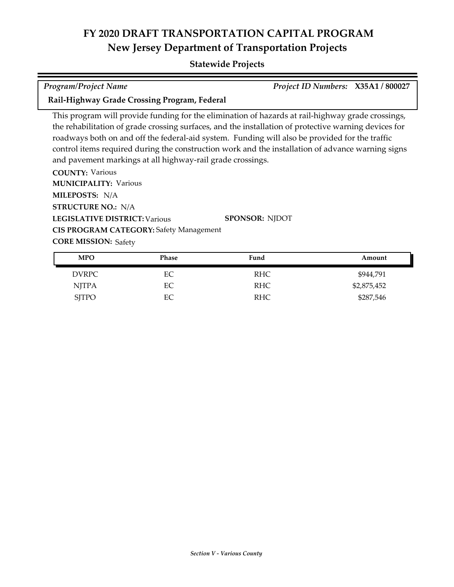#### **Statewide Projects**

| <b>Program/Project Name</b> | Project ID Numbers: X35A1/800027 |  |
|-----------------------------|----------------------------------|--|

**Rail-Highway Grade Crossing Program, Federal**

This program will provide funding for the elimination of hazards at rail-highway grade crossings, the rehabilitation of grade crossing surfaces, and the installation of protective warning devices for roadways both on and off the federal-aid system. Funding will also be provided for the traffic control items required during the construction work and the installation of advance warning signs and pavement markings at all highway-rail grade crossings.

**COUNTY:** Various **LEGISLATIVE DISTRICT:** Various **MILEPOSTS:** N/A **STRUCTURE NO.:** N/A **MUNICIPALITY: Various CORE MISSION: Safety SPONSOR:** NJDOT **CIS PROGRAM CATEGORY:** Safety Management

| <b>MPO</b>   | <b>Phase</b> | Fund       | Amount      |
|--------------|--------------|------------|-------------|
| <b>DVRPC</b> | EС           | RHC        | \$944,791   |
| <b>NJTPA</b> | EС           | <b>RHC</b> | \$2,875,452 |
| <b>SJTPO</b> | EC           | RHC        | \$287,546   |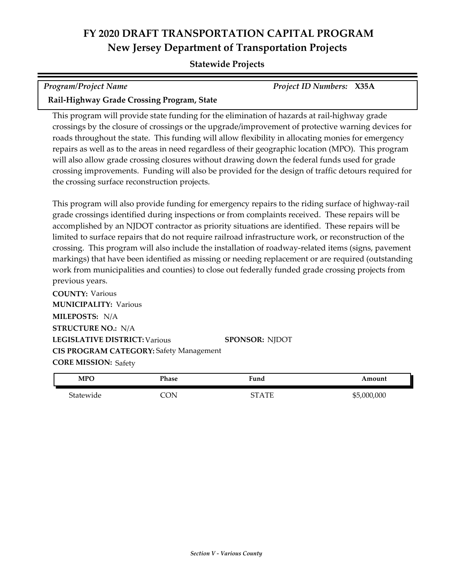#### **Statewide Projects**

| <b>Program/Project Name</b>                | <b>Project ID Numbers: X35A</b> |  |
|--------------------------------------------|---------------------------------|--|
| Rail-Highway Grade Crossing Program, State |                                 |  |

This program will provide state funding for the elimination of hazards at rail-highway grade crossings by the closure of crossings or the upgrade/improvement of protective warning devices for roads throughout the state. This funding will allow flexibility in allocating monies for emergency repairs as well as to the areas in need regardless of their geographic location (MPO). This program will also allow grade crossing closures without drawing down the federal funds used for grade crossing improvements. Funding will also be provided for the design of traffic detours required for the crossing surface reconstruction projects.

This program will also provide funding for emergency repairs to the riding surface of highway-rail grade crossings identified during inspections or from complaints received. These repairs will be accomplished by an NJDOT contractor as priority situations are identified. These repairs will be limited to surface repairs that do not require railroad infrastructure work, or reconstruction of the crossing. This program will also include the installation of roadway-related items (signs, pavement markings) that have been identified as missing or needing replacement or are required (outstanding work from municipalities and counties) to close out federally funded grade crossing projects from previous years.

**COUNTY:** Various **LEGISLATIVE DISTRICT:** Various **MILEPOSTS:** N/A **STRUCTURE NO.:** N/A **MUNICIPALITY: Various CORE MISSION: Safety SPONSOR:** NJDOT **CIS PROGRAM CATEGORY:** Safety Management

| <b>MPO</b> | Phase | Fund  | Amount      |
|------------|-------|-------|-------------|
| Statewide  |       | STATE | \$5,000,000 |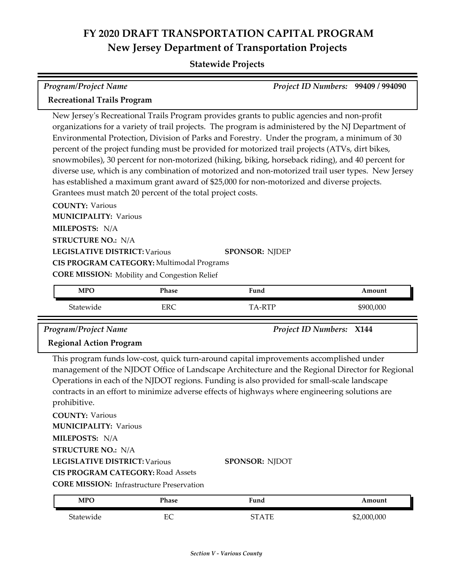#### **Statewide Projects**

| Program/Project Name               | Project ID Numbers: 99409 / 994090 |  |
|------------------------------------|------------------------------------|--|
| <b>Recreational Trails Program</b> |                                    |  |

New Jersey's Recreational Trails Program provides grants to public agencies and non-profit organizations for a variety of trail projects. The program is administered by the NJ Department of Environmental Protection, Division of Parks and Forestry. Under the program, a minimum of 30 percent of the project funding must be provided for motorized trail projects (ATVs, dirt bikes, snowmobiles), 30 percent for non-motorized (hiking, biking, horseback riding), and 40 percent for diverse use, which is any combination of motorized and non-motorized trail user types. New Jersey has established a maximum grant award of \$25,000 for non-motorized and diverse projects. Grantees must match 20 percent of the total project costs.

**COUNTY:** Various **LEGISLATIVE DISTRICT:** Various **MILEPOSTS:** N/A **STRUCTURE NO.:** N/A **MUNICIPALITY: Various CORE MISSION:** Mobility and Congestion Relief **SPONSOR:** NJDEP **CIS PROGRAM CATEGORY:** Multimodal Programs

| <b>MPO</b> | Phase      | Fund          | \mount    |
|------------|------------|---------------|-----------|
| Statewide  | <b>ERC</b> | TA DTD<br>— r | \$900,000 |

*Program/Project Name Project ID Numbers:* **X144**

#### **Regional Action Program**

This program funds low‐cost, quick turn-around capital improvements accomplished under management of the NJDOT Office of Landscape Architecture and the Regional Director for Regional Operations in each of the NJDOT regions. Funding is also provided for small‐scale landscape contracts in an effort to minimize adverse effects of highways where engineering solutions are prohibitive.

**COUNTY:** Various **LEGISLATIVE DISTRICT:** Various **MILEPOSTS:** N/A **STRUCTURE NO.:** N/A **MUNICIPALITY: Various CORE MISSION:** Infrastructure Preservation **SPONSOR:** NJDOT **CIS PROGRAM CATEGORY:** Road Assets

| <b>MPO</b> | Phase     | Fund         | \mount      |
|------------|-----------|--------------|-------------|
| Statewide  | ⊏⊂<br>LV. | <b>CTATE</b> | \$2,000,000 |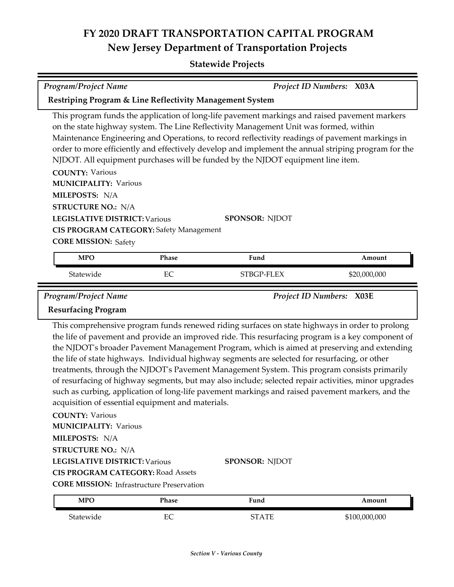| <b>Program/Project Name</b>                                                                                                                                                                                                                                                                                                                                                                                                                                                                                                                                                                                                                                                                                                                                                                                                                                                                                                                                                                                                                                                  | Project ID Numbers: X03A                                            |              |               |  |
|------------------------------------------------------------------------------------------------------------------------------------------------------------------------------------------------------------------------------------------------------------------------------------------------------------------------------------------------------------------------------------------------------------------------------------------------------------------------------------------------------------------------------------------------------------------------------------------------------------------------------------------------------------------------------------------------------------------------------------------------------------------------------------------------------------------------------------------------------------------------------------------------------------------------------------------------------------------------------------------------------------------------------------------------------------------------------|---------------------------------------------------------------------|--------------|---------------|--|
|                                                                                                                                                                                                                                                                                                                                                                                                                                                                                                                                                                                                                                                                                                                                                                                                                                                                                                                                                                                                                                                                              | <b>Restriping Program &amp; Line Reflectivity Management System</b> |              |               |  |
| This program funds the application of long-life pavement markings and raised pavement markers<br>on the state highway system. The Line Reflectivity Management Unit was formed, within<br>Maintenance Engineering and Operations, to record reflectivity readings of pavement markings in<br>order to more efficiently and effectively develop and implement the annual striping program for the<br>NJDOT. All equipment purchases will be funded by the NJDOT equipment line item.<br><b>COUNTY: Various</b><br><b>MUNICIPALITY: Various</b><br>MILEPOSTS: N/A<br><b>STRUCTURE NO.: N/A</b><br><b>LEGISLATIVE DISTRICT: Various</b><br><b>SPONSOR: NJDOT</b><br><b>CIS PROGRAM CATEGORY: Safety Management</b><br><b>CORE MISSION: Safety</b>                                                                                                                                                                                                                                                                                                                               |                                                                     |              |               |  |
| <b>MPO</b>                                                                                                                                                                                                                                                                                                                                                                                                                                                                                                                                                                                                                                                                                                                                                                                                                                                                                                                                                                                                                                                                   | Phase                                                               | Fund         | Amount        |  |
| Statewide                                                                                                                                                                                                                                                                                                                                                                                                                                                                                                                                                                                                                                                                                                                                                                                                                                                                                                                                                                                                                                                                    | EC                                                                  | STBGP-FLEX   | \$20,000,000  |  |
| Program/Project Name<br>Project ID Numbers: X03E<br><b>Resurfacing Program</b><br>This comprehensive program funds renewed riding surfaces on state highways in order to prolong<br>the life of pavement and provide an improved ride. This resurfacing program is a key component of<br>the NJDOT's broader Pavement Management Program, which is aimed at preserving and extending<br>the life of state highways. Individual highway segments are selected for resurfacing, or other<br>treatments, through the NJDOT's Pavement Management System. This program consists primarily<br>of resurfacing of highway segments, but may also include; selected repair activities, minor upgrades<br>such as curbing, application of long-life pavement markings and raised pavement markers, and the<br>acquisition of essential equipment and materials.<br><b>COUNTY: Various</b><br><b>MUNICIPALITY: Various</b><br>MILEPOSTS: N/A<br><b>STRUCTURE NO.: N/A</b><br><b>SPONSOR: NJDOT</b><br><b>LEGISLATIVE DISTRICT: Various</b><br><b>CIS PROGRAM CATEGORY: Road Assets</b> |                                                                     |              |               |  |
| <b>MPO</b>                                                                                                                                                                                                                                                                                                                                                                                                                                                                                                                                                                                                                                                                                                                                                                                                                                                                                                                                                                                                                                                                   | Phase                                                               | Fund         | Amount        |  |
| Statewide                                                                                                                                                                                                                                                                                                                                                                                                                                                                                                                                                                                                                                                                                                                                                                                                                                                                                                                                                                                                                                                                    | EC                                                                  | <b>STATE</b> | \$100,000,000 |  |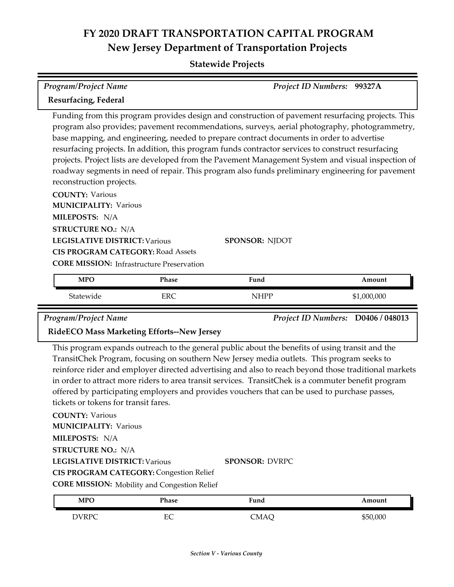**Statewide Projects**

| Program/Project Name                                                                                                                                                                                                  |                                                                  | Project ID Numbers: 99327A                                                                                                                                                                                                                                                                                                                                                                                                                                                                                                                                                                                                               |             |
|-----------------------------------------------------------------------------------------------------------------------------------------------------------------------------------------------------------------------|------------------------------------------------------------------|------------------------------------------------------------------------------------------------------------------------------------------------------------------------------------------------------------------------------------------------------------------------------------------------------------------------------------------------------------------------------------------------------------------------------------------------------------------------------------------------------------------------------------------------------------------------------------------------------------------------------------------|-------------|
| Resurfacing, Federal                                                                                                                                                                                                  |                                                                  |                                                                                                                                                                                                                                                                                                                                                                                                                                                                                                                                                                                                                                          |             |
| reconstruction projects.<br><b>COUNTY: Various</b><br><b>MUNICIPALITY: Various</b><br>MILEPOSTS: N/A<br><b>STRUCTURE NO.: N/A</b><br><b>LEGISLATIVE DISTRICT: Various</b><br><b>CIS PROGRAM CATEGORY: Road Assets</b> |                                                                  | Funding from this program provides design and construction of pavement resurfacing projects. This<br>program also provides; pavement recommendations, surveys, aerial photography, photogrammetry,<br>base mapping, and engineering, needed to prepare contract documents in order to advertise<br>resurfacing projects. In addition, this program funds contractor services to construct resurfacing<br>projects. Project lists are developed from the Pavement Management System and visual inspection of<br>roadway segments in need of repair. This program also funds preliminary engineering for pavement<br><b>SPONSOR: NJDOT</b> |             |
|                                                                                                                                                                                                                       |                                                                  |                                                                                                                                                                                                                                                                                                                                                                                                                                                                                                                                                                                                                                          |             |
| <b>MPO</b>                                                                                                                                                                                                            | <b>CORE MISSION:</b> Infrastructure Preservation<br><b>Phase</b> | Fund                                                                                                                                                                                                                                                                                                                                                                                                                                                                                                                                                                                                                                     | Amount      |
| Statewide                                                                                                                                                                                                             | <b>ERC</b>                                                       | <b>NHPP</b>                                                                                                                                                                                                                                                                                                                                                                                                                                                                                                                                                                                                                              | \$1,000,000 |
| <b>Program/Project Name</b><br><b>RideECO Mass Marketing Efforts--New Jersey</b>                                                                                                                                      |                                                                  | Project ID Numbers: D0406 / 048013                                                                                                                                                                                                                                                                                                                                                                                                                                                                                                                                                                                                       |             |

**MILEPOSTS:** N/A

**STRUCTURE NO.:** N/A

**LEGISLATIVE DISTRICT:** Various

**SPONSOR:** DVRPC

**CIS PROGRAM CATEGORY:** Congestion Relief

**CORE MISSION:** Mobility and Congestion Relief

| <b>MPO</b>   | Phase  | Fund | Amount   |
|--------------|--------|------|----------|
| <b>DVRPC</b> | ᠇<br>∽ | CMAQ | \$50,000 |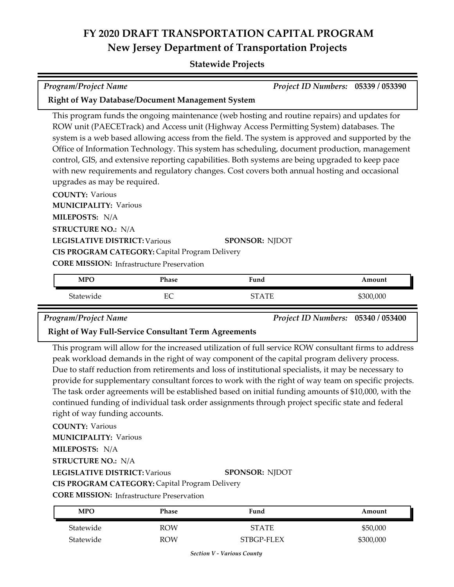#### **Statewide Projects**

| <b>Program/Project Name</b> |  | Project ID Numbers: 05339 / 053390 |  |
|-----------------------------|--|------------------------------------|--|
| _________<br>$\sim$         |  |                                    |  |

#### **Right of Way Database/Document Management System**

This program funds the ongoing maintenance (web hosting and routine repairs) and updates for ROW unit (PAECETrack) and Access unit (Highway Access Permitting System) databases. The system is a web based allowing access from the field. The system is approved and supported by the Office of Information Technology. This system has scheduling, document production, management control, GIS, and extensive reporting capabilities. Both systems are being upgraded to keep pace with new requirements and regulatory changes. Cost covers both annual hosting and occasional upgrades as may be required.

**COUNTY:** Various **LEGISLATIVE DISTRICT:** Various **MILEPOSTS:** N/A **STRUCTURE NO.:** N/A **MUNICIPALITY: Various CORE MISSION: Infrastructure Preservation SPONSOR:** NJDOT **CIS PROGRAM CATEGORY:** Capital Program Delivery

| <b>MPO</b> | Phase         | T.<br>Fund | Amount    |
|------------|---------------|------------|-----------|
| Statewide  | г $\cap$<br>◡ | <b>ATF</b> | \$300,000 |

*Program/Project Name Project ID Numbers:* **05340 / 053400**

#### **Right of Way Full-Service Consultant Term Agreements**

This program will allow for the increased utilization of full service ROW consultant firms to address peak workload demands in the right of way component of the capital program delivery process. Due to staff reduction from retirements and loss of institutional specialists, it may be necessary to provide for supplementary consultant forces to work with the right of way team on specific projects. The task order agreements will be established based on initial funding amounts of \$10,000, with the continued funding of individual task order assignments through project specific state and federal right of way funding accounts.

**COUNTY:** Various

**MUNICIPALITY: Various** 

**MILEPOSTS:** N/A

**STRUCTURE NO.:** N/A

**LEGISLATIVE DISTRICT:** Various

**SPONSOR:** NJDOT

**CIS PROGRAM CATEGORY:** Capital Program Delivery

**CORE MISSION: Infrastructure Preservation** 

| <b>MPO</b> | Phase      | Fund       | Amount    |
|------------|------------|------------|-----------|
| Statewide  | <b>ROW</b> | STATE      | \$50,000  |
| Statewide  | <b>ROW</b> | STBGP-FLEX | \$300,000 |

*Section V - Various County*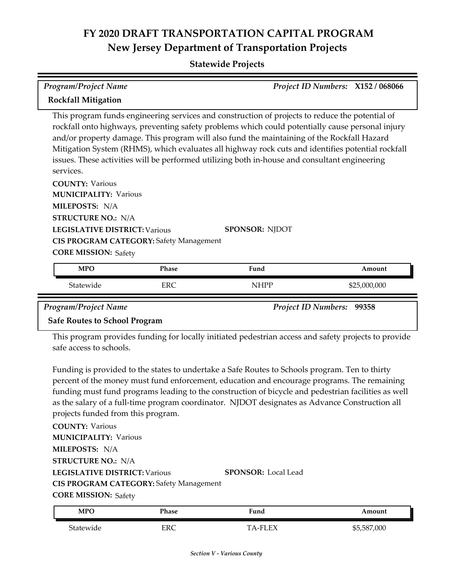**Statewide Projects**

| <b>Program/Project Name</b>                                                                                        |              |                                                                                                                                                                                                                                                                                                                                                                                                                                                                                                         | Project ID Numbers: X152 / 068066 |
|--------------------------------------------------------------------------------------------------------------------|--------------|---------------------------------------------------------------------------------------------------------------------------------------------------------------------------------------------------------------------------------------------------------------------------------------------------------------------------------------------------------------------------------------------------------------------------------------------------------------------------------------------------------|-----------------------------------|
| <b>Rockfall Mitigation</b>                                                                                         |              |                                                                                                                                                                                                                                                                                                                                                                                                                                                                                                         |                                   |
| services.<br><b>COUNTY: Various</b><br><b>MUNICIPALITY: Various</b><br>MILEPOSTS: N/A<br><b>STRUCTURE NO.: N/A</b> |              | This program funds engineering services and construction of projects to reduce the potential of<br>rockfall onto highways, preventing safety problems which could potentially cause personal injury<br>and/or property damage. This program will also fund the maintaining of the Rockfall Hazard<br>Mitigation System (RHMS), which evaluates all highway rock cuts and identifies potential rockfall<br>issues. These activities will be performed utilizing both in-house and consultant engineering |                                   |
| <b>LEGISLATIVE DISTRICT: Various</b><br><b>CIS PROGRAM CATEGORY: Safety Management</b>                             |              | <b>SPONSOR: NJDOT</b>                                                                                                                                                                                                                                                                                                                                                                                                                                                                                   |                                   |
| <b>CORE MISSION: Safety</b>                                                                                        |              |                                                                                                                                                                                                                                                                                                                                                                                                                                                                                                         |                                   |
| <b>MPO</b>                                                                                                         | <b>Phase</b> | Fund                                                                                                                                                                                                                                                                                                                                                                                                                                                                                                    | Amount                            |
| Statewide                                                                                                          | <b>ERC</b>   | NHPP                                                                                                                                                                                                                                                                                                                                                                                                                                                                                                    | \$25,000,000                      |

*Program/Project Name Project ID Numbers:* **99358**

#### **Safe Routes to School Program**

This program provides funding for locally initiated pedestrian access and safety projects to provide safe access to schools.

Funding is provided to the states to undertake a Safe Routes to Schools program. Ten to thirty percent of the money must fund enforcement, education and encourage programs. The remaining funding must fund programs leading to the construction of bicycle and pedestrian facilities as well as the salary of a full-time program coordinator. NJDOT designates as Advance Construction all projects funded from this program.

**COUNTY:** Various **LEGISLATIVE DISTRICT:** Various **MILEPOSTS:** N/A **STRUCTURE NO.:** N/A **MUNICIPALITY: Various CORE MISSION: Safety SPONSOR:** Local Lead **CIS PROGRAM CATEGORY:** Safety Management

| <b>MPC</b> | Phase | Fund    | \mount      |
|------------|-------|---------|-------------|
| Statewide  | ERC   | TA-FLEX | \$5,587,000 |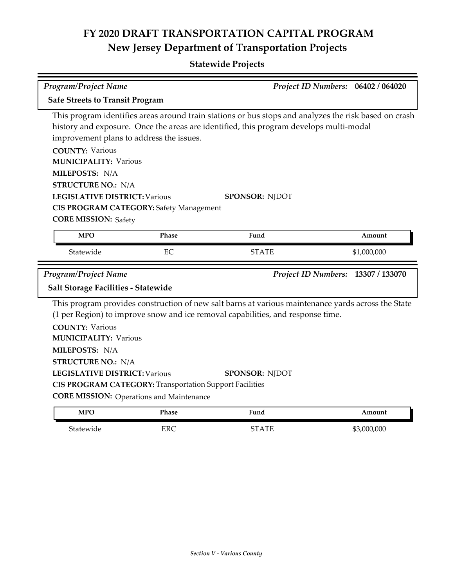### **Statewide Projects**

| <b>Program/Project Name</b>                                                                                                                   |                                                                                                                   |                                                                                                                                                                                                                          | Project ID Numbers: 06402 / 064020 |
|-----------------------------------------------------------------------------------------------------------------------------------------------|-------------------------------------------------------------------------------------------------------------------|--------------------------------------------------------------------------------------------------------------------------------------------------------------------------------------------------------------------------|------------------------------------|
| <b>Safe Streets to Transit Program</b>                                                                                                        |                                                                                                                   |                                                                                                                                                                                                                          |                                    |
| <b>COUNTY: Various</b><br><b>MUNICIPALITY: Various</b><br>MILEPOSTS: N/A<br><b>STRUCTURE NO.: N/A</b><br><b>LEGISLATIVE DISTRICT: Various</b> | improvement plans to address the issues.<br><b>CIS PROGRAM CATEGORY: Safety Management</b>                        | This program identifies areas around train stations or bus stops and analyzes the risk based on crash<br>history and exposure. Once the areas are identified, this program develops multi-modal<br><b>SPONSOR: NJDOT</b> |                                    |
| <b>CORE MISSION: Safety</b><br><b>MPO</b>                                                                                                     | Phase                                                                                                             | Fund                                                                                                                                                                                                                     | Amount                             |
|                                                                                                                                               |                                                                                                                   |                                                                                                                                                                                                                          |                                    |
| Statewide                                                                                                                                     | EC                                                                                                                | <b>STATE</b>                                                                                                                                                                                                             | \$1,000,000                        |
| Program/Project Name                                                                                                                          |                                                                                                                   |                                                                                                                                                                                                                          | Project ID Numbers: 13307 / 133070 |
| Salt Storage Facilities - Statewide                                                                                                           |                                                                                                                   |                                                                                                                                                                                                                          |                                    |
| <b>COUNTY: Various</b><br><b>MUNICIPALITY: Various</b><br>MILEPOSTS: N/A<br><b>STRUCTURE NO.: N/A</b><br><b>LEGISLATIVE DISTRICT: Various</b> | <b>CIS PROGRAM CATEGORY: Transportation Support Facilities</b><br><b>CORE MISSION:</b> Operations and Maintenance | This program provides construction of new salt barns at various maintenance yards across the State<br>(1 per Region) to improve snow and ice removal capabilities, and response time.<br><b>SPONSOR: NIDOT</b>           |                                    |
| <b>MPO</b>                                                                                                                                    | Phase                                                                                                             | Fund                                                                                                                                                                                                                     | Amount                             |

Statewide ERC ERC STATE \$3,000,000

*Section V - Various County*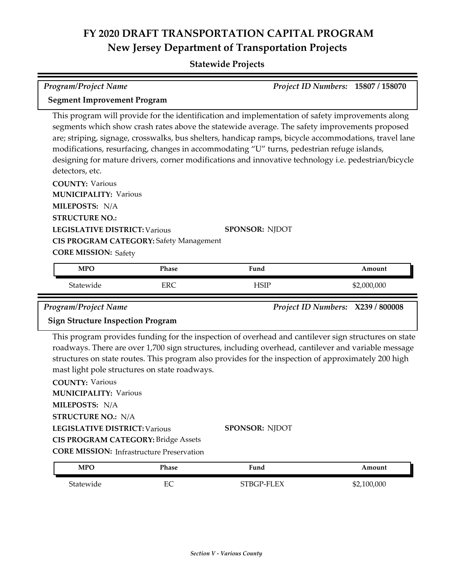#### **Statewide Projects**

| <b>Program/Project Name</b>                                                                                                                                                                                                                                                                                                                                                                                                                                                                                                         |            |                       |  | Project ID Numbers: 15807 / 158070 |
|-------------------------------------------------------------------------------------------------------------------------------------------------------------------------------------------------------------------------------------------------------------------------------------------------------------------------------------------------------------------------------------------------------------------------------------------------------------------------------------------------------------------------------------|------------|-----------------------|--|------------------------------------|
| <b>Segment Improvement Program</b>                                                                                                                                                                                                                                                                                                                                                                                                                                                                                                  |            |                       |  |                                    |
| This program will provide for the identification and implementation of safety improvements along<br>segments which show crash rates above the statewide average. The safety improvements proposed<br>are; striping, signage, crosswalks, bus shelters, handicap ramps, bicycle accommodations, travel lane<br>modifications, resurfacing, changes in accommodating "U" turns, pedestrian refuge islands,<br>designing for mature drivers, corner modifications and innovative technology i.e. pedestrian/bicycle<br>detectors, etc. |            |                       |  |                                    |
| <b>COUNTY: Various</b><br><b>MUNICIPALITY: Various</b><br>MILEPOSTS: N/A                                                                                                                                                                                                                                                                                                                                                                                                                                                            |            |                       |  |                                    |
| <b>STRUCTURE NO.:</b>                                                                                                                                                                                                                                                                                                                                                                                                                                                                                                               |            |                       |  |                                    |
| <b>LEGISLATIVE DISTRICT: Various</b>                                                                                                                                                                                                                                                                                                                                                                                                                                                                                                |            | <b>SPONSOR: NJDOT</b> |  |                                    |
| <b>CIS PROGRAM CATEGORY: Safety Management</b><br><b>CORE MISSION: Safety</b>                                                                                                                                                                                                                                                                                                                                                                                                                                                       |            |                       |  |                                    |
| <b>MPO</b>                                                                                                                                                                                                                                                                                                                                                                                                                                                                                                                          | Phase      | Fund                  |  | Amount                             |
| Statewide                                                                                                                                                                                                                                                                                                                                                                                                                                                                                                                           | <b>ERC</b> | <b>HSIP</b>           |  | \$2,000,000                        |
| Program/Project Name                                                                                                                                                                                                                                                                                                                                                                                                                                                                                                                |            |                       |  | Project ID Numbers: X239 / 800008  |

#### **Sign Structure Inspection Program**

This program provides funding for the inspection of overhead and cantilever sign structures on state roadways. There are over 1,700 sign structures, including overhead, cantilever and variable message structures on state routes. This program also provides for the inspection of approximately 200 high mast light pole structures on state roadways.

| <b>COUNTY: Various</b>                           |                       |
|--------------------------------------------------|-----------------------|
| <b>MUNICIPALITY: Various</b>                     |                       |
| <b>MILEPOSTS: N/A</b>                            |                       |
| <b>STRUCTURE NO.: N/A</b>                        |                       |
| <b>LEGISLATIVE DISTRICT: Various</b>             | <b>SPONSOR: NJDOT</b> |
| <b>CIS PROGRAM CATEGORY: Bridge Assets</b>       |                       |
| <b>CORE MISSION:</b> Infrastructure Preservation |                       |
|                                                  |                       |

| <b>MPO</b> | Phase  | <sup>T</sup> und | Amount      |
|------------|--------|------------------|-------------|
| Statewide  | ⊷<br>∽ | STBGP-FLEX       | \$2,100,000 |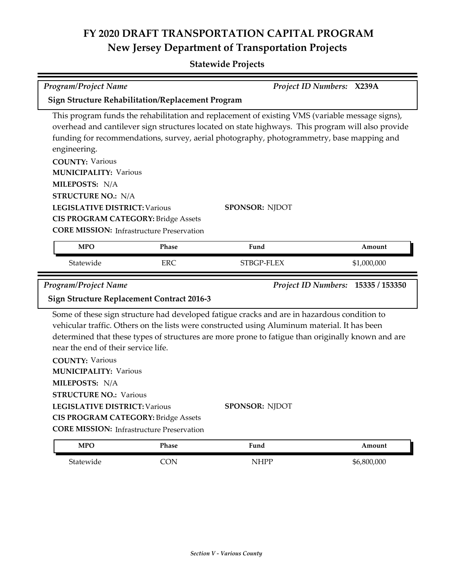| <b>Program/Project Name</b>                                                                                                                |                                                  |                                                                                                                                                                                                                                                                                                   | Project ID Numbers: X239A          |
|--------------------------------------------------------------------------------------------------------------------------------------------|--------------------------------------------------|---------------------------------------------------------------------------------------------------------------------------------------------------------------------------------------------------------------------------------------------------------------------------------------------------|------------------------------------|
| <b>Sign Structure Rehabilitation/Replacement Program</b>                                                                                   |                                                  |                                                                                                                                                                                                                                                                                                   |                                    |
| engineering.                                                                                                                               |                                                  | This program funds the rehabilitation and replacement of existing VMS (variable message signs),<br>overhead and cantilever sign structures located on state highways. This program will also provide<br>funding for recommendations, survey, aerial photography, photogrammetry, base mapping and |                                    |
| <b>COUNTY: Various</b><br><b>MUNICIPALITY: Various</b><br>MILEPOSTS: N/A                                                                   |                                                  |                                                                                                                                                                                                                                                                                                   |                                    |
| <b>STRUCTURE NO.: N/A</b><br><b>LEGISLATIVE DISTRICT: Various</b><br><b>CIS PROGRAM CATEGORY: Bridge Assets</b>                            | <b>CORE MISSION:</b> Infrastructure Preservation | <b>SPONSOR: NJDOT</b>                                                                                                                                                                                                                                                                             |                                    |
| <b>MPO</b>                                                                                                                                 | Phase                                            | Fund                                                                                                                                                                                                                                                                                              | Amount                             |
| Statewide                                                                                                                                  | <b>ERC</b>                                       | STBGP-FLEX                                                                                                                                                                                                                                                                                        | \$1,000,000                        |
|                                                                                                                                            |                                                  |                                                                                                                                                                                                                                                                                                   |                                    |
| <b>Program/Project Name</b><br><b>Sign Structure Replacement Contract 2016-3</b>                                                           |                                                  |                                                                                                                                                                                                                                                                                                   | Project ID Numbers: 15335 / 153350 |
| near the end of their service life.                                                                                                        |                                                  | Some of these sign structure had developed fatigue cracks and are in hazardous condition to<br>vehicular traffic. Others on the lists were constructed using Aluminum material. It has been<br>determined that these types of structures are more prone to fatigue than originally known and are  |                                    |
| <b>COUNTY: Various</b><br><b>MUNICIPALITY: Various</b><br>MILEPOSTS: N/A<br><b>STRUCTURE NO.: Various</b><br>LEGISLATIVE DISTRICT: Various |                                                  | <b>SPONSOR: NJDOT</b>                                                                                                                                                                                                                                                                             |                                    |
| <b>CIS PROGRAM CATEGORY: Bridge Assets</b>                                                                                                 | <b>CORE MISSION:</b> Infrastructure Preservation |                                                                                                                                                                                                                                                                                                   |                                    |
| <b>MPO</b>                                                                                                                                 | Phase                                            | Fund                                                                                                                                                                                                                                                                                              | Amount                             |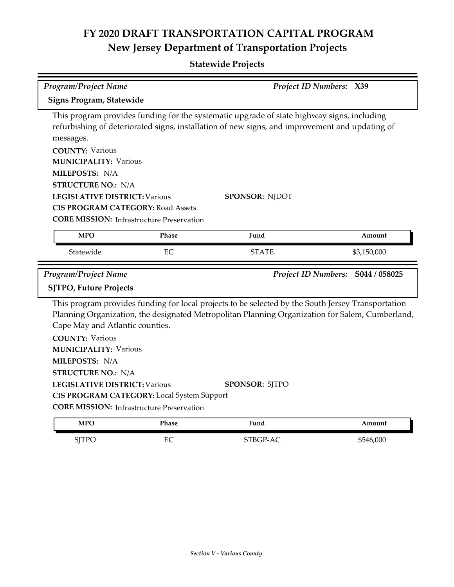**Statewide Projects**

| <b>Program/Project Name</b>                                                                                                                                                                                                                                                        |       | Project ID Numbers: X39                                                                                                                                                                                                        |                                   |
|------------------------------------------------------------------------------------------------------------------------------------------------------------------------------------------------------------------------------------------------------------------------------------|-------|--------------------------------------------------------------------------------------------------------------------------------------------------------------------------------------------------------------------------------|-----------------------------------|
| <b>Signs Program, Statewide</b>                                                                                                                                                                                                                                                    |       |                                                                                                                                                                                                                                |                                   |
| messages.<br><b>COUNTY: Various</b><br><b>MUNICIPALITY: Various</b><br>MILEPOSTS: N/A<br><b>STRUCTURE NO.: N/A</b><br><b>LEGISLATIVE DISTRICT: Various</b><br><b>CIS PROGRAM CATEGORY: Road Assets</b><br><b>CORE MISSION:</b> Infrastructure Preservation                         |       | This program provides funding for the systematic upgrade of state highway signs, including<br>refurbishing of deteriorated signs, installation of new signs, and improvement and updating of<br><b>SPONSOR: NJDOT</b>          |                                   |
| <b>MPO</b>                                                                                                                                                                                                                                                                         | Phase | Fund                                                                                                                                                                                                                           | Amount                            |
| Statewide                                                                                                                                                                                                                                                                          | EC    | <b>STATE</b>                                                                                                                                                                                                                   | \$3,150,000                       |
| <b>Program/Project Name</b>                                                                                                                                                                                                                                                        |       |                                                                                                                                                                                                                                | Project ID Numbers: S044 / 058025 |
| <b>SJTPO, Future Projects</b>                                                                                                                                                                                                                                                      |       |                                                                                                                                                                                                                                |                                   |
| Cape May and Atlantic counties.<br><b>COUNTY: Various</b><br><b>MUNICIPALITY: Various</b><br>MILEPOSTS: N/A<br><b>STRUCTURE NO.: N/A</b><br><b>LEGISLATIVE DISTRICT: Various</b><br>CIS PROGRAM CATEGORY: Local System Support<br><b>CORE MISSION:</b> Infrastructure Preservation |       | This program provides funding for local projects to be selected by the South Jersey Transportation<br>Planning Organization, the designated Metropolitan Planning Organization for Salem, Cumberland,<br><b>SPONSOR: SJTPO</b> |                                   |
| <b>MPO</b>                                                                                                                                                                                                                                                                         | Phase | Fund                                                                                                                                                                                                                           | Amount                            |

SJTPO EC STBGP-AC \$546,000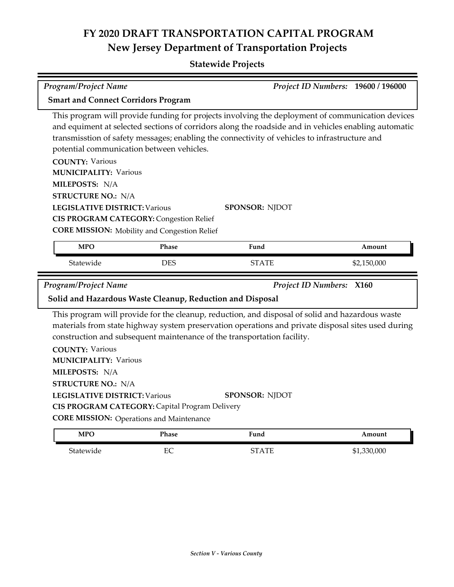### **Statewide Projects**

| <b>Program/Project Name</b>                                                                                           |              |                                                                                                                                                                                                                                                                                                           | Project ID Numbers: 19600 / 196000 |  |
|-----------------------------------------------------------------------------------------------------------------------|--------------|-----------------------------------------------------------------------------------------------------------------------------------------------------------------------------------------------------------------------------------------------------------------------------------------------------------|------------------------------------|--|
| <b>Smart and Connect Corridors Program</b>                                                                            |              |                                                                                                                                                                                                                                                                                                           |                                    |  |
| potential communication between vehicles.<br><b>COUNTY: Various</b><br><b>MUNICIPALITY: Various</b><br>MILEPOSTS: N/A |              | This program will provide funding for projects involving the deployment of communication devices<br>and equiment at selected sections of corridors along the roadside and in vehicles enabling automatic<br>transmisstion of safety messages; enabling the connectivity of vehicles to infrastructure and |                                    |  |
| <b>STRUCTURE NO.: N/A</b>                                                                                             |              |                                                                                                                                                                                                                                                                                                           |                                    |  |
| <b>LEGISLATIVE DISTRICT: Various</b><br><b>CIS PROGRAM CATEGORY: Congestion Relief</b>                                |              | <b>SPONSOR: NJDOT</b>                                                                                                                                                                                                                                                                                     |                                    |  |
| <b>CORE MISSION:</b> Mobility and Congestion Relief                                                                   |              |                                                                                                                                                                                                                                                                                                           |                                    |  |
|                                                                                                                       |              |                                                                                                                                                                                                                                                                                                           |                                    |  |
| <b>MPO</b>                                                                                                            | Phase        | Fund                                                                                                                                                                                                                                                                                                      | Amount                             |  |
| Statewide                                                                                                             | <b>DES</b>   | <b>STATE</b>                                                                                                                                                                                                                                                                                              | \$2,150,000                        |  |
| <b>Program/Project Name</b>                                                                                           |              | <b>Project ID Numbers: X160</b>                                                                                                                                                                                                                                                                           |                                    |  |
| Solid and Hazardous Waste Cleanup, Reduction and Disposal                                                             |              |                                                                                                                                                                                                                                                                                                           |                                    |  |
| <b>COUNTY: Various</b>                                                                                                |              | This program will provide for the cleanup, reduction, and disposal of solid and hazardous waste<br>materials from state highway system preservation operations and private disposal sites used during<br>construction and subsequent maintenance of the transportation facility.                          |                                    |  |
| <b>MUNICIPALITY: Various</b>                                                                                          |              |                                                                                                                                                                                                                                                                                                           |                                    |  |
| MILEPOSTS: N/A                                                                                                        |              |                                                                                                                                                                                                                                                                                                           |                                    |  |
| <b>STRUCTURE NO.: N/A</b>                                                                                             |              |                                                                                                                                                                                                                                                                                                           |                                    |  |
| LEGISLATIVE DISTRICT: Various                                                                                         |              | <b>SPONSOR: NJDOT</b>                                                                                                                                                                                                                                                                                     |                                    |  |
| CIS PROGRAM CATEGORY: Capital Program Delivery                                                                        |              |                                                                                                                                                                                                                                                                                                           |                                    |  |
| <b>CORE MISSION:</b> Operations and Maintenance                                                                       |              |                                                                                                                                                                                                                                                                                                           |                                    |  |
| <b>MPO</b>                                                                                                            | <b>Phase</b> | Fund                                                                                                                                                                                                                                                                                                      | Amount                             |  |

Statewide EC EC STATE \$1,330,000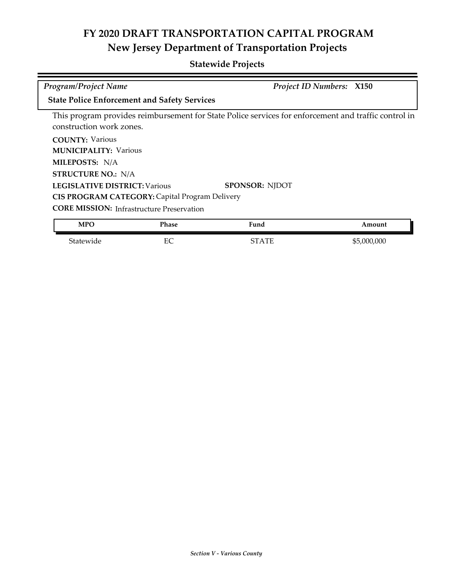| <b>Program/Project Name</b>                                                                        |              | <b>Project ID Numbers: X150</b>                                                                      |             |
|----------------------------------------------------------------------------------------------------|--------------|------------------------------------------------------------------------------------------------------|-------------|
| <b>State Police Enforcement and Safety Services</b>                                                |              |                                                                                                      |             |
| construction work zones.                                                                           |              | This program provides reimbursement for State Police services for enforcement and traffic control in |             |
| <b>COUNTY: Various</b><br><b>MUNICIPALITY: Various</b>                                             |              |                                                                                                      |             |
| MILEPOSTS: N/A                                                                                     |              |                                                                                                      |             |
| <b>STRUCTURE NO.: N/A</b><br><b>LEGISLATIVE DISTRICT: Various</b>                                  |              | <b>SPONSOR: NJDOT</b>                                                                                |             |
| CIS PROGRAM CATEGORY: Capital Program Delivery<br><b>CORE MISSION:</b> Infrastructure Preservation |              |                                                                                                      |             |
| <b>MPO</b>                                                                                         | <b>Phase</b> | Fund                                                                                                 | Amount      |
| Statewide                                                                                          | EC           | <b>STATE</b>                                                                                         | \$5,000,000 |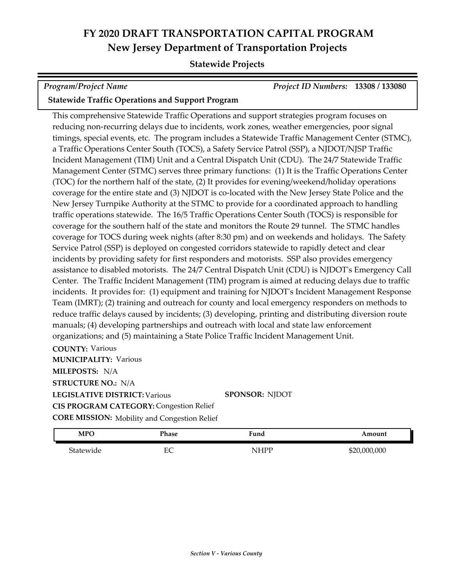#### **Statewide Projects**

| <b>Program/Project Name</b>                             | <b>Project ID Numbers: 13308 / 133080</b> |  |
|---------------------------------------------------------|-------------------------------------------|--|
| <b>Statewide Traffic Operations and Support Program</b> |                                           |  |

#### This comprehensive Statewide Traffic Operations and support strategies program focuses on reducing non-recurring delays due to incidents, work zones, weather emergencies, poor signal timings, special events, etc. The program includes a Statewide Traffic Management Center (STMC), a Traffic Operations Center South (TOCS), a Safety Service Patrol (SSP), a NJDOT/NJSP Traffic Incident Management (TIM) Unit and a Central Dispatch Unit (CDU). The 24/7 Statewide Traffic Management Center (STMC) serves three primary functions: (1) It is the Traffic Operations Center (TOC) for the northern half of the state, (2) It provides for evening/weekend/holiday operations coverage for the entire state and (3) NJDOT is co-located with the New Jersey State Police and the New Jersey Turnpike Authority at the STMC to provide for a coordinated approach to handling traffic operations statewide. The 16/5 Traffic Operations Center South (TOCS) is responsible for coverage for the southern half of the state and monitors the Route 29 tunnel. The STMC handles coverage for TOCS during week nights (after 8:30 pm) and on weekends and holidays. The Safety Service Patrol (SSP) is deployed on congested corridors statewide to rapidly detect and clear incidents by providing safety for first responders and motorists. SSP also provides emergency assistance to disabled motorists. The 24/7 Central Dispatch Unit (CDU) is NJDOT's Emergency Call Center. The Traffic Incident Management (TIM) program is aimed at reducing delays due to traffic incidents. It provides for: (1) equipment and training for NJDOT's Incident Management Response Team (IMRT); (2) training and outreach for county and local emergency responders on methods to reduce traffic delays caused by incidents; (3) developing, printing and distributing diversion route manuals; (4) developing partnerships and outreach with local and state law enforcement organizations; and (5) maintaining a State Police Traffic Incident Management Unit.

**COUNTY:** Various **LEGISLATIVE DISTRICT:** Various **MILEPOSTS:** N/A **STRUCTURE NO.:** N/A **MUNICIPALITY: Various CORE MISSION:** Mobility and Congestion Relief **SPONSOR:** NJDOT **CIS PROGRAM CATEGORY:** Congestion Relief

| <b>MPO</b> | Phase     | Fund<br>$\sim$ $\sim$ | Amount       |
|------------|-----------|-----------------------|--------------|
| Statewide  | EΩ<br>EV. | NHPP                  | \$20,000,000 |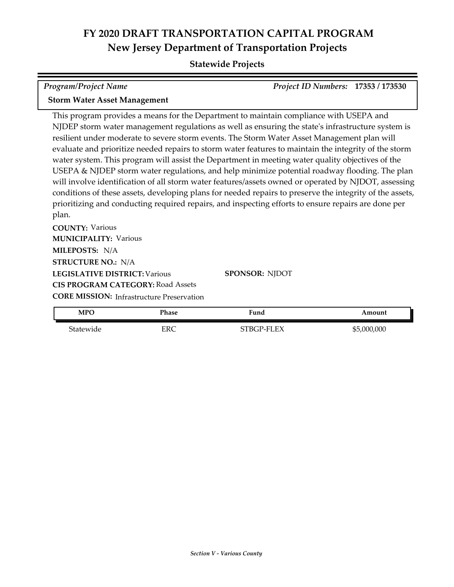#### **Statewide Projects**

| <b>Program/Project Name</b>         | Project ID Numbers: 17353 / 173530 |  |
|-------------------------------------|------------------------------------|--|
| <b>Storm Water Asset Management</b> |                                    |  |

This program provides a means for the Department to maintain compliance with USEPA and NJDEP storm water management regulations as well as ensuring the state's infrastructure system is resilient under moderate to severe storm events. The Storm Water Asset Management plan will evaluate and prioritize needed repairs to storm water features to maintain the integrity of the storm water system. This program will assist the Department in meeting water quality objectives of the USEPA & NJDEP storm water regulations, and help minimize potential roadway flooding. The plan will involve identification of all storm water features/assets owned or operated by NJDOT, assessing conditions of these assets, developing plans for needed repairs to preserve the integrity of the assets, prioritizing and conducting required repairs, and inspecting efforts to ensure repairs are done per plan.

**COUNTY:** Various **LEGISLATIVE DISTRICT:** Various **MILEPOSTS:** N/A **STRUCTURE NO.:** N/A **MUNICIPALITY: Various CORE MISSION: Infrastructure Preservation CIS PROGRAM CATEGORY:** Road Assets

**SPONSOR:** NJDOT

| <b>MPO</b> | Phase | Fund       | Amount          |
|------------|-------|------------|-----------------|
| Statewide  | ERC   | STBGP-FLEX | ,000,000<br>\$5 |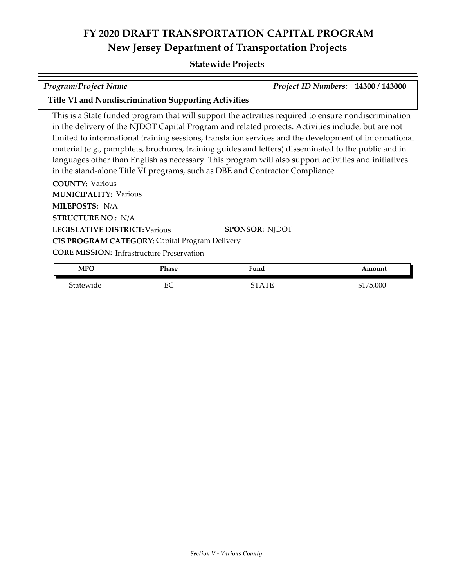#### **Statewide Projects**

| Program/Project Name                                 | <i>Project ID Numbers:</i> 14300 / 143000 |  |
|------------------------------------------------------|-------------------------------------------|--|
| Title VI and Nondiscrimination Supporting Activities |                                           |  |

This is a State funded program that will support the activities required to ensure nondiscrimination in the delivery of the NJDOT Capital Program and related projects. Activities include, but are not limited to informational training sessions, translation services and the development of informational material (e.g., pamphlets, brochures, training guides and letters) disseminated to the public and in languages other than English as necessary. This program will also support activities and initiatives in the stand-alone Title VI programs, such as DBE and Contractor Compliance

**COUNTY:** Various **LEGISLATIVE DISTRICT:** Various **MILEPOSTS:** N/A **STRUCTURE NO.:** N/A **MUNICIPALITY: Various CORE MISSION:** Infrastructure Preservation **SPONSOR:** NJDOT **CIS PROGRAM CATEGORY:** Capital Program Delivery

| <b>MPO</b> | Phase   | ™una  | Amount    |
|------------|---------|-------|-----------|
| Statewide  | гΩ<br>◡ | STATE | \$175,000 |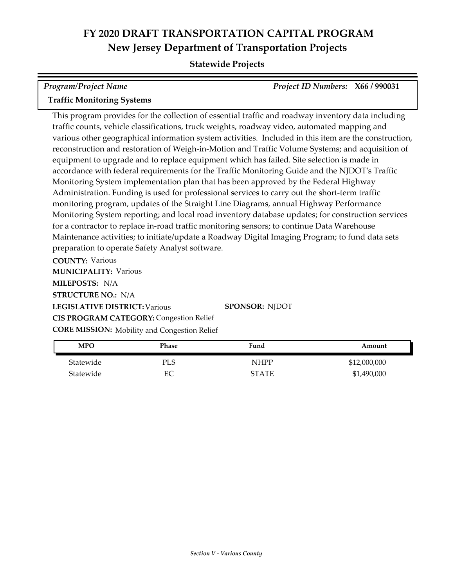#### **Statewide Projects**

| Program/Project Name              | Project ID Numbers: X66 / 990031 |  |
|-----------------------------------|----------------------------------|--|
| <b>Traffic Monitoring Systems</b> |                                  |  |

This program provides for the collection of essential traffic and roadway inventory data including traffic counts, vehicle classifications, truck weights, roadway video, automated mapping and various other geographical information system activities. Included in this item are the construction, reconstruction and restoration of Weigh-in-Motion and Traffic Volume Systems; and acquisition of equipment to upgrade and to replace equipment which has failed. Site selection is made in accordance with federal requirements for the Traffic Monitoring Guide and the NJDOT's Traffic Monitoring System implementation plan that has been approved by the Federal Highway Administration. Funding is used for professional services to carry out the short-term traffic monitoring program, updates of the Straight Line Diagrams, annual Highway Performance Monitoring System reporting; and local road inventory database updates; for construction services for a contractor to replace in-road traffic monitoring sensors; to continue Data Warehouse Maintenance activities; to initiate/update a Roadway Digital Imaging Program; to fund data sets preparation to operate Safety Analyst software.

**COUNTY:** Various **LEGISLATIVE DISTRICT:** Various **MILEPOSTS:** N/A **STRUCTURE NO.:** N/A **MUNICIPALITY: Various CORE MISSION:** Mobility and Congestion Relief **SPONSOR:** NJDOT **CIS PROGRAM CATEGORY:** Congestion Relief

| MPO       | Phase      | Fund         | Amount       |
|-----------|------------|--------------|--------------|
| Statewide | <b>PLS</b> | NHPP         | \$12,000,000 |
| Statewide | EС         | <b>STATE</b> | \$1,490,000  |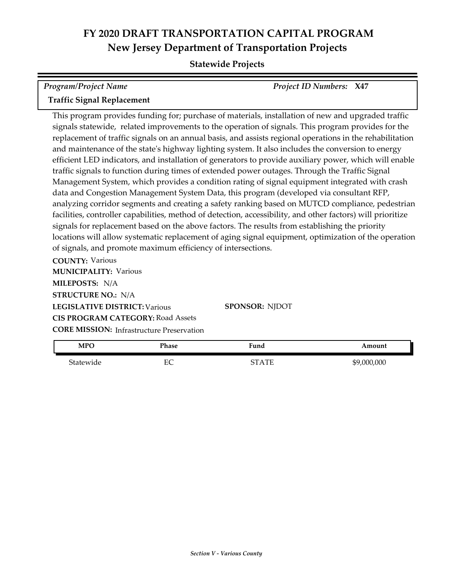#### **Statewide Projects**

| <b>Program/Project Name</b>       | <b>Project ID Numbers: X47</b> |  |
|-----------------------------------|--------------------------------|--|
| <b>Traffic Signal Replacement</b> |                                |  |

This program provides funding for; purchase of materials, installation of new and upgraded traffic signals statewide, related improvements to the operation of signals. This program provides for the replacement of traffic signals on an annual basis, and assists regional operations in the rehabilitation and maintenance of the state's highway lighting system. It also includes the conversion to energy efficient LED indicators, and installation of generators to provide auxiliary power, which will enable traffic signals to function during times of extended power outages. Through the Traffic Signal Management System, which provides a condition rating of signal equipment integrated with crash data and Congestion Management System Data, this program (developed via consultant RFP, analyzing corridor segments and creating a safety ranking based on MUTCD compliance, pedestrian facilities, controller capabilities, method of detection, accessibility, and other factors) will prioritize signals for replacement based on the above factors. The results from establishing the priority locations will allow systematic replacement of aging signal equipment, optimization of the operation of signals, and promote maximum efficiency of intersections.

**COUNTY:** Various **LEGISLATIVE DISTRICT:** Various **MILEPOSTS:** N/A **STRUCTURE NO.:** N/A **MUNICIPALITY: Various CORE MISSION:** Infrastructure Preservation **SPONSOR:** NJDOT **CIS PROGRAM CATEGORY:** Road Assets

| MPO       | Phase    | Fund  | Amount      |
|-----------|----------|-------|-------------|
| Statewide | гΩ<br>ĽĆ | STATE | \$9,000,000 |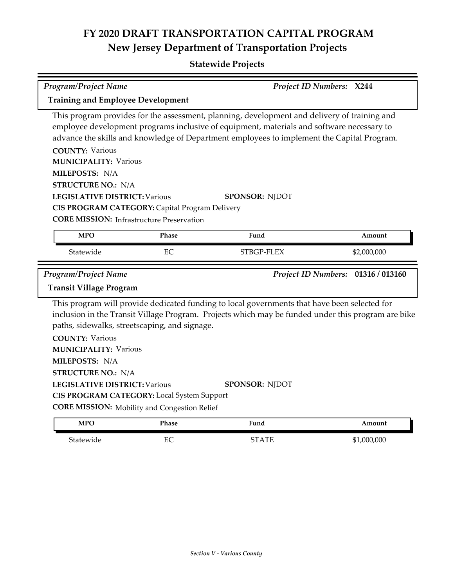### **Statewide Projects**

| <b>Program/Project Name</b>                                                                                                                                                                                                                                                                         |              |                                                                                                                                                                                                                                                                                                                  | Project ID Numbers: X244           |  |  |
|-----------------------------------------------------------------------------------------------------------------------------------------------------------------------------------------------------------------------------------------------------------------------------------------------------|--------------|------------------------------------------------------------------------------------------------------------------------------------------------------------------------------------------------------------------------------------------------------------------------------------------------------------------|------------------------------------|--|--|
| <b>Training and Employee Development</b>                                                                                                                                                                                                                                                            |              |                                                                                                                                                                                                                                                                                                                  |                                    |  |  |
| <b>COUNTY: Various</b><br><b>MUNICIPALITY: Various</b><br>MILEPOSTS: N/A<br><b>STRUCTURE NO.: N/A</b><br><b>LEGISLATIVE DISTRICT: Various</b><br>CIS PROGRAM CATEGORY: Capital Program Delivery<br><b>CORE MISSION: Infrastructure Preservation</b>                                                 |              | This program provides for the assessment, planning, development and delivery of training and<br>employee development programs inclusive of equipment, materials and software necessary to<br>advance the skills and knowledge of Department employees to implement the Capital Program.<br><b>SPONSOR: NJDOT</b> |                                    |  |  |
| <b>MPO</b>                                                                                                                                                                                                                                                                                          | Phase        | Fund                                                                                                                                                                                                                                                                                                             | Amount                             |  |  |
| Statewide                                                                                                                                                                                                                                                                                           | EC           | STBGP-FLEX                                                                                                                                                                                                                                                                                                       | \$2,000,000                        |  |  |
| Program/Project Name                                                                                                                                                                                                                                                                                |              |                                                                                                                                                                                                                                                                                                                  | Project ID Numbers: 01316 / 013160 |  |  |
| <b>Transit Village Program</b>                                                                                                                                                                                                                                                                      |              |                                                                                                                                                                                                                                                                                                                  |                                    |  |  |
| paths, sidewalks, streetscaping, and signage.<br><b>COUNTY: Various</b><br><b>MUNICIPALITY: Various</b><br>MILEPOSTS: N/A<br><b>STRUCTURE NO.: N/A</b><br><b>LEGISLATIVE DISTRICT: Various</b><br>CIS PROGRAM CATEGORY: Local System Support<br><b>CORE MISSION:</b> Mobility and Congestion Relief |              | This program will provide dedicated funding to local governments that have been selected for<br>inclusion in the Transit Village Program. Projects which may be funded under this program are bike<br><b>SPONSOR: NJDOT</b>                                                                                      |                                    |  |  |
| <b>MPO</b>                                                                                                                                                                                                                                                                                          | <b>Phase</b> | Fund                                                                                                                                                                                                                                                                                                             | Amount                             |  |  |

Statewide EC EC STATE \$1,000,000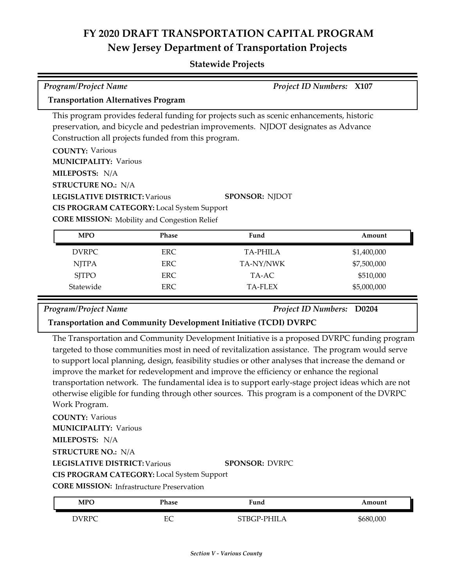#### **Statewide Projects**

| <b>Program/Project Name</b><br><b>Project ID Numbers: X107</b>                           |            |                                                                                    |  |             |  |
|------------------------------------------------------------------------------------------|------------|------------------------------------------------------------------------------------|--|-------------|--|
| <b>Transportation Alternatives Program</b>                                               |            |                                                                                    |  |             |  |
| This program provides federal funding for projects such as scenic enhancements, historic |            |                                                                                    |  |             |  |
|                                                                                          |            | preservation, and bicycle and pedestrian improvements. NJDOT designates as Advance |  |             |  |
| Construction all projects funded from this program.                                      |            |                                                                                    |  |             |  |
| <b>COUNTY: Various</b>                                                                   |            |                                                                                    |  |             |  |
| <b>MUNICIPALITY: Various</b>                                                             |            |                                                                                    |  |             |  |
| MILEPOSTS: N/A                                                                           |            |                                                                                    |  |             |  |
| <b>STRUCTURE NO.: N/A</b>                                                                |            |                                                                                    |  |             |  |
| <b>LEGISLATIVE DISTRICT: Various</b>                                                     |            | <b>SPONSOR: NJDOT</b>                                                              |  |             |  |
| <b>CIS PROGRAM CATEGORY:</b> Local System Support                                        |            |                                                                                    |  |             |  |
| <b>CORE MISSION:</b> Mobility and Congestion Relief                                      |            |                                                                                    |  |             |  |
| <b>MPO</b>                                                                               | Phase      | Fund                                                                               |  | Amount      |  |
| <b>DVRPC</b>                                                                             | <b>ERC</b> | <b>TA-PHILA</b>                                                                    |  | \$1,400,000 |  |
| <b>NJTPA</b>                                                                             | <b>ERC</b> | TA-NY/NWK                                                                          |  | \$7,500,000 |  |
| <b>SJTPO</b>                                                                             | <b>ERC</b> | TA-AC                                                                              |  | \$510,000   |  |
| Statewide                                                                                | <b>ERC</b> | <b>TA-FLEX</b>                                                                     |  | \$5,000,000 |  |

*Program/Project Name Project ID Numbers:* **D0204**

**Transportation and Community Development Initiative (TCDI) DVRPC**

The Transportation and Community Development Initiative is a proposed DVRPC funding program targeted to those communities most in need of revitalization assistance. The program would serve to support local planning, design, feasibility studies or other analyses that increase the demand or improve the market for redevelopment and improve the efficiency or enhance the regional transportation network. The fundamental idea is to support early-stage project ideas which are not otherwise eligible for funding through other sources. This program is a component of the DVRPC Work Program.

**COUNTY:** Various **LEGISLATIVE DISTRICT:** Various **MILEPOSTS:** N/A **STRUCTURE NO.:** N/A **MUNICIPALITY: Various CORE MISSION: Infrastructure Preservation SPONSOR:** DVRPC **CIS PROGRAM CATEGORY:** Local System Support

| <b>MPO</b> | Phase  | Fund          | <b>\mount</b> |
|------------|--------|---------------|---------------|
| DVRPC      | ⊷<br>◡ | $\Gamma$ HILA | \$680,000     |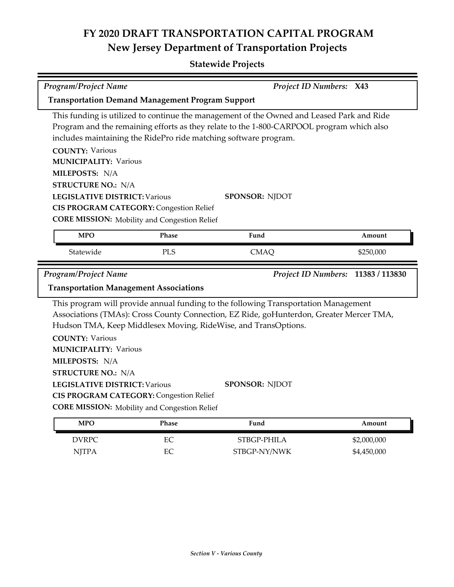### **Statewide Projects**

| Program/Project Name                                                                                                                                                                  |                                                                                                                                                                                                                                                  | Project ID Numbers: X43    |                |  |  |
|---------------------------------------------------------------------------------------------------------------------------------------------------------------------------------------|--------------------------------------------------------------------------------------------------------------------------------------------------------------------------------------------------------------------------------------------------|----------------------------|----------------|--|--|
| <b>Transportation Demand Management Program Support</b>                                                                                                                               |                                                                                                                                                                                                                                                  |                            |                |  |  |
| This funding is utilized to continue the management of the Owned and Leased Park and Ride<br>Program and the remaining efforts as they relate to the 1-800-CARPOOL program which also |                                                                                                                                                                                                                                                  |                            |                |  |  |
|                                                                                                                                                                                       | includes maintaining the RidePro ride matching software program.                                                                                                                                                                                 |                            |                |  |  |
| <b>COUNTY: Various</b>                                                                                                                                                                |                                                                                                                                                                                                                                                  |                            |                |  |  |
| <b>MUNICIPALITY: Various</b>                                                                                                                                                          |                                                                                                                                                                                                                                                  |                            |                |  |  |
| MILEPOSTS: N/A                                                                                                                                                                        |                                                                                                                                                                                                                                                  |                            |                |  |  |
| <b>STRUCTURE NO.: N/A</b>                                                                                                                                                             |                                                                                                                                                                                                                                                  |                            |                |  |  |
| <b>LEGISLATIVE DISTRICT: Various</b>                                                                                                                                                  |                                                                                                                                                                                                                                                  | <b>SPONSOR: NJDOT</b>      |                |  |  |
| <b>CIS PROGRAM CATEGORY: Congestion Relief</b>                                                                                                                                        |                                                                                                                                                                                                                                                  |                            |                |  |  |
| <b>CORE MISSION:</b> Mobility and Congestion Relief                                                                                                                                   |                                                                                                                                                                                                                                                  |                            |                |  |  |
| <b>MPO</b>                                                                                                                                                                            | Phase                                                                                                                                                                                                                                            | Fund                       | Amount         |  |  |
| Statewide                                                                                                                                                                             | PLS                                                                                                                                                                                                                                              | <b>CMAQ</b>                | \$250,000      |  |  |
| Program/Project Name                                                                                                                                                                  |                                                                                                                                                                                                                                                  | <b>Project ID Numbers:</b> | 11383 / 113830 |  |  |
| <b>Transportation Management Associations</b>                                                                                                                                         |                                                                                                                                                                                                                                                  |                            |                |  |  |
|                                                                                                                                                                                       | This program will provide annual funding to the following Transportation Management<br>Associations (TMAs): Cross County Connection, EZ Ride, goHunterdon, Greater Mercer TMA,<br>Hudson TMA, Keep Middlesex Moving, RideWise, and TransOptions. |                            |                |  |  |
| <b>COUNTY: Various</b>                                                                                                                                                                |                                                                                                                                                                                                                                                  |                            |                |  |  |
| <b>MUNICIPALITY: Various</b>                                                                                                                                                          |                                                                                                                                                                                                                                                  |                            |                |  |  |
| MILEPOSTS: N/A                                                                                                                                                                        |                                                                                                                                                                                                                                                  |                            |                |  |  |
| <b>STRUCTURE NO.: N/A</b>                                                                                                                                                             |                                                                                                                                                                                                                                                  |                            |                |  |  |
| <b>LEGISLATIVE DISTRICT: Various</b>                                                                                                                                                  |                                                                                                                                                                                                                                                  | <b>SPONSOR: NJDOT</b>      |                |  |  |
| <b>CIS PROGRAM CATEGORY: Congestion Relief</b>                                                                                                                                        |                                                                                                                                                                                                                                                  |                            |                |  |  |
| <b>CORE MISSION:</b> Mobility and Congestion Relief                                                                                                                                   |                                                                                                                                                                                                                                                  |                            |                |  |  |
| <b>MPO</b>                                                                                                                                                                            | Phase                                                                                                                                                                                                                                            | Fund                       | Amount         |  |  |

DVRPC EC STBGP-PHILA \$2,000,000 NJTPA EC STBGP-NY/NWK \$4,450,000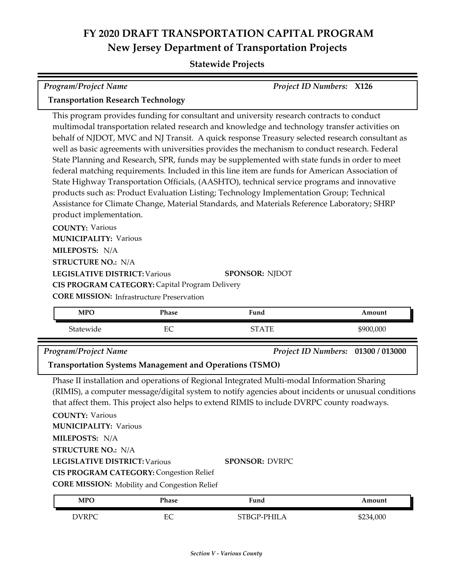#### **Statewide Projects**

| Program/Project Name                                                                                                                |                                                                                                                                                                                                                                                                                                                                                                                                                                                                                                                                                                                                                                                                                                                                                                                                                                                                                                                                                                                                                                                        | <b>Project ID Numbers: X126</b> |           |  |
|-------------------------------------------------------------------------------------------------------------------------------------|--------------------------------------------------------------------------------------------------------------------------------------------------------------------------------------------------------------------------------------------------------------------------------------------------------------------------------------------------------------------------------------------------------------------------------------------------------------------------------------------------------------------------------------------------------------------------------------------------------------------------------------------------------------------------------------------------------------------------------------------------------------------------------------------------------------------------------------------------------------------------------------------------------------------------------------------------------------------------------------------------------------------------------------------------------|---------------------------------|-----------|--|
| <b>Transportation Research Technology</b>                                                                                           |                                                                                                                                                                                                                                                                                                                                                                                                                                                                                                                                                                                                                                                                                                                                                                                                                                                                                                                                                                                                                                                        |                                 |           |  |
| <b>COUNTY: Various</b><br>MILEPOSTS: N/A<br>CIS PROGRAM CATEGORY: Capital Program Delivery                                          | This program provides funding for consultant and university research contracts to conduct<br>multimodal transportation related research and knowledge and technology transfer activities on<br>behalf of NJDOT, MVC and NJ Transit. A quick response Treasury selected research consultant as<br>well as basic agreements with universities provides the mechanism to conduct research. Federal<br>State Planning and Research, SPR, funds may be supplemented with state funds in order to meet<br>federal matching requirements. Included in this line item are funds for American Association of<br>State Highway Transportation Officials, (AASHTO), technical service programs and innovative<br>products such as: Product Evaluation Listing; Technology Implementation Group; Technical<br>Assistance for Climate Change, Material Standards, and Materials Reference Laboratory; SHRP<br>product implementation.<br><b>MUNICIPALITY: Various</b><br><b>STRUCTURE NO.: N/A</b><br><b>LEGISLATIVE DISTRICT: Various</b><br><b>SPONSOR: NJDOT</b> |                                 |           |  |
| <b>CORE MISSION:</b> Infrastructure Preservation                                                                                    |                                                                                                                                                                                                                                                                                                                                                                                                                                                                                                                                                                                                                                                                                                                                                                                                                                                                                                                                                                                                                                                        |                                 |           |  |
| <b>MPO</b>                                                                                                                          | Phase                                                                                                                                                                                                                                                                                                                                                                                                                                                                                                                                                                                                                                                                                                                                                                                                                                                                                                                                                                                                                                                  | Fund                            | Amount    |  |
| Statewide                                                                                                                           | EC                                                                                                                                                                                                                                                                                                                                                                                                                                                                                                                                                                                                                                                                                                                                                                                                                                                                                                                                                                                                                                                     | <b>STATE</b>                    | \$900,000 |  |
| <b>Program/Project Name</b><br>Project ID Numbers: 01300 / 013000<br><b>Transportation Systems Management and Operations (TSMO)</b> |                                                                                                                                                                                                                                                                                                                                                                                                                                                                                                                                                                                                                                                                                                                                                                                                                                                                                                                                                                                                                                                        |                                 |           |  |

Phase II installation and operations of Regional Integrated Multi-modal Information Sharing (RIMIS), a computer message/digital system to notify agencies about incidents or unusual conditions that affect them. This project also helps to extend RIMIS to include DVRPC county roadways.

**COUNTY:** Various **LEGISLATIVE DISTRICT:** Various **MILEPOSTS:** N/A **STRUCTURE NO.:** N/A **MUNICIPALITY: Various CORE MISSION:** Mobility and Congestion Relief **SPONSOR:** DVRPC **CIS PROGRAM CATEGORY:** Congestion Relief

| <b>MPO</b>   | Phase   | Fund         | Amount    |
|--------------|---------|--------------|-----------|
| <b>DVRPC</b> | EC<br>◡ | PHILA<br>ΈΚ. | \$234,000 |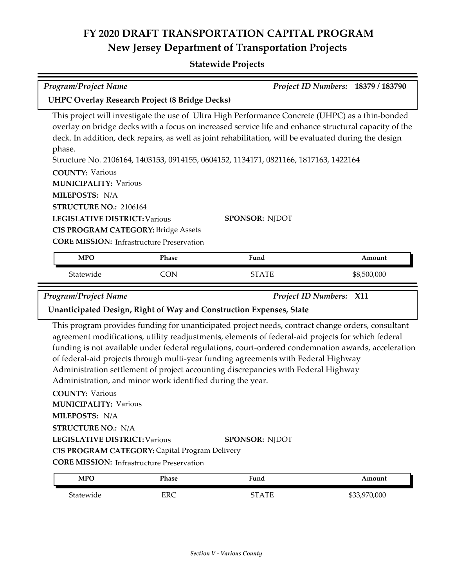| <b>Program/Project Name</b>                                                                                                                                                                        |                                                                                                    |                                                                                                                                                                                                                                                                                                                                                                                                                                                                                            | Project ID Numbers: 18379 / 183790 |
|----------------------------------------------------------------------------------------------------------------------------------------------------------------------------------------------------|----------------------------------------------------------------------------------------------------|--------------------------------------------------------------------------------------------------------------------------------------------------------------------------------------------------------------------------------------------------------------------------------------------------------------------------------------------------------------------------------------------------------------------------------------------------------------------------------------------|------------------------------------|
| <b>UHPC Overlay Research Project (8 Bridge Decks)</b>                                                                                                                                              |                                                                                                    |                                                                                                                                                                                                                                                                                                                                                                                                                                                                                            |                                    |
| phase.<br><b>COUNTY: Various</b><br><b>MUNICIPALITY: Various</b><br>MILEPOSTS: N/A<br>STRUCTURE NO.: 2106164<br><b>LEGISLATIVE DISTRICT: Various</b><br><b>CIS PROGRAM CATEGORY: Bridge Assets</b> |                                                                                                    | This project will investigate the use of Ultra High Performance Concrete (UHPC) as a thin-bonded<br>overlay on bridge decks with a focus on increased service life and enhance structural capacity of the<br>deck. In addition, deck repairs, as well as joint rehabilitation, will be evaluated during the design<br>Structure No. 2106164, 1403153, 0914155, 0604152, 1134171, 0821166, 1817163, 1422164<br><b>SPONSOR: NJDOT</b>                                                        |                                    |
|                                                                                                                                                                                                    | <b>CORE MISSION: Infrastructure Preservation</b>                                                   |                                                                                                                                                                                                                                                                                                                                                                                                                                                                                            |                                    |
| <b>MPO</b>                                                                                                                                                                                         | Phase                                                                                              | Fund                                                                                                                                                                                                                                                                                                                                                                                                                                                                                       | Amount                             |
| Statewide                                                                                                                                                                                          | <b>CON</b>                                                                                         | <b>STATE</b>                                                                                                                                                                                                                                                                                                                                                                                                                                                                               | \$8,500,000                        |
|                                                                                                                                                                                                    |                                                                                                    |                                                                                                                                                                                                                                                                                                                                                                                                                                                                                            |                                    |
| <b>Program/Project Name</b>                                                                                                                                                                        |                                                                                                    | Project ID Numbers: X11                                                                                                                                                                                                                                                                                                                                                                                                                                                                    |                                    |
|                                                                                                                                                                                                    |                                                                                                    | Unanticipated Design, Right of Way and Construction Expenses, State                                                                                                                                                                                                                                                                                                                                                                                                                        |                                    |
|                                                                                                                                                                                                    | Administration, and minor work identified during the year.                                         | This program provides funding for unanticipated project needs, contract change orders, consultant<br>agreement modifications, utility readjustments, elements of federal-aid projects for which federal<br>funding is not available under federal regulations, court-ordered condemnation awards, acceleration<br>of federal-aid projects through multi-year funding agreements with Federal Highway<br>Administration settlement of project accounting discrepancies with Federal Highway |                                    |
| <b>COUNTY: Various</b><br><b>MUNICIPALITY: Various</b><br>MILEPOSTS: N/A                                                                                                                           |                                                                                                    |                                                                                                                                                                                                                                                                                                                                                                                                                                                                                            |                                    |
| <b>STRUCTURE NO.: N/A</b>                                                                                                                                                                          |                                                                                                    |                                                                                                                                                                                                                                                                                                                                                                                                                                                                                            |                                    |
| <b>LEGISLATIVE DISTRICT: Various</b>                                                                                                                                                               |                                                                                                    | <b>SPONSOR: NJDOT</b>                                                                                                                                                                                                                                                                                                                                                                                                                                                                      |                                    |
|                                                                                                                                                                                                    | CIS PROGRAM CATEGORY: Capital Program Delivery<br><b>CORE MISSION:</b> Infrastructure Preservation |                                                                                                                                                                                                                                                                                                                                                                                                                                                                                            |                                    |
| <b>MPO</b>                                                                                                                                                                                         | Phase                                                                                              | Fund                                                                                                                                                                                                                                                                                                                                                                                                                                                                                       | Amount                             |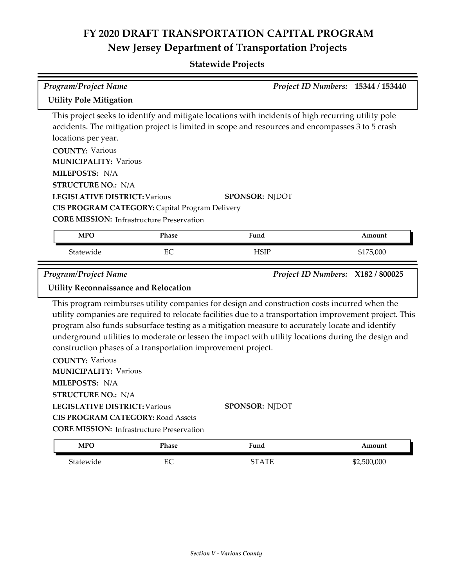# **FY 2020 DRAFT TRANSPORTATION CAPITAL PROGRAM New Jersey Department of Transportation Projects**

### **Statewide Projects**

| <b>Program/Project Name</b>                                                                                                                                                                                                                                                                                                                                                                                                                                                        |              |                                                                                                                                                                                                                                  | Project ID Numbers: 15344 / 153440 |  |
|------------------------------------------------------------------------------------------------------------------------------------------------------------------------------------------------------------------------------------------------------------------------------------------------------------------------------------------------------------------------------------------------------------------------------------------------------------------------------------|--------------|----------------------------------------------------------------------------------------------------------------------------------------------------------------------------------------------------------------------------------|------------------------------------|--|
| <b>Utility Pole Mitigation</b>                                                                                                                                                                                                                                                                                                                                                                                                                                                     |              |                                                                                                                                                                                                                                  |                                    |  |
| locations per year.<br><b>COUNTY: Various</b><br><b>MUNICIPALITY: Various</b><br>MILEPOSTS: N/A<br><b>STRUCTURE NO.: N/A</b><br><b>LEGISLATIVE DISTRICT: Various</b><br>CIS PROGRAM CATEGORY: Capital Program Delivery<br><b>CORE MISSION: Infrastructure Preservation</b>                                                                                                                                                                                                         |              | This project seeks to identify and mitigate locations with incidents of high recurring utility pole<br>accidents. The mitigation project is limited in scope and resources and encompasses 3 to 5 crash<br><b>SPONSOR: NJDOT</b> |                                    |  |
| <b>MPO</b>                                                                                                                                                                                                                                                                                                                                                                                                                                                                         | <b>Phase</b> | Fund                                                                                                                                                                                                                             | Amount                             |  |
| Statewide                                                                                                                                                                                                                                                                                                                                                                                                                                                                          | EC           | <b>HSIP</b>                                                                                                                                                                                                                      | \$175,000                          |  |
| <b>Program/Project Name</b><br>Project ID Numbers: X182 / 800025<br><b>Utility Reconnaissance and Relocation</b>                                                                                                                                                                                                                                                                                                                                                                   |              |                                                                                                                                                                                                                                  |                                    |  |
| This program reimburses utility companies for design and construction costs incurred when the<br>utility companies are required to relocate facilities due to a transportation improvement project. This<br>program also funds subsurface testing as a mitigation measure to accurately locate and identify<br>underground utilities to moderate or lessen the impact with utility locations during the design and<br>construction phases of a transportation improvement project. |              |                                                                                                                                                                                                                                  |                                    |  |
| <b>COUNTY: Various</b><br><b>MUNICIPALITY: Various</b><br>MILEPOSTS: N/A<br><b>STRUCTURE NO.: N/A</b>                                                                                                                                                                                                                                                                                                                                                                              |              |                                                                                                                                                                                                                                  |                                    |  |
| <b>LEGISLATIVE DISTRICT: Various</b><br><b>SPONSOR: NJDOT</b><br><b>CIS PROGRAM CATEGORY: Road Assets</b>                                                                                                                                                                                                                                                                                                                                                                          |              |                                                                                                                                                                                                                                  |                                    |  |
| <b>CORE MISSION: Infrastructure Preservation</b>                                                                                                                                                                                                                                                                                                                                                                                                                                   |              |                                                                                                                                                                                                                                  |                                    |  |
| <b>MPO</b>                                                                                                                                                                                                                                                                                                                                                                                                                                                                         | Phase        | Fund                                                                                                                                                                                                                             | Amount                             |  |
| Statewide                                                                                                                                                                                                                                                                                                                                                                                                                                                                          | EC           | <b>STATE</b>                                                                                                                                                                                                                     | \$2,500,000                        |  |